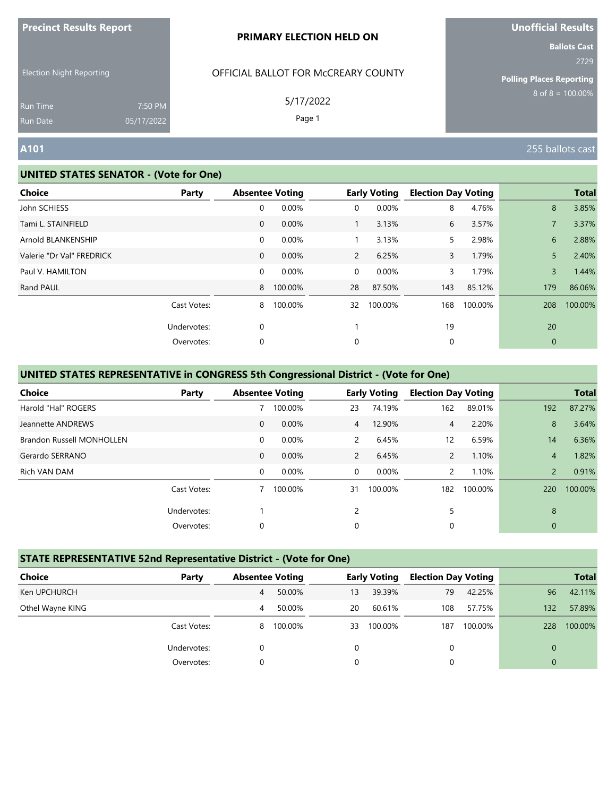| <b>Precinct Results Report</b> |  |  |
|--------------------------------|--|--|
|--------------------------------|--|--|

Election Night Reporting

# OFFICIAL BALLOT FOR McCREARY COUNTY

5/17/2022

Page 1

# **Unofficial Results**

**Ballots Cast** 2729

**Polling Places Reporting**  $8$  of  $8 = 100.00\%$ 

Run Time Run Date

#### **UNITED STATES SENATOR - (Vote for One)**

7:50 PM 05/17/2022

| <b>Choice</b>             | Party       |              | <b>Absentee Voting</b> |                | <b>Early Voting</b> | <b>Election Day Voting</b> |         |                | <b>Total</b> |
|---------------------------|-------------|--------------|------------------------|----------------|---------------------|----------------------------|---------|----------------|--------------|
| John SCHIESS              |             | 0            | 0.00%                  | $\mathbf 0$    | 0.00%               | 8                          | 4.76%   | 8              | 3.85%        |
| Tami L. STAINFIELD        |             | $\mathbf 0$  | 0.00%                  |                | 3.13%               | 6                          | 3.57%   |                | 3.37%        |
| Arnold BLANKENSHIP        |             | 0            | 0.00%                  |                | 3.13%               | 5.                         | 2.98%   | 6              | 2.88%        |
| Valerie "Dr Val" FREDRICK |             | $\mathbf{0}$ | 0.00%                  | $2^{\circ}$    | 6.25%               | 3                          | 1.79%   | 5              | 2.40%        |
| Paul V. HAMILTON          |             | 0            | 0.00%                  | $\overline{0}$ | 0.00%               | 3                          | 1.79%   | $\overline{3}$ | 1.44%        |
| Rand PAUL                 |             | 8            | 100.00%                | 28             | 87.50%              | 143                        | 85.12%  | 179            | 86.06%       |
|                           | Cast Votes: | 8            | 100.00%                | 32             | 100.00%             | 168                        | 100.00% | 208            | 100.00%      |
|                           | Undervotes: | $\mathbf 0$  |                        |                |                     | 19                         |         | 20             |              |
|                           | Overvotes:  | 0            |                        | 0              |                     | 0                          |         | $\overline{0}$ |              |

### **UNITED STATES REPRESENTATIVE in CONGRESS 5th Congressional District - (Vote for One)**

| <b>Choice</b>                    | Party       |              | <b>Absentee Voting</b> |                | <b>Early Voting</b> | <b>Election Day Voting</b> |         |                | <b>Total</b> |
|----------------------------------|-------------|--------------|------------------------|----------------|---------------------|----------------------------|---------|----------------|--------------|
| Harold "Hal" ROGERS              |             |              | 100.00%                | 23             | 74.19%              | 162                        | 89.01%  | 192            | 87.27%       |
| Jeannette ANDREWS                |             | $\mathbf{0}$ | 0.00%                  | $\overline{4}$ | 12.90%              | 4                          | 2.20%   | 8              | 3.64%        |
| <b>Brandon Russell MONHOLLEN</b> |             | 0            | 0.00%                  | $\mathcal{P}$  | 6.45%               | $12 \overline{ }$          | 6.59%   | 14             | 6.36%        |
| Gerardo SERRANO                  |             | $\mathbf{0}$ | 0.00%                  | $\mathbf{2}$   | 6.45%               | $\overline{2}$             | 1.10%   | 4              | 1.82%        |
| Rich VAN DAM                     |             | $\mathbf 0$  | 0.00%                  | $\Omega$       | 0.00%               |                            | 1.10%   | $\overline{2}$ | 0.91%        |
|                                  | Cast Votes: |              | 100.00%                | 31             | 100.00%             | 182                        | 100.00% | 220            | 100.00%      |
|                                  | Undervotes: |              |                        | 2              |                     | 5                          |         | 8              |              |
|                                  | Overvotes:  | 0            |                        | 0              |                     | 0                          |         | $\mathbf{0}$   |              |

#### **STATE REPRESENTATIVE 52nd Representative District - (Vote for One)**

| <b>Choice</b>    | Party       | <b>Absentee Voting</b> |         |    | <b>Early Voting</b> | <b>Election Day Voting</b> |         |     | <b>Total</b> |
|------------------|-------------|------------------------|---------|----|---------------------|----------------------------|---------|-----|--------------|
| Ken UPCHURCH     |             | 4                      | 50.00%  | 13 | 39.39%              | 79                         | 42.25%  | 96  | 42.11%       |
| Othel Wayne KING |             | 4                      | 50.00%  | 20 | 60.61%              | 108                        | 57.75%  | 132 | 57.89%       |
|                  | Cast Votes: | 8                      | 100.00% | 33 | 100.00%             | 187                        | 100.00% | 228 | 100.00%      |
|                  | Undervotes: | 0                      |         | 0  |                     | 0                          |         |     |              |
|                  | Overvotes:  |                        |         | 0  |                     | 0                          |         |     |              |

**A101** 255 ballots cast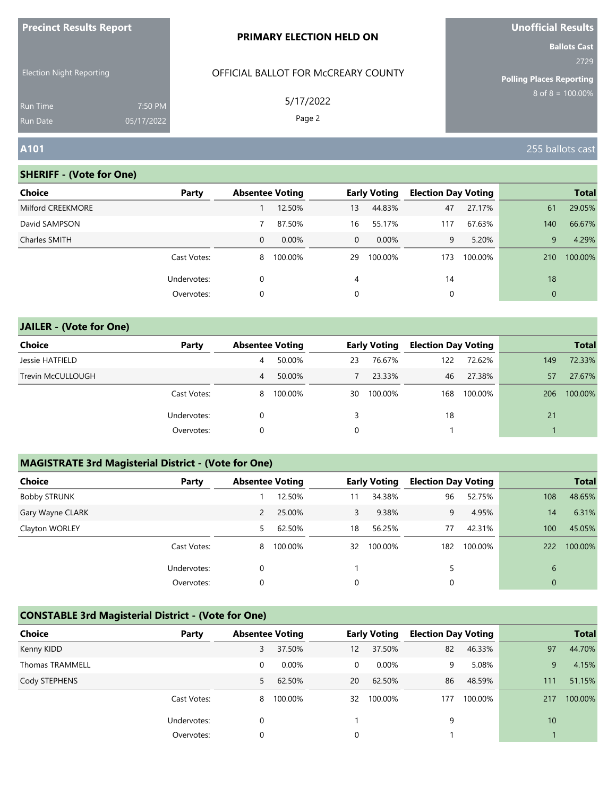| <b>Precinct Results Report</b>     |                       | <b>PRIMARY ELECTION HELD ON</b>     | <b>Unofficial Results</b>                                      |
|------------------------------------|-----------------------|-------------------------------------|----------------------------------------------------------------|
| <b>Election Night Reporting</b>    |                       | OFFICIAL BALLOT FOR MCCREARY COUNTY | <b>Ballots Cast</b><br>2729<br><b>Polling Places Reporting</b> |
| <b>Run Time</b><br><b>Run Date</b> | 7:50 PM<br>05/17/2022 | 5/17/2022<br>Page 2                 | $8 \text{ of } 8 = 100.00\%$                                   |
| A101                               |                       |                                     | 255 ballots cast                                               |

| Choice            | Party       | <b>Absentee Voting</b> |          |          | <b>Early Voting</b> | <b>Election Day Voting</b> |         |              | <b>Total</b> |
|-------------------|-------------|------------------------|----------|----------|---------------------|----------------------------|---------|--------------|--------------|
| Milford CREEKMORE |             |                        | 12.50%   | 13       | 44.83%              | 47                         | 27.17%  | 61           | 29.05%       |
| David SAMPSON     |             |                        | 87.50%   | 16       | 55.17%              | 117                        | 67.63%  | 140          | 66.67%       |
| Charles SMITH     |             | $\Omega$               | $0.00\%$ | $\Omega$ | $0.00\%$            | 9                          | 5.20%   | 9            | 4.29%        |
|                   | Cast Votes: | 8                      | 100.00%  | 29       | 100.00%             | 173                        | 100.00% | 210          | 100.00%      |
|                   | Undervotes: | 0                      |          | 4        |                     | 14                         |         | 18           |              |
|                   | Overvotes:  | 0                      |          | 0        |                     | 0                          |         | $\mathbf{0}$ |              |

| <b>JAILER - (Vote for One)</b> |             |   |                        |    |                     |                            |         |     |              |
|--------------------------------|-------------|---|------------------------|----|---------------------|----------------------------|---------|-----|--------------|
| Choice                         | Party       |   | <b>Absentee Voting</b> |    | <b>Early Voting</b> | <b>Election Day Voting</b> |         |     | <b>Total</b> |
| Jessie HATFIELD                |             | 4 | 50.00%                 | 23 | 76.67%              | 122                        | 72.62%  | 149 | 72.33%       |
| Trevin McCULLOUGH              |             | 4 | 50.00%                 |    | 23.33%              | 46                         | 27.38%  | 57  | 27.67%       |
|                                | Cast Votes: | 8 | 100.00%                | 30 | 100.00%             | 168                        | 100.00% | 206 | 100.00%      |
|                                | Undervotes: | 0 |                        | 3  |                     | 18                         |         | 21  |              |
|                                | Overvotes:  | 0 |                        | 0  |                     |                            |         |     |              |

# **MAGISTRATE 3rd Magisterial District - (Vote for One)**

| <b>Choice</b>       | Party       | <b>Absentee Voting</b> |         |    | <b>Early Voting</b> | <b>Election Day Voting</b> |         |              | <b>Total</b> |
|---------------------|-------------|------------------------|---------|----|---------------------|----------------------------|---------|--------------|--------------|
| <b>Bobby STRUNK</b> |             |                        | 12.50%  | 11 | 34.38%              | 96                         | 52.75%  | 108          | 48.65%       |
| Gary Wayne CLARK    |             | 2                      | 25.00%  | 3  | 9.38%               | 9                          | 4.95%   | 14           | 6.31%        |
| Clayton WORLEY      |             | 5.                     | 62.50%  | 18 | 56.25%              | 77                         | 42.31%  | 100          | 45.05%       |
|                     | Cast Votes: | 8                      | 100.00% | 32 | 100.00%             | 182                        | 100.00% | 222          | 100.00%      |
|                     | Undervotes: | 0                      |         |    |                     |                            |         | 6            |              |
|                     | Overvotes:  | 0                      |         | 0  |                     | 0                          |         | $\mathbf{0}$ |              |
|                     |             |                        |         |    |                     |                            |         |              |              |

# **CONSTABLE 3rd Magisterial District - (Vote for One)**

| Choice                 | Party       | <b>Absentee Voting</b> |          |    | <b>Early Voting</b> | <b>Election Day Voting</b> |         |     | <b>Total</b> |
|------------------------|-------------|------------------------|----------|----|---------------------|----------------------------|---------|-----|--------------|
| Kenny KIDD             |             | 3                      | 37.50%   | 12 | 37.50%              | 82                         | 46.33%  | 97  | 44.70%       |
| <b>Thomas TRAMMELL</b> |             | 0                      | $0.00\%$ | 0  | $0.00\%$            | 9                          | 5.08%   | 9   | 4.15%        |
| Cody STEPHENS          |             | 5.                     | 62.50%   | 20 | 62.50%              | 86                         | 48.59%  | 111 | 51.15%       |
|                        | Cast Votes: | 8                      | 100.00%  | 32 | 100.00%             | 177                        | 100.00% | 217 | 100.00%      |
|                        | Undervotes: | 0                      |          |    |                     | 9                          |         | 10  |              |
|                        | Overvotes:  | 0                      |          | 0  |                     |                            |         |     |              |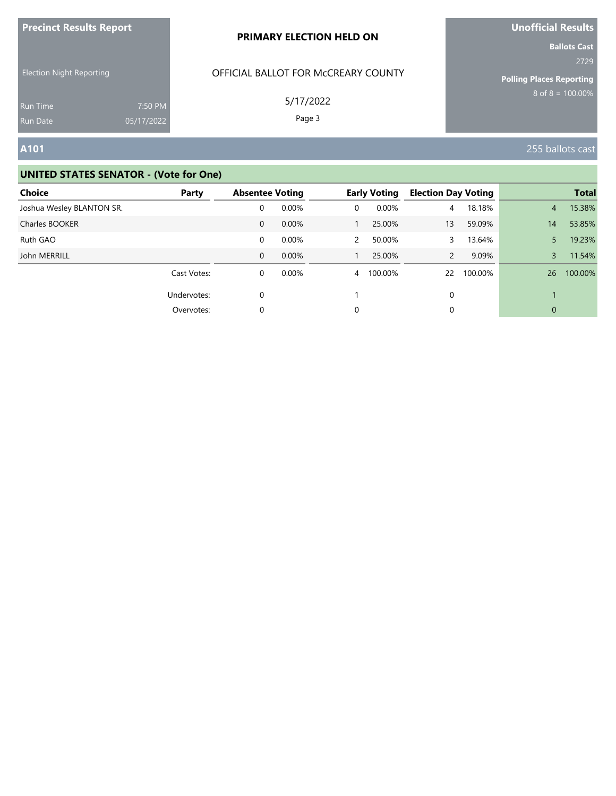| <b>Precinct Results Report</b>  |            | <b>PRIMARY ELECTION HELD ON</b>     | Unofficial Results              |  |
|---------------------------------|------------|-------------------------------------|---------------------------------|--|
| <b>Election Night Reporting</b> |            | OFFICIAL BALLOT FOR MCCREARY COUNTY | <b>Ballots Cast</b><br>2729     |  |
|                                 |            |                                     | <b>Polling Places Reporting</b> |  |
| <b>Run Time</b>                 | 7:50 PM    | 5/17/2022                           | $8 \text{ of } 8 = 100.00\%$    |  |
| Run Date                        | 05/17/2022 | Page 3                              |                                 |  |
| A101                            |            |                                     | 255 ballots cast                |  |

| <b>Choice</b>             | Party       | <b>Absentee Voting</b> |          |                | <b>Early Voting</b> | <b>Election Day Voting</b> |         |              | <b>Total</b> |
|---------------------------|-------------|------------------------|----------|----------------|---------------------|----------------------------|---------|--------------|--------------|
| Joshua Wesley BLANTON SR. |             | 0                      | $0.00\%$ | 0              | $0.00\%$            | 4                          | 18.18%  | 4            | 15.38%       |
| Charles BOOKER            |             | $\mathbf{0}$           | 0.00%    |                | 25.00%              | 13                         | 59.09%  | 14           | 53.85%       |
| Ruth GAO                  |             | 0                      | $0.00\%$ | $\mathbf{2}$   | 50.00%              |                            | 13.64%  | 5.           | 19.23%       |
| John MERRILL              |             | 0                      | $0.00\%$ |                | 25.00%              | 2                          | 9.09%   | 3            | 11.54%       |
|                           | Cast Votes: | 0                      | $0.00\%$ | $\overline{4}$ | 100.00%             | 22                         | 100.00% | 26           | 100.00%      |
|                           | Undervotes: | $\Omega$               |          |                |                     | 0                          |         |              |              |
|                           | Overvotes:  | 0                      |          | $\Omega$       |                     | 0                          |         | $\mathbf{0}$ |              |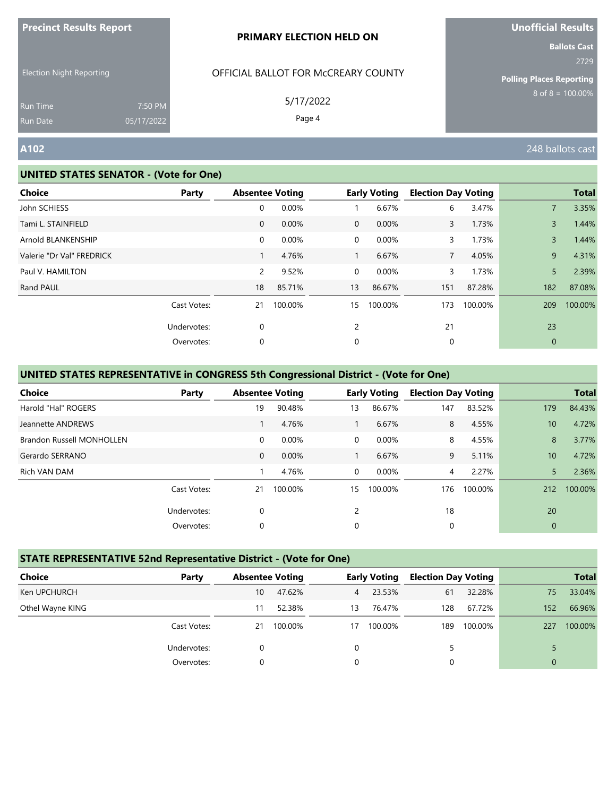| <b>Precinct Results Report</b> |  |  |
|--------------------------------|--|--|
|--------------------------------|--|--|

Election Night Reporting

# OFFICIAL BALLOT FOR McCREARY COUNTY

5/17/2022

Page 4

Run Time Run Date

#### **UNITED STATES SENATOR - (Vote for One)**

7:50 PM 05/17/2022 **Unofficial Results Ballots Cast**

2729

**Polling Places Reporting**  $8$  of  $8 = 100.00\%$ 

**A102** 248 ballots cast

| <b>Choice</b>             | Party       |                       | <b>Absentee Voting</b> |                | <b>Early Voting</b> | <b>Election Day Voting</b> |         |                | <b>Total</b> |
|---------------------------|-------------|-----------------------|------------------------|----------------|---------------------|----------------------------|---------|----------------|--------------|
| John SCHIESS              |             | 0                     | 0.00%                  |                | 6.67%               | 6                          | 3.47%   | $\overline{7}$ | 3.35%        |
| Tami L. STAINFIELD        |             | $\mathbf 0$           | 0.00%                  | $\overline{0}$ | 0.00%               | 3                          | 1.73%   | 3              | 1.44%        |
| Arnold BLANKENSHIP        |             | 0                     | 0.00%                  | $\mathbf 0$    | 0.00%               | 3                          | 1.73%   | 3              | 1.44%        |
| Valerie "Dr Val" FREDRICK |             | 1                     | 4.76%                  | $\mathbf{1}$   | 6.67%               | $\overline{7}$             | 4.05%   | 9              | 4.31%        |
| Paul V. HAMILTON          |             | $\mathbf{2}^{\prime}$ | 9.52%                  | $\overline{0}$ | 0.00%               | 3                          | 1.73%   | 5              | 2.39%        |
| Rand PAUL                 |             | 18                    | 85.71%                 | 13             | 86.67%              | 151                        | 87.28%  | 182            | 87.08%       |
|                           | Cast Votes: | 21                    | 100.00%                | 15             | 100.00%             | 173                        | 100.00% | 209            | 100.00%      |
|                           | Undervotes: | 0                     |                        | 2              |                     | 21                         |         | 23             |              |
|                           | Overvotes:  | 0                     |                        | 0              |                     | 0                          |         | $\mathbf 0$    |              |
|                           |             |                       |                        |                |                     |                            |         |                |              |

### **UNITED STATES REPRESENTATIVE in CONGRESS 5th Congressional District - (Vote for One)**

| Choice                           | Party       |              | <b>Absentee Voting</b> |          | <b>Early Voting</b> | <b>Election Day Voting</b> |         |                 | <b>Total</b> |
|----------------------------------|-------------|--------------|------------------------|----------|---------------------|----------------------------|---------|-----------------|--------------|
| Harold "Hal" ROGERS              |             | 19           | 90.48%                 | 13       | 86.67%              | 147                        | 83.52%  | 179             | 84.43%       |
| Jeannette ANDREWS                |             |              | 4.76%                  |          | 6.67%               | 8                          | 4.55%   | 10              | 4.72%        |
| <b>Brandon Russell MONHOLLEN</b> |             | $\mathbf 0$  | 0.00%                  | $\Omega$ | 0.00%               | 8                          | 4.55%   | 8               | 3.77%        |
| Gerardo SERRANO                  |             | $\mathbf{0}$ | 0.00%                  |          | 6.67%               | 9                          | 5.11%   | 10 <sup>°</sup> | 4.72%        |
| Rich VAN DAM                     |             |              | 4.76%                  | $\Omega$ | 0.00%               | 4                          | 2.27%   | 5               | 2.36%        |
|                                  | Cast Votes: | 21           | 100.00%                | 15       | 100.00%             | 176                        | 100.00% | 212             | 100.00%      |
|                                  | Undervotes: | $\mathbf 0$  |                        | 2        |                     | 18                         |         | 20              |              |
|                                  | Overvotes:  | 0            |                        | 0        |                     | 0                          |         | $\mathbf{0}$    |              |

#### **STATE REPRESENTATIVE 52nd Representative District - (Vote for One)**

| Choice           | Party       | <b>Absentee Voting</b> |         |                | <b>Early Voting</b> | <b>Election Day Voting</b> |         |             | <b>Total</b> |
|------------------|-------------|------------------------|---------|----------------|---------------------|----------------------------|---------|-------------|--------------|
| Ken UPCHURCH     |             | 10                     | 47.62%  | $\overline{4}$ | 23.53%              | 61                         | 32.28%  | 75          | 33.04%       |
| Othel Wayne KING |             |                        | 52.38%  | 13             | 76.47%              | 128                        | 67.72%  | 152         | 66.96%       |
|                  | Cast Votes: | 21                     | 100.00% | 17             | 100.00%             | 189                        | 100.00% | 227         | 100.00%      |
|                  | Undervotes: |                        |         | 0              |                     | 5                          |         |             |              |
|                  | Overvotes:  | 0                      |         | 0              |                     |                            |         | $\mathbf 0$ |              |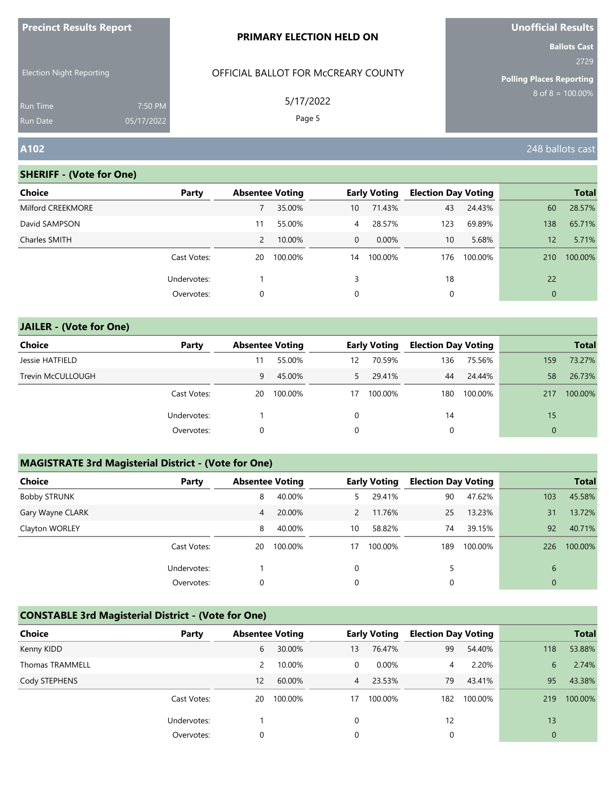| <b>Precinct Results Report</b>     |                       | <b>PRIMARY ELECTION HELD ON</b>     | <b>Unofficial Results</b>                                      |
|------------------------------------|-----------------------|-------------------------------------|----------------------------------------------------------------|
| <b>Election Night Reporting</b>    |                       | OFFICIAL BALLOT FOR MCCREARY COUNTY | <b>Ballots Cast</b><br>2729<br><b>Polling Places Reporting</b> |
| <b>Run Time</b><br><b>Run Date</b> | 7:50 PM<br>05/17/2022 | 5/17/2022<br>Page 5                 | $8$ of $8 = 100.00\%$                                          |
| A102                               |                       |                                     | 248 ballots cast                                               |

| <b>Choice</b>     | Party       | <b>Absentee Voting</b> |         |                | <b>Early Voting</b> | <b>Election Day Voting</b> |         |              | <b>Total</b> |
|-------------------|-------------|------------------------|---------|----------------|---------------------|----------------------------|---------|--------------|--------------|
| Milford CREEKMORE |             |                        | 35.00%  | 10             | 71.43%              | 43                         | 24.43%  | 60           | 28.57%       |
| David SAMPSON     |             | 11                     | 55.00%  | $\overline{4}$ | 28.57%              | 123                        | 69.89%  | 138          | 65.71%       |
| Charles SMITH     |             | $\overline{2}$         | 10.00%  | $\mathbf{0}$   | $0.00\%$            | 10                         | 5.68%   | 12           | 5.71%        |
|                   | Cast Votes: | 20                     | 100.00% | 14             | 100.00%             | 176                        | 100.00% | 210          | 100.00%      |
|                   | Undervotes: |                        |         | 3              |                     | 18                         |         | 22           |              |
|                   | Overvotes:  | 0                      |         | 0              |                     | 0                          |         | $\mathbf{0}$ |              |

# **JAILER - (Vote for One) Choice Party Absentee Voting Early Voting Election Day Voting Total** Jessie HATFIELD 11 55.00% 12 70.59% 136 75.56% 159 73.27% Trevin McCULLOUGH 8 673% 6 45.00% 5 29.41% 44 24.44% 58 26.73% Cast Votes: 20 100.00% 17 100.00% 180 100.00% 217 100.00% Undervotes: 1 0 14 15 Overvotes: 0 0 0 0

### **MAGISTRATE 3rd Magisterial District - (Vote for One)**

| <b>Choice</b>       | Party       | <b>Absentee Voting</b> |         |               | <b>Early Voting</b> | <b>Election Day Voting</b> |         |              | <b>Total</b> |
|---------------------|-------------|------------------------|---------|---------------|---------------------|----------------------------|---------|--------------|--------------|
| <b>Bobby STRUNK</b> |             | 8                      | 40.00%  | 5.            | 29.41%              | 90                         | 47.62%  | 103          | 45.58%       |
| Gary Wayne CLARK    |             | 4                      | 20.00%  | $\mathcal{P}$ | 11.76%              | 25                         | 13.23%  | 31           | 13.72%       |
| Clayton WORLEY      |             | 8                      | 40.00%  | 10            | 58.82%              | 74                         | 39.15%  | 92           | 40.71%       |
|                     | Cast Votes: | 20                     | 100.00% | 17            | 100.00%             | 189                        | 100.00% | 226          | 100.00%      |
|                     | Undervotes: |                        |         | 0             |                     | 5                          |         | 6            |              |
|                     | Overvotes:  | 0                      |         | 0             |                     | 0                          |         | $\mathbf{0}$ |              |

## **CONSTABLE 3rd Magisterial District - (Vote for One)**

| <b>Choice</b>          | Party       | <b>Absentee Voting</b> |         |                | <b>Early Voting</b> | <b>Election Day Voting</b> |         |                | <b>Total</b> |
|------------------------|-------------|------------------------|---------|----------------|---------------------|----------------------------|---------|----------------|--------------|
| Kenny KIDD             |             | 6                      | 30.00%  | 13             | 76.47%              | 99                         | 54.40%  | 118            | 53.88%       |
| <b>Thomas TRAMMELL</b> |             | 2                      | 10.00%  | 0              | 0.00%               | 4                          | 2.20%   | 6              | 2.74%        |
| Cody STEPHENS          |             | 12                     | 60.00%  | 4 <sup>7</sup> | 23.53%              | 79                         | 43.41%  | 95             | 43.38%       |
|                        | Cast Votes: | 20                     | 100.00% | 17             | 100.00%             | 182                        | 100.00% | 219            | 100.00%      |
|                        | Undervotes: |                        |         | $\Omega$       |                     | 12                         |         | 13             |              |
|                        | Overvotes:  | 0                      |         | 0              |                     | 0                          |         | $\overline{0}$ |              |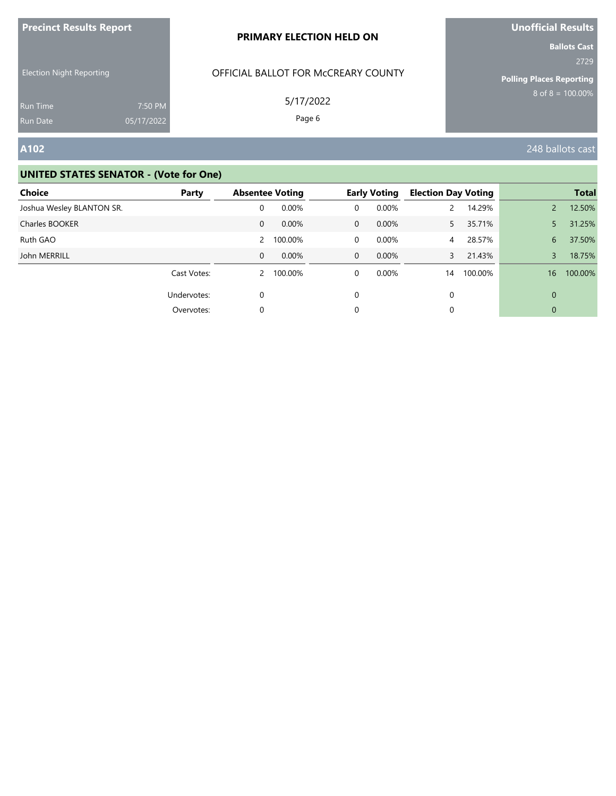| <b>Precinct Results Report</b> |  |  |
|--------------------------------|--|--|
|--------------------------------|--|--|

Election Night Reporting

# OFFICIAL BALLOT FOR McCREARY COUNTY

5/17/2022

Page 6

**A102** 248 ballots cast

#### **UNITED STATES SENATOR - (Vote for One)**

7:50 PM 05/17/2022

| Choice                    | Party       | <b>Absentee Voting</b> |         |              | <b>Early Voting</b> | <b>Election Day Voting</b> |         |                | <b>Total</b> |
|---------------------------|-------------|------------------------|---------|--------------|---------------------|----------------------------|---------|----------------|--------------|
| Joshua Wesley BLANTON SR. |             | 0                      | 0.00%   | 0            | 0.00%               |                            | 14.29%  | $\overline{2}$ | 12.50%       |
| Charles BOOKER            |             | 0                      | 0.00%   | $\mathbf 0$  | $0.00\%$            | 5                          | 35.71%  | 5              | 31.25%       |
| Ruth GAO                  |             | 2                      | 100.00% | $\mathbf 0$  | $0.00\%$            | 4                          | 28.57%  | 6              | 37.50%       |
| John MERRILL              |             | $\mathbf{0}$           | 0.00%   | $\mathbf{0}$ | $0.00\%$            | 3                          | 21.43%  | 3              | 18.75%       |
|                           | Cast Votes: | 2                      | 100.00% | 0            | $0.00\%$            | 14                         | 100.00% | 16             | 100.00%      |
|                           | Undervotes: |                        |         | $\Omega$     |                     | 0                          |         | $\Omega$       |              |
|                           | Overvotes:  | 0                      |         | 0            |                     | 0                          |         | $\mathbf{0}$   |              |

**Unofficial Results**

**Ballots Cast** 2729

**Polling Places Reporting**  $8$  of  $8 = 100.00\%$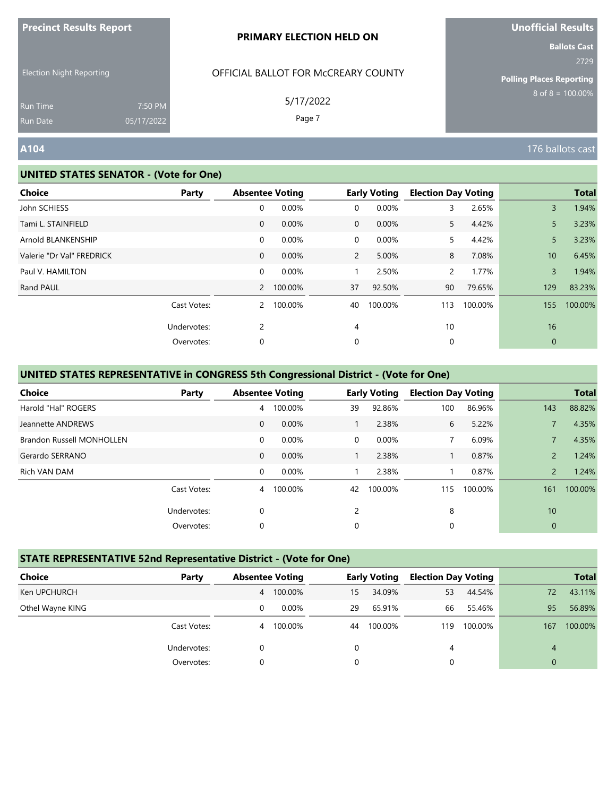| <b>Precinct Results Report</b> |  |  |
|--------------------------------|--|--|
|--------------------------------|--|--|

Election Night Reporting

# OFFICIAL BALLOT FOR McCREARY COUNTY

5/17/2022

Page 7

**Unofficial Results**

**Ballots Cast** 2729

**Polling Places Reporting**  $8$  of  $8 = 100.00\%$ 

Run Time Run Date

#### **UNITED STATES SENATOR - (Vote for One)**

7:50 PM 05/17/2022

| <b>Choice</b>             | Party       |              | <b>Absentee Voting</b> |                | <b>Early Voting</b> | <b>Election Day Voting</b> |         |                 | <b>Total</b> |
|---------------------------|-------------|--------------|------------------------|----------------|---------------------|----------------------------|---------|-----------------|--------------|
| John SCHIESS              |             | 0            | 0.00%                  | 0              | 0.00%               | 3                          | 2.65%   | $\overline{3}$  | 1.94%        |
| Tami L. STAINFIELD        |             | $\mathbf{0}$ | 0.00%                  | $\overline{0}$ | $0.00\%$            | 5.                         | 4.42%   | 5               | 3.23%        |
| Arnold BLANKENSHIP        |             | 0            | 0.00%                  | $\overline{0}$ | 0.00%               | 5.                         | 4.42%   | 5               | 3.23%        |
| Valerie "Dr Val" FREDRICK |             | $\mathbf{0}$ | 0.00%                  | $\mathbf{2}$   | 5.00%               | 8                          | 7.08%   | 10 <sup>°</sup> | 6.45%        |
| Paul V. HAMILTON          |             | 0            | 0.00%                  |                | 2.50%               | $\mathsf{2}$               | 1.77%   | 3               | 1.94%        |
| Rand PAUL                 |             |              | 2 100.00%              | 37             | 92.50%              | 90                         | 79.65%  | 129             | 83.23%       |
|                           | Cast Votes: |              | 2 100.00%              | 40             | 100.00%             | 113                        | 100.00% | 155             | 100.00%      |
|                           | Undervotes: | 2            |                        | 4              |                     | 10                         |         | 16              |              |
|                           | Overvotes:  | 0            |                        | 0              |                     | 0                          |         | $\mathbf{0}$    |              |

### **UNITED STATES REPRESENTATIVE in CONGRESS 5th Congressional District - (Vote for One)**

| <b>Choice</b>                    | Party       |              | <b>Absentee Voting</b> |          | <b>Early Voting</b> | <b>Election Day Voting</b> |         |                | <b>Total</b> |
|----------------------------------|-------------|--------------|------------------------|----------|---------------------|----------------------------|---------|----------------|--------------|
| Harold "Hal" ROGERS              |             | 4            | 100.00%                | 39       | 92.86%              | 100                        | 86.96%  | 143            | 88.82%       |
| Jeannette ANDREWS                |             | $\mathbf{0}$ | 0.00%                  |          | 2.38%               | 6                          | 5.22%   |                | 4.35%        |
| <b>Brandon Russell MONHOLLEN</b> |             | 0            | 0.00%                  | $\Omega$ | 0.00%               | $\overline{7}$             | 6.09%   |                | 4.35%        |
| Gerardo SERRANO                  |             | $\mathbf{0}$ | 0.00%                  |          | 2.38%               |                            | 0.87%   | $\overline{2}$ | 1.24%        |
| Rich VAN DAM                     |             | $\mathbf 0$  | 0.00%                  |          | 2.38%               |                            | 0.87%   | $\overline{2}$ | 1.24%        |
|                                  | Cast Votes: |              | 4 100.00%              | 42       | 100.00%             | 115                        | 100.00% | 161            | 100.00%      |
|                                  | Undervotes: | 0            |                        | 2        |                     | 8                          |         | 10             |              |
|                                  | Overvotes:  | 0            |                        | 0        |                     | 0                          |         | $\mathbf{0}$   |              |

#### **STATE REPRESENTATIVE 52nd Representative District - (Vote for One)**

| <b>Choice</b>    | Party       | <b>Absentee Voting</b> |          |    | <b>Early Voting</b> | <b>Election Day Voting</b> |         |              | <b>Total</b> |
|------------------|-------------|------------------------|----------|----|---------------------|----------------------------|---------|--------------|--------------|
| Ken UPCHURCH     |             | 4                      | 100.00%  | 15 | 34.09%              | 53                         | 44.54%  | 72           | 43.11%       |
| Othel Wayne KING |             |                        | $0.00\%$ | 29 | 65.91%              | 66                         | 55.46%  | 95           | 56.89%       |
|                  | Cast Votes: | 4                      | 100.00%  | 44 | 100.00%             | 119                        | 100.00% | 167          | 100.00%      |
|                  | Undervotes: | 0                      |          | 0  |                     | 4                          |         | 4            |              |
|                  | Overvotes:  |                        |          | 0  |                     | 0                          |         | $\mathbf{0}$ |              |

**A104** 176 ballots cast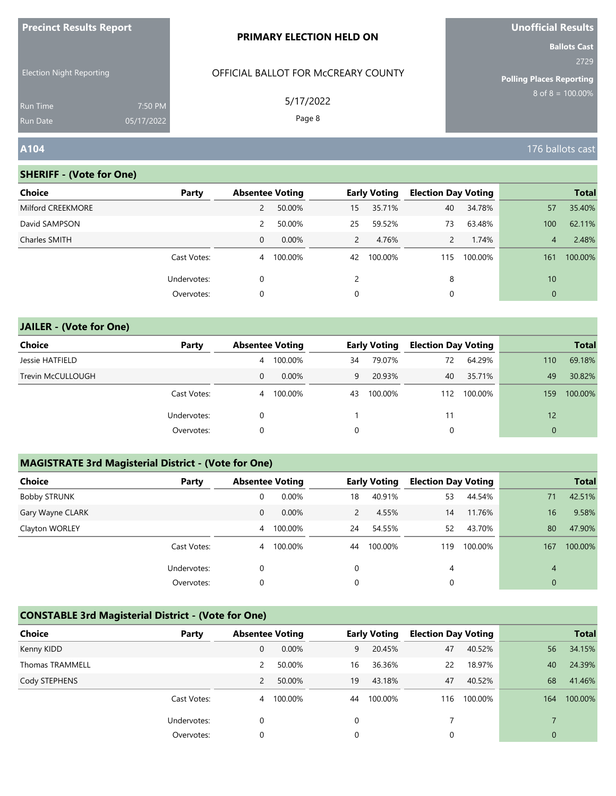| <u>Fredinci Results Report</u>  |                       | PRIMARY ELECTION HELD ON            | <b>UNUINCIAL RESULTS</b><br><b>Ballots Cast</b> |  |  |
|---------------------------------|-----------------------|-------------------------------------|-------------------------------------------------|--|--|
| <b>Election Night Reporting</b> |                       | OFFICIAL BALLOT FOR MCCREARY COUNTY | 2729<br><b>Polling Places Reporting</b>         |  |  |
| <b>Run Time</b><br>Run Date     | 7:50 PM<br>05/17/2022 | 5/17/2022<br>Page 8                 | $8$ of $8 = 100.00\%$                           |  |  |
| A104                            |                       |                                     | 176 ballots cast                                |  |  |

**Unofficial Results**

## **SHERIFF - (Vote for One)**

**Precinct Results Report**

| <b>Choice</b>     | Party       | <b>Absentee Voting</b> |          |               | <b>Early Voting</b> | <b>Election Day Voting</b> |         |                | <b>Total</b> |
|-------------------|-------------|------------------------|----------|---------------|---------------------|----------------------------|---------|----------------|--------------|
| Milford CREEKMORE |             | 2                      | 50.00%   | 15            | 35.71%              | 40                         | 34.78%  | 57             | 35.40%       |
| David SAMPSON     |             | 2                      | 50.00%   | 25            | 59.52%              | 73                         | 63.48%  | 100            | 62.11%       |
| Charles SMITH     |             | 0                      | $0.00\%$ | $\mathcal{P}$ | 4.76%               | $\mathcal{P}$              | 1.74%   | $\overline{4}$ | 2.48%        |
|                   | Cast Votes: | 4                      | 100.00%  | 42            | 100.00%             | 115                        | 100.00% | 161            | 100.00%      |
|                   | Undervotes: | 0                      |          | $\mathcal{P}$ |                     | 8                          |         | 10             |              |
|                   | Overvotes:  | 0                      |          | 0             |                     | 0                          |         | $\overline{0}$ |              |

# **JAILER - (Vote for One) Choice Party Absentee Voting Early Voting Election Day Voting Total** Jessie HATFIELD 4 100.00% 34 79.07% 72 64.29% 110 69.18% Trevin McCULLOUGH 0 0.00% 9 20.93% 40 35.71% 49 30.82% Cast Votes: 4 100.00% 43 100.00% 112 100.00% 159 100.00% Undervotes: 0 1 1 1 12 12 Overvotes: 0 0 0 0

#### **MAGISTRATE 3rd Magisterial District - (Vote for One)**

| <b>Choice</b>       | Party       | <b>Absentee Voting</b> |          |    | <b>Early Voting</b> | <b>Election Day Voting</b> |         |                | <b>Total</b> |
|---------------------|-------------|------------------------|----------|----|---------------------|----------------------------|---------|----------------|--------------|
| <b>Bobby STRUNK</b> |             | 0                      | 0.00%    | 18 | 40.91%              | 53                         | 44.54%  | 71             | 42.51%       |
| Gary Wayne CLARK    |             | 0                      | $0.00\%$ | 2  | 4.55%               | 14                         | 11.76%  | 16             | 9.58%        |
| Clayton WORLEY      |             | $\overline{4}$         | 100.00%  | 24 | 54.55%              | 52                         | 43.70%  | 80             | 47.90%       |
|                     | Cast Votes: | 4                      | 100.00%  | 44 | 100.00%             | 119                        | 100.00% | 167            | 100.00%      |
|                     | Undervotes: | 0                      |          | 0  |                     | 4                          |         | $\overline{4}$ |              |
|                     | Overvotes:  | 0                      |          | 0  |                     | 0                          |         | $\mathbf{0}$   |              |

## **CONSTABLE 3rd Magisterial District - (Vote for One)**

| <b>Choice</b>   | Party       | <b>Absentee Voting</b> |          |    | <b>Early Voting</b> | <b>Election Day Voting</b> |         |                | <b>Total</b> |
|-----------------|-------------|------------------------|----------|----|---------------------|----------------------------|---------|----------------|--------------|
| Kenny KIDD      |             | 0                      | $0.00\%$ | 9  | 20.45%              | 47                         | 40.52%  | 56             | 34.15%       |
| Thomas TRAMMELL |             | 2                      | 50.00%   | 16 | 36.36%              | 22                         | 18.97%  | 40             | 24.39%       |
| Cody STEPHENS   |             |                        | 50.00%   | 19 | 43.18%              | 47                         | 40.52%  | 68             | 41.46%       |
|                 | Cast Votes: | $\overline{4}$         | 100.00%  | 44 | 100.00%             | 116                        | 100.00% | 164            | 100.00%      |
|                 | Undervotes: | 0                      |          | 0  |                     |                            |         |                |              |
|                 | Overvotes:  | 0                      |          | 0  |                     |                            |         | $\overline{0}$ |              |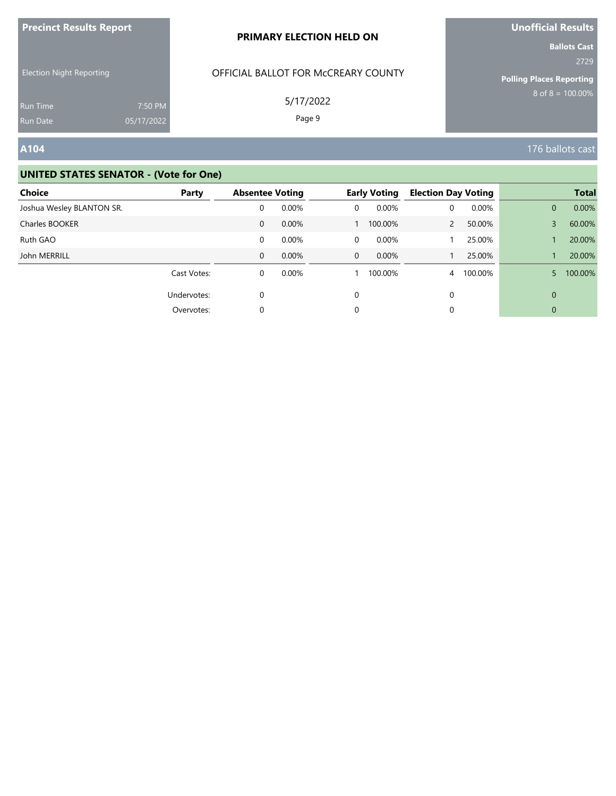| <b>Precinct Results Report</b> |  |  |
|--------------------------------|--|--|
|--------------------------------|--|--|

Election Night Reporting

# OFFICIAL BALLOT FOR McCREARY COUNTY

5/17/2022

Page 9

# **A104** 176 ballots cast

#### **UNITED STATES SENATOR - (Vote for One)**

7:50 PM 05/17/2022

| Choice                    | Party       | <b>Absentee Voting</b> |       |              | <b>Early Voting</b> | <b>Election Day Voting</b> |         |              | <b>Total</b> |
|---------------------------|-------------|------------------------|-------|--------------|---------------------|----------------------------|---------|--------------|--------------|
| Joshua Wesley BLANTON SR. |             | 0                      | 0.00% | 0            | 0.00%               | 0                          | 0.00%   | $\mathbf{0}$ | 0.00%        |
| Charles BOOKER            |             | 0                      | 0.00% |              | 100.00%             | 2                          | 50.00%  | 3            | 60.00%       |
| Ruth GAO                  |             | 0                      | 0.00% | 0            | 0.00%               |                            | 25.00%  |              | 20.00%       |
| John MERRILL              |             | 0                      | 0.00% | $\mathbf{0}$ | $0.00\%$            |                            | 25.00%  |              | 20.00%       |
|                           | Cast Votes: | 0                      | 0.00% |              | 100.00%             | $\overline{4}$             | 100.00% | 5            | 100.00%      |
|                           | Undervotes: | $\Omega$               |       | 0            |                     | 0                          |         | $\mathbf{0}$ |              |
|                           | Overvotes:  | 0                      |       | 0            |                     | 0                          |         | $\mathbf 0$  |              |

# **Unofficial Results**

**Ballots Cast** 2729

**Polling Places Reporting**

 $8$  of  $8 = 100.00\%$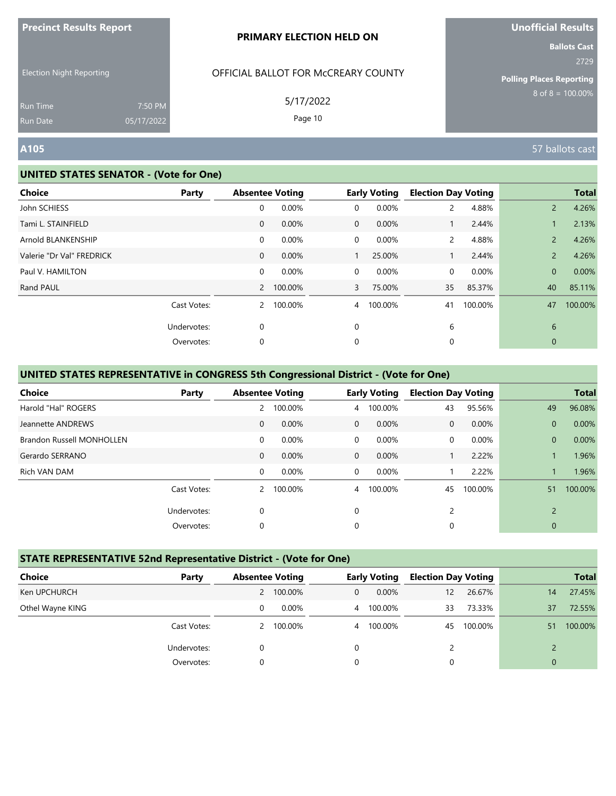| <b>Precinct Results Report</b> |  |  |  |
|--------------------------------|--|--|--|
|--------------------------------|--|--|--|

Election Night Reporting

## OFFICIAL BALLOT FOR McCREARY COUNTY

5/17/2022

Page 10

**Ballots Cast** 2729

**Polling Places Reporting**  $8$  of  $8 = 100.00\%$ 

Run Time Run Date

#### **UNITED STATES SENATOR - (Vote for One)**

7:50 PM 05/17/2022

| <b>Choice</b>             | Party       |              | <b>Absentee Voting</b> |                | <b>Early Voting</b> | <b>Election Day Voting</b> |         |                | <b>Total</b> |
|---------------------------|-------------|--------------|------------------------|----------------|---------------------|----------------------------|---------|----------------|--------------|
| John SCHIESS              |             | 0            | 0.00%                  | 0              | 0.00%               | 2                          | 4.88%   | $\overline{2}$ | 4.26%        |
| Tami L. STAINFIELD        |             | $\mathbf{0}$ | 0.00%                  | $\mathbf{0}$   | 0.00%               |                            | 2.44%   |                | 2.13%        |
| Arnold BLANKENSHIP        |             | 0            | 0.00%                  | $\overline{0}$ | 0.00%               | $\overline{2}$             | 4.88%   | $\overline{2}$ | 4.26%        |
| Valerie "Dr Val" FREDRICK |             | $\mathbf{0}$ | 0.00%                  |                | 25.00%              |                            | 2.44%   | $\overline{2}$ | 4.26%        |
| Paul V. HAMILTON          |             | 0            | 0.00%                  | $\overline{0}$ | 0.00%               | 0                          | 0.00%   | $\mathbf{0}$   | 0.00%        |
| Rand PAUL                 |             |              | 2 100.00%              | $\mathbf{3}$   | 75.00%              | 35                         | 85.37%  | 40             | 85.11%       |
|                           | Cast Votes: | $\mathbf{2}$ | 100.00%                | $\overline{4}$ | 100.00%             | 41                         | 100.00% | 47             | 100.00%      |
|                           | Undervotes: | 0            |                        | $\Omega$       |                     | 6                          |         | 6              |              |
|                           | Overvotes:  | 0            |                        | 0              |                     | 0                          |         | $\mathbf{0}$   |              |

### **UNITED STATES REPRESENTATIVE in CONGRESS 5th Congressional District - (Vote for One)**

| Choice                           | Party       |              | <b>Absentee Voting</b> |                | <b>Early Voting</b> | <b>Election Day Voting</b> |         |                | <b>Total</b> |
|----------------------------------|-------------|--------------|------------------------|----------------|---------------------|----------------------------|---------|----------------|--------------|
| Harold "Hal" ROGERS              |             |              | 2 100.00%              | $\overline{4}$ | 100.00%             | 43                         | 95.56%  | 49             | 96.08%       |
| Jeannette ANDREWS                |             | $\mathbf{0}$ | 0.00%                  | $\Omega$       | $0.00\%$            | 0                          | 0.00%   | $\mathbf{0}$   | 0.00%        |
| <b>Brandon Russell MONHOLLEN</b> |             | 0            | 0.00%                  | $\Omega$       | 0.00%               | 0                          | 0.00%   | $\overline{0}$ | 0.00%        |
| Gerardo SERRANO                  |             | $\mathbf{0}$ | 0.00%                  | $\mathbf{0}$   | 0.00%               |                            | 2.22%   |                | 1.96%        |
| Rich VAN DAM                     |             | 0            | 0.00%                  | $\Omega$       | 0.00%               |                            | 2.22%   |                | 1.96%        |
|                                  | Cast Votes: |              | 2 100.00%              | $\overline{4}$ | 100.00%             | 45                         | 100.00% | 51             | 100.00%      |
|                                  | Undervotes: | 0            |                        | 0              |                     | 2                          |         | $\overline{2}$ |              |
|                                  | Overvotes:  | 0            |                        | 0              |                     | 0                          |         | $\mathbf{0}$   |              |

#### **STATE REPRESENTATIVE 52nd Representative District - (Vote for One)**

| Choice           | Party       |              | <b>Absentee Voting</b> |                | <b>Early Voting</b> | <b>Election Day Voting</b> |         |          | <b>Total</b> |
|------------------|-------------|--------------|------------------------|----------------|---------------------|----------------------------|---------|----------|--------------|
| Ken UPCHURCH     |             | $\mathsf{2}$ | 100.00%                | $\mathbf{0}$   | 0.00%               | 12                         | 26.67%  | 14       | 27.45%       |
| Othel Wayne KING |             | 0            | 0.00%                  | $\overline{4}$ | 100.00%             | 33                         | 73.33%  | 37       | 72.55%       |
|                  | Cast Votes: | 2            | 100.00%                |                | 4 100.00%           | 45                         | 100.00% | 51       | 100.00%      |
|                  | Undervotes: |              |                        | 0              |                     |                            |         |          |              |
|                  | Overvotes:  | $\Omega$     |                        | $\Omega$       |                     | 0                          |         | $\Omega$ |              |

**A105** 57 ballots cast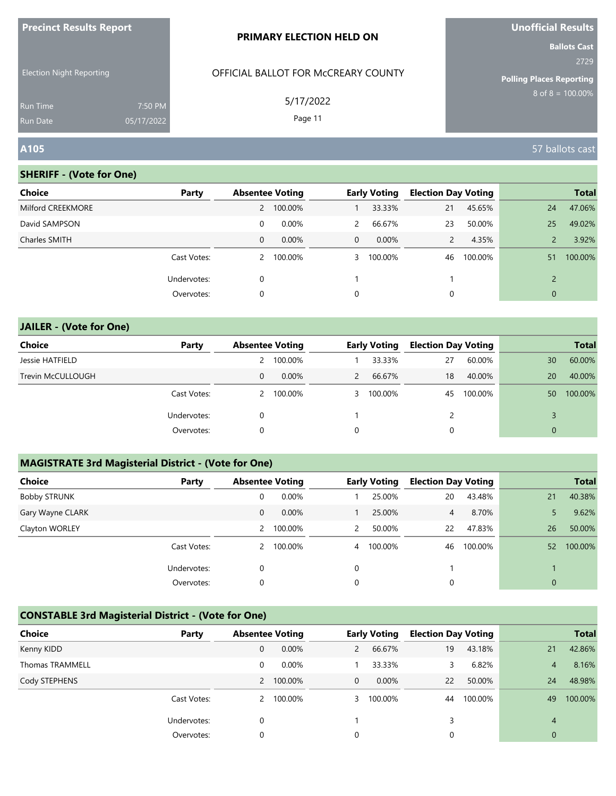| <b>Precinct Results Report</b>                              |  | <b>PRIMARY ELECTION HELD ON</b>     | <b>Unofficial Results</b>                                       |
|-------------------------------------------------------------|--|-------------------------------------|-----------------------------------------------------------------|
| <b>Election Night Reporting</b>                             |  | OFFICIAL BALLOT FOR MCCREARY COUNTY | <b>Ballots Cast</b><br>2729                                     |
| 7:50 PM<br><b>Run Time</b><br>05/17/2022<br><b>Run Date</b> |  | 5/17/2022<br>Page 11                | <b>Polling Places Reporting</b><br>$8 \text{ of } 8 = 100.00\%$ |
| A105                                                        |  |                                     | 57 ballots cast                                                 |

**Unofficial Results**

#### **SHERIFF - (Vote for One)**

| Party       |   |          |                        |          |                     |         |                            | <b>Total</b> |
|-------------|---|----------|------------------------|----------|---------------------|---------|----------------------------|--------------|
|             | 2 | 100.00%  |                        | 33.33%   | 21                  | 45.65%  | 24                         | 47.06%       |
|             | 0 | $0.00\%$ | 2                      | 66.67%   | 23                  | 50.00%  | 25                         | 49.02%       |
|             | 0 | 0.00%    | $\mathbf{0}$           | $0.00\%$ | $\overline{2}$      | 4.35%   |                            | 3.92%        |
| Cast Votes: | 2 | 100.00%  | 3                      | 100.00%  | 46                  | 100.00% | 51                         | 100.00%      |
| Undervotes: | 0 |          |                        |          |                     |         | $\mathcal{D}$              |              |
| Overvotes:  | 0 |          | 0                      |          | 0                   |         | $\mathbf{0}$               |              |
|             |   |          | <b>Absentee Voting</b> |          | <b>Early Voting</b> |         | <b>Election Day Voting</b> |              |

# **JAILER - (Vote for One) Choice Party Absentee Voting Early Voting Election Day Voting Total** Jessie HATFIELD 2 100.00% 1 33.33% 27 60.00% 30 60.00% Trevin McCULLOUGH 0 0.00% 2 66.67% 18 40.00% 20 40.00% Cast Votes: 2 100.00% 3 100.00% 45 100.00% 50 100.00% Undervotes: 0 1 2 3 Overvotes: 0 0 0 0

# **MAGISTRATE 3rd Magisterial District - (Vote for One)**

| <b>Choice</b>    | Party       | <b>Absentee Voting</b> |         |                | <b>Early Voting</b> | <b>Election Day Voting</b> |         |                 | <b>Total</b> |
|------------------|-------------|------------------------|---------|----------------|---------------------|----------------------------|---------|-----------------|--------------|
| Bobby STRUNK     |             | 0                      | 0.00%   |                | 25.00%              | 20                         | 43.48%  | 21              | 40.38%       |
| Gary Wayne CLARK |             | 0                      | 0.00%   |                | 25.00%              | 4                          | 8.70%   |                 | 9.62%        |
| Clayton WORLEY   |             | 2                      | 100.00% | $\mathcal{P}$  | 50.00%              | 22                         | 47.83%  | 26              | 50.00%       |
|                  | Cast Votes: |                        | 100.00% | $\overline{4}$ | 100.00%             | 46                         | 100.00% | 52 <sup>°</sup> | 100.00%      |
|                  | Undervotes: | 0                      |         | 0              |                     |                            |         |                 |              |
|                  | Overvotes:  | 0                      |         | 0              |                     | 0                          |         | $\mathbf{0}$    |              |

# **CONSTABLE 3rd Magisterial District - (Vote for One)**

| <b>Choice</b>          | Party       | <b>Absentee Voting</b> |           |                | <b>Early Voting</b> | <b>Election Day Voting</b> |         |             | <b>Total</b> |
|------------------------|-------------|------------------------|-----------|----------------|---------------------|----------------------------|---------|-------------|--------------|
| Kenny KIDD             |             | 0                      | 0.00%     | 2              | 66.67%              | 19                         | 43.18%  | 21          | 42.86%       |
| <b>Thomas TRAMMELL</b> |             | 0                      | $0.00\%$  |                | 33.33%              | 3                          | 6.82%   | 4           | 8.16%        |
| Cody STEPHENS          |             |                        | 2 100.00% | $\mathbf 0$    | $0.00\%$            | 22                         | 50.00%  | 24          | 48.98%       |
|                        | Cast Votes: | 2                      | 100.00%   | $\overline{3}$ | 100.00%             | 44                         | 100.00% | 49          | 100.00%      |
|                        | Undervotes: | 0                      |           |                |                     | 3                          |         | 4           |              |
|                        | Overvotes:  | 0                      |           | 0              |                     | 0                          |         | $\mathbf 0$ |              |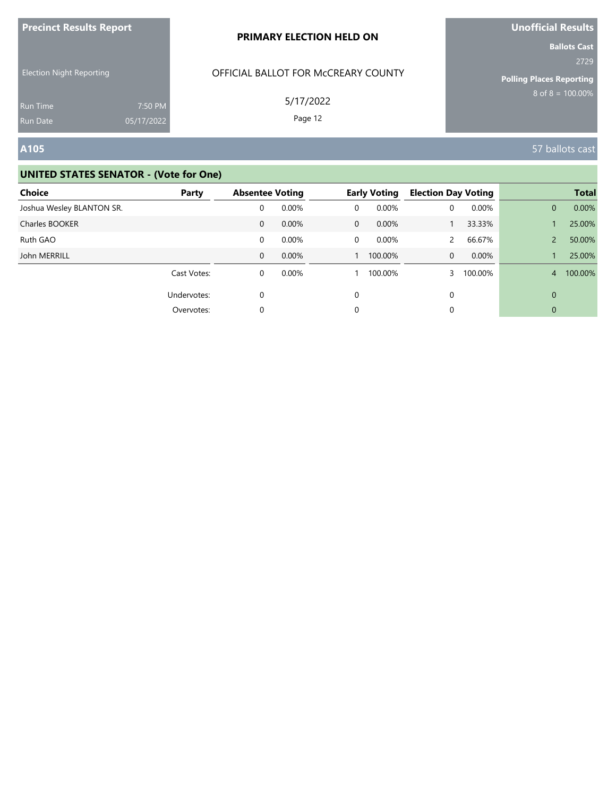| <b>Precinct Results Report</b>  |                       | <b>PRIMARY ELECTION HELD ON</b>     | <b>Unofficial Results</b>                                      |
|---------------------------------|-----------------------|-------------------------------------|----------------------------------------------------------------|
| <b>Election Night Reporting</b> |                       | OFFICIAL BALLOT FOR MCCREARY COUNTY | <b>Ballots Cast</b><br>2729<br><b>Polling Places Reporting</b> |
| <b>Run Time</b><br>Run Date     | 7:50 PM<br>05/17/2022 | 5/17/2022<br>Page 12                | $8 \text{ of } 8 = 100.00\%$                                   |
| A105                            |                       |                                     | 57 ballots cast                                                |

| <b>Choice</b>             | Party       | <b>Absentee Voting</b> |       |              | <b>Early Voting</b> | <b>Election Day Voting</b> |         |                | <b>Total</b> |
|---------------------------|-------------|------------------------|-------|--------------|---------------------|----------------------------|---------|----------------|--------------|
| Joshua Wesley BLANTON SR. |             | 0                      | 0.00% | $\Omega$     | 0.00%               | 0                          | 0.00%   | $\mathbf{0}$   | 0.00%        |
| Charles BOOKER            |             | $\mathbf{0}$           | 0.00% | $\mathbf{0}$ | $0.00\%$            |                            | 33.33%  |                | 25.00%       |
| Ruth GAO                  |             | 0                      | 0.00% | $\Omega$     | $0.00\%$            |                            | 66.67%  | $\overline{2}$ | 50.00%       |
| John MERRILL              |             | $\mathbf{0}$           | 0.00% |              | 100.00%             | $\Omega$                   | 0.00%   |                | 25.00%       |
|                           | Cast Votes: | 0                      | 0.00% |              | 100.00%             |                            | 100.00% | 4              | 100.00%      |
|                           | Undervotes: | $\mathbf 0$            |       | $\Omega$     |                     | 0                          |         | $\mathbf{0}$   |              |
|                           | Overvotes:  | 0                      |       | 0            |                     | 0                          |         | $\mathbf{0}$   |              |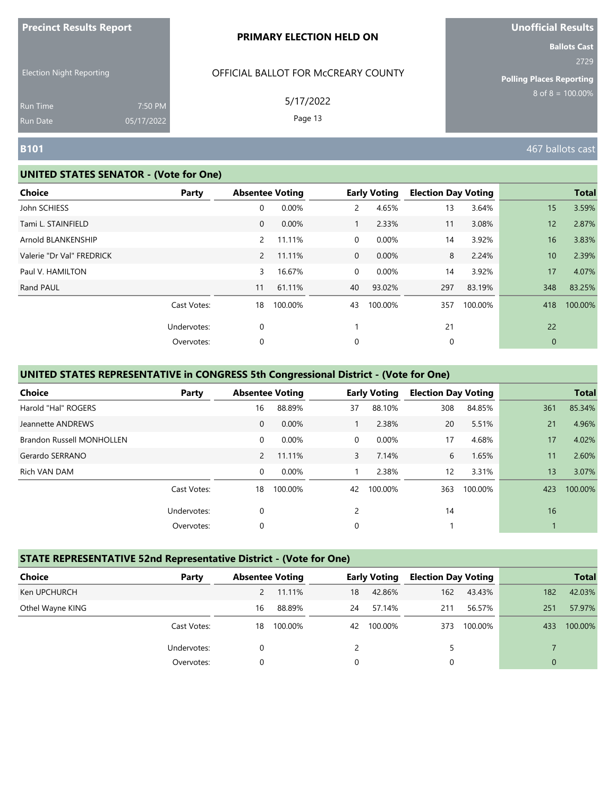| <b>Precinct Results Report</b> |  |  |
|--------------------------------|--|--|
|--------------------------------|--|--|

Election Night Reporting

## OFFICIAL BALLOT FOR McCREARY COUNTY

5/17/2022

Page 13

**Ballots Cast** 2729

**Polling Places Reporting**  $8$  of  $8 = 100.00\%$ 

Run Time Run Date

#### **UNITED STATES SENATOR - (Vote for One)**

7:50 PM 05/17/2022

| <b>Choice</b>             | Party       |                | <b>Absentee Voting</b> |                | <b>Early Voting</b> | <b>Election Day Voting</b> |         |                  | <b>Total</b> |
|---------------------------|-------------|----------------|------------------------|----------------|---------------------|----------------------------|---------|------------------|--------------|
| John SCHIESS              |             | 0              | 0.00%                  | $\mathbf{2}$   | 4.65%               | 13                         | 3.64%   | 15               | 3.59%        |
| Tami L. STAINFIELD        |             | $\mathbf{0}$   | 0.00%                  |                | 2.33%               | 11                         | 3.08%   | 12               | 2.87%        |
| Arnold BLANKENSHIP        |             | $\mathbf{2}$   | 11.11%                 | $\overline{0}$ | 0.00%               | 14                         | 3.92%   | 16               | 3.83%        |
| Valerie "Dr Val" FREDRICK |             | $\overline{2}$ | 11.11%                 | $\overline{0}$ | 0.00%               | 8                          | 2.24%   | 10 <sup>10</sup> | 2.39%        |
| Paul V. HAMILTON          |             | 3              | 16.67%                 | $\overline{0}$ | 0.00%               | 14                         | 3.92%   | 17               | 4.07%        |
| Rand PAUL                 |             | 11             | 61.11%                 | 40             | 93.02%              | 297                        | 83.19%  | 348              | 83.25%       |
|                           | Cast Votes: | 18             | 100.00%                | 43             | 100.00%             | 357                        | 100.00% | 418              | 100.00%      |
|                           | Undervotes: | 0              |                        |                |                     | 21                         |         | 22               |              |
|                           | Overvotes:  | 0              |                        | 0              |                     | 0                          |         | $\mathbf{0}$     |              |

## **UNITED STATES REPRESENTATIVE in CONGRESS 5th Congressional District - (Vote for One)**

| Choice                           | Party       |              | <b>Absentee Voting</b> |                | <b>Early Voting</b> | <b>Election Day Voting</b> |         |     | <b>Total</b> |
|----------------------------------|-------------|--------------|------------------------|----------------|---------------------|----------------------------|---------|-----|--------------|
| Harold "Hal" ROGERS              |             | 16           | 88.89%                 | 37             | 88.10%              | 308                        | 84.85%  | 361 | 85.34%       |
| Jeannette ANDREWS                |             | $\mathbf{0}$ | 0.00%                  |                | 2.38%               | 20                         | 5.51%   | 21  | 4.96%        |
| <b>Brandon Russell MONHOLLEN</b> |             | 0            | $0.00\%$               | $\Omega$       | 0.00%               | 17                         | 4.68%   | 17  | 4.02%        |
| Gerardo SERRANO                  |             | $\mathbf{2}$ | 11.11%                 | $\mathbf{3}$   | 7.14%               | 6                          | 1.65%   | 11  | 2.60%        |
| Rich VAN DAM                     |             | $\mathbf 0$  | 0.00%                  |                | 2.38%               | $12 \overline{ }$          | 3.31%   | 13  | 3.07%        |
|                                  | Cast Votes: | 18           | 100.00%                | 42             | 100.00%             | 363                        | 100.00% | 423 | 100.00%      |
|                                  | Undervotes: | 0            |                        | $\overline{2}$ |                     | 14                         |         | 16  |              |
|                                  | Overvotes:  | 0            |                        | 0              |                     |                            |         |     |              |

#### **STATE REPRESENTATIVE 52nd Representative District - (Vote for One)**

| Choice           | Party       | <b>Absentee Voting</b> |         |    | <b>Early Voting</b> | <b>Election Day Voting</b> |         |     | <b>Total</b> |
|------------------|-------------|------------------------|---------|----|---------------------|----------------------------|---------|-----|--------------|
| Ken UPCHURCH     |             |                        | 11.11%  | 18 | 42.86%              | 162                        | 43.43%  | 182 | 42.03%       |
| Othel Wayne KING |             | 16                     | 88.89%  | 24 | 57.14%              | 211                        | 56.57%  | 251 | 57.97%       |
|                  | Cast Votes: | 18                     | 100.00% | 42 | 100.00%             | 373                        | 100.00% | 433 | 100.00%      |
|                  | Undervotes: |                        |         |    |                     | 5                          |         |     |              |
|                  | Overvotes:  | $\Omega$               |         | 0  |                     |                            |         |     |              |

**B101** 467 ballots cast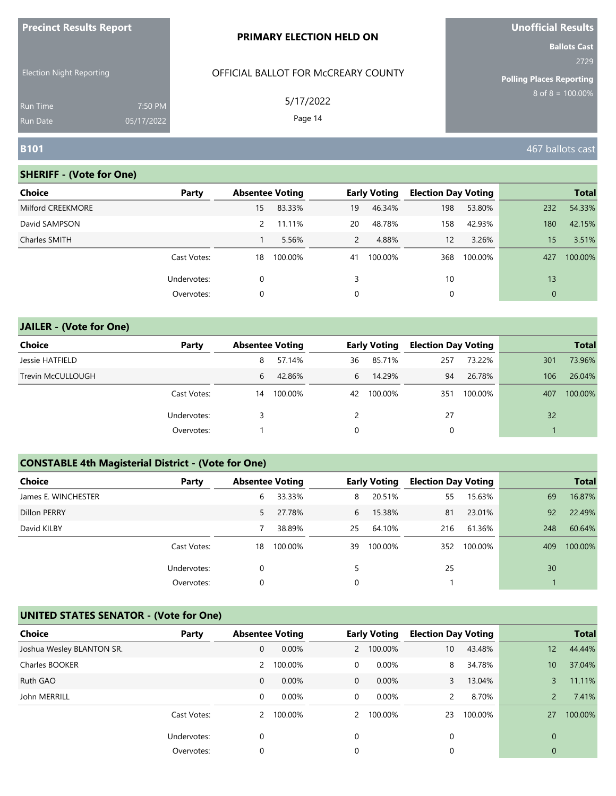| <b>Precinct Results Report</b>     |                       | <b>PRIMARY ELECTION HELD ON</b>     | Unofficial Results                                             |
|------------------------------------|-----------------------|-------------------------------------|----------------------------------------------------------------|
| <b>Election Night Reporting</b>    |                       | OFFICIAL BALLOT FOR MCCREARY COUNTY | <b>Ballots Cast</b><br>2729<br><b>Polling Places Reporting</b> |
| <b>Run Time</b><br><b>Run Date</b> | 7:50 PM<br>05/17/2022 | 5/17/2022<br>Page 14                | $8$ of $8 = 100.00\%$                                          |
| <b>B101</b>                        |                       |                                     | 467 ballots cast                                               |

| <b>Choice</b>     | Party       | <b>Absentee Voting</b> |         |                | <b>Early Voting</b> | <b>Election Day Voting</b> |         |              | <b>Total</b> |
|-------------------|-------------|------------------------|---------|----------------|---------------------|----------------------------|---------|--------------|--------------|
| Milford CREEKMORE |             | 15                     | 83.33%  | 19             | 46.34%              | 198                        | 53.80%  | 232          | 54.33%       |
| David SAMPSON     |             | $\mathcal{P}$          | 11.11%  | 20             | 48.78%              | 158                        | 42.93%  | 180          | 42.15%       |
| Charles SMITH     |             |                        | 5.56%   | $\overline{2}$ | 4.88%               | 12                         | 3.26%   | 15           | 3.51%        |
|                   | Cast Votes: | 18                     | 100.00% | 41             | 100.00%             | 368                        | 100.00% | 427          | 100.00%      |
|                   | Undervotes: | 0                      |         |                |                     | 10                         |         | 13           |              |
|                   | Overvotes:  | 0                      |         | 0              |                     |                            |         | $\mathbf{0}$ |              |

# **JAILER - (Vote for One) Choice Party Absentee Voting Early Voting Election Day Voting Total** Jessie HATFIELD 8 57.14% 36 85.71% 257 73.22% 301 73.96% Trevin McCULLOUGH **100 126.04%** 6 42.86% 6 14.29% 94 26.78% 106 26.04% Cast Votes: 14 100.00% 42 100.00% 351 100.00% 407 100.00% Undervotes: 3 2 27 32 Overvotes: 1 0 0 1

### **CONSTABLE 4th Magisterial District - (Vote for One)**

| <b>Choice</b>       | Party       | <b>Absentee Voting</b> |         |          | <b>Early Voting</b> | <b>Election Day Voting</b> |         |     | <b>Total</b> |
|---------------------|-------------|------------------------|---------|----------|---------------------|----------------------------|---------|-----|--------------|
| James E. WINCHESTER |             | 6                      | 33.33%  | 8        | 20.51%              | 55                         | 15.63%  | 69  | 16.87%       |
| Dillon PERRY        |             | 5.                     | 27.78%  | 6        | 15.38%              | 81                         | 23.01%  | 92  | 22.49%       |
| David KILBY         |             |                        | 38.89%  | 25       | 64.10%              | 216                        | 61.36%  | 248 | 60.64%       |
|                     | Cast Votes: | 18                     | 100.00% | 39       | 100.00%             | 352                        | 100.00% | 409 | 100.00%      |
|                     | Undervotes: | 0                      |         |          |                     | 25                         |         | 30  |              |
|                     | Overvotes:  | 0                      |         | $\Omega$ |                     |                            |         |     |              |

| Choice                    | Party       | <b>Absentee Voting</b> |         |              | <b>Early Voting</b> | <b>Election Day Voting</b> |         |               | <b>Total</b> |
|---------------------------|-------------|------------------------|---------|--------------|---------------------|----------------------------|---------|---------------|--------------|
| Joshua Wesley BLANTON SR. |             | $\mathbf{0}$           | 0.00%   |              | 2 100.00%           | 10                         | 43.48%  | 12            | 44.44%       |
| Charles BOOKER            |             | 2                      | 100.00% | 0            | $0.00\%$            | 8                          | 34.78%  | 10            | 37.04%       |
| Ruth GAO                  |             | 0                      | 0.00%   | $\mathbf{0}$ | $0.00\%$            | 3                          | 13.04%  | 3             | 11.11%       |
| John MERRILL              |             | 0                      | 0.00%   | 0            | 0.00%               | $\overline{2}$             | 8.70%   | $\mathcal{P}$ | 7.41%        |
|                           | Cast Votes: | $\mathbf{2}$           | 100.00% |              | 2 100.00%           | 23                         | 100.00% | 27            | 100.00%      |
|                           | Undervotes: | 0                      |         | $\Omega$     |                     | $\Omega$                   |         | $\Omega$      |              |
|                           | Overvotes:  | 0                      |         | 0            |                     |                            |         | 0             |              |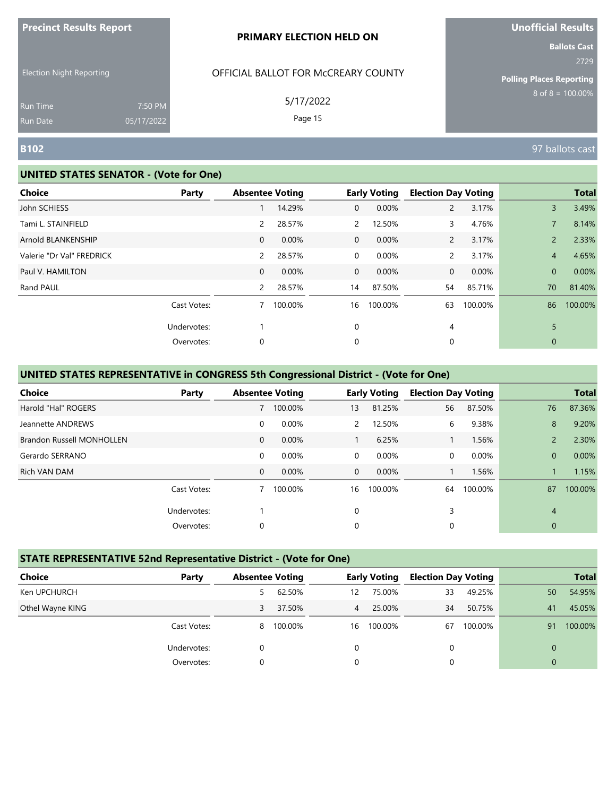| <b>Precinct Results Report</b> |  |  |
|--------------------------------|--|--|
|--------------------------------|--|--|

Election Night Reporting

## OFFICIAL BALLOT FOR McCREARY COUNTY

5/17/2022

Page 15

**Ballots Cast** 2729

**Polling Places Reporting**  $8$  of  $8 = 100.00\%$ 

Run Time Run Date

#### **UNITED STATES SENATOR - (Vote for One)**

7:50 PM 05/17/2022

| Choice                    | Party       |                | <b>Absentee Voting</b> |                | <b>Early Voting</b> | <b>Election Day Voting</b> |         |                | <b>Total</b> |
|---------------------------|-------------|----------------|------------------------|----------------|---------------------|----------------------------|---------|----------------|--------------|
| John SCHIESS              |             |                | 14.29%                 | $\overline{0}$ | 0.00%               | $\mathbf{2}$               | 3.17%   | 3              | 3.49%        |
| Tami L. STAINFIELD        |             | 2              | 28.57%                 | $\mathbf{2}$   | 12.50%              | 3                          | 4.76%   |                | 8.14%        |
| Arnold BLANKENSHIP        |             | $\mathbf 0$    | 0.00%                  | $\overline{0}$ | 0.00%               | $\mathbf{2}$               | 3.17%   | $\overline{2}$ | 2.33%        |
| Valerie "Dr Val" FREDRICK |             | $\overline{2}$ | 28.57%                 | $\overline{0}$ | 0.00%               | $\mathbf{2}$               | 3.17%   | $\overline{4}$ | 4.65%        |
| Paul V. HAMILTON          |             | 0              | 0.00%                  | $\overline{0}$ | 0.00%               | $\mathbf 0$                | 0.00%   | $\mathbf{0}$   | 0.00%        |
| Rand PAUL                 |             | $\mathbf{2}$   | 28.57%                 | 14             | 87.50%              | 54                         | 85.71%  | 70             | 81.40%       |
|                           | Cast Votes: |                | 100.00%                | 16             | 100.00%             | 63                         | 100.00% | 86             | 100.00%      |
|                           | Undervotes: |                |                        | $\mathbf 0$    |                     | 4                          |         | 5              |              |
|                           | Overvotes:  | 0              |                        | 0              |                     | 0                          |         | $\mathbf{0}$   |              |

### **UNITED STATES REPRESENTATIVE in CONGRESS 5th Congressional District - (Vote for One)**

| Choice                           | Party       |              | <b>Absentee Voting</b> |               | <b>Early Voting</b> | <b>Election Day Voting</b> |         |                | <b>Total</b> |
|----------------------------------|-------------|--------------|------------------------|---------------|---------------------|----------------------------|---------|----------------|--------------|
| Harold "Hal" ROGERS              |             |              | 100.00%                | 13            | 81.25%              | 56                         | 87.50%  | 76             | 87.36%       |
| Jeannette ANDREWS                |             | 0            | 0.00%                  | $\mathcal{P}$ | 12.50%              | 6                          | 9.38%   | 8              | 9.20%        |
| <b>Brandon Russell MONHOLLEN</b> |             | $\mathbf{0}$ | $0.00\%$               |               | 6.25%               |                            | 1.56%   | $\mathcal{P}$  | 2.30%        |
| Gerardo SERRANO                  |             | 0            | 0.00%                  | $\Omega$      | 0.00%               | 0                          | 0.00%   | $\overline{0}$ | 0.00%        |
| Rich VAN DAM                     |             | $\mathbf{0}$ | 0.00%                  | $\Omega$      | $0.00\%$            |                            | 1.56%   |                | 1.15%        |
|                                  | Cast Votes: |              | 100.00%                | 16            | 100.00%             | 64                         | 100.00% | 87             | 100.00%      |
|                                  | Undervotes: |              |                        | $\Omega$      |                     | 3                          |         | $\overline{4}$ |              |
|                                  | Overvotes:  | 0            |                        | 0             |                     | 0                          |         | $\mathbf{0}$   |              |

#### **STATE REPRESENTATIVE 52nd Representative District - (Vote for One)**

| Choice           | Party       | <b>Absentee Voting</b> |         |                | <b>Early Voting</b> | <b>Election Day Voting</b> |         |              | <b>Total</b> |
|------------------|-------------|------------------------|---------|----------------|---------------------|----------------------------|---------|--------------|--------------|
| Ken UPCHURCH     |             | 5                      | 62.50%  | 12             | 75.00%              | 33                         | 49.25%  | 50           | 54.95%       |
| Othel Wayne KING |             | 3                      | 37.50%  | $\overline{4}$ | 25.00%              | 34                         | 50.75%  | 41           | 45.05%       |
|                  | Cast Votes: | 8                      | 100.00% | 16             | 100.00%             | 67                         | 100.00% | 91           | 100.00%      |
|                  | Undervotes: | 0                      |         | 0              |                     | 0                          |         | $\mathbf{0}$ |              |
|                  | Overvotes:  | 0                      |         |                |                     | 0                          |         | $\mathbf{0}$ |              |

**B102** 97 ballots cast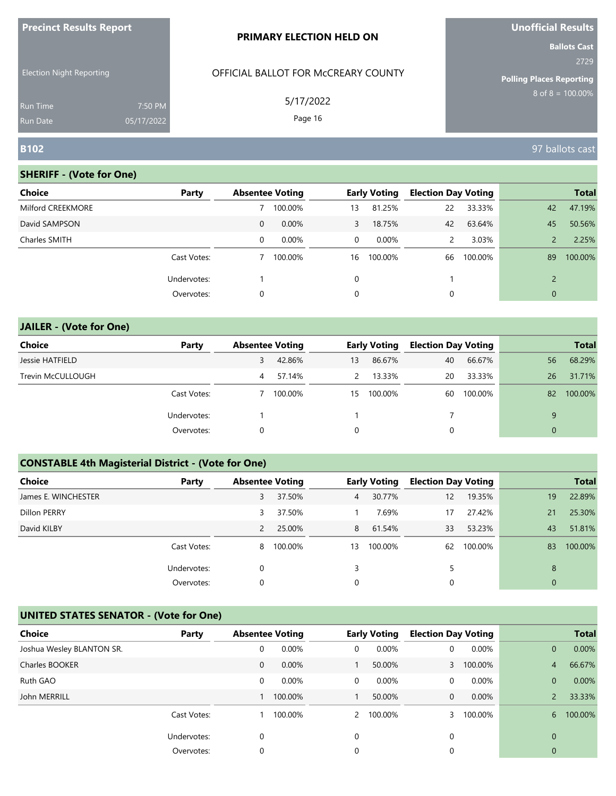| <b>Precinct Results Report</b>     |                       | <b>PRIMARY ELECTION HELD ON</b>     | <b>Unofficial Results</b>                                      |
|------------------------------------|-----------------------|-------------------------------------|----------------------------------------------------------------|
| <b>Election Night Reporting</b>    |                       | OFFICIAL BALLOT FOR MCCREARY COUNTY | <b>Ballots Cast</b><br>2729<br><b>Polling Places Reporting</b> |
| <b>Run Time</b><br><b>Run Date</b> | 7:50 PM<br>05/17/2022 | 5/17/2022<br>Page 16                | $8$ of $8 = 100.00\%$                                          |
| <b>B102</b>                        |                       |                                     | 97 ballots cast                                                |

| <b>Choice</b>     | Party       |             | <b>Absentee Voting</b> |          | <b>Early Voting</b> | <b>Election Day Voting</b> |         |               | <b>Total</b> |
|-------------------|-------------|-------------|------------------------|----------|---------------------|----------------------------|---------|---------------|--------------|
| Milford CREEKMORE |             |             | 100.00%                | 13       | 81.25%              | 22                         | 33.33%  | 42            | 47.19%       |
| David SAMPSON     |             | $\mathbf 0$ | 0.00%                  | 3        | 18.75%              | 42                         | 63.64%  | 45            | 50.56%       |
| Charles SMITH     |             | 0           | 0.00%                  | 0        | 0.00%               | 2                          | 3.03%   |               | 2.25%        |
|                   | Cast Votes: |             | 100.00%                | 16       | 100.00%             | 66                         | 100.00% | 89            | 100.00%      |
|                   | Undervotes: |             |                        | $\Omega$ |                     |                            |         | $\mathcal{D}$ |              |
|                   | Overvotes:  | 0           |                        | 0        |                     | 0                          |         | $\mathbf 0$   |              |

| <b>JAILER - (Vote for One)</b> |             |   |                        |               |                     |                            |         |              |              |
|--------------------------------|-------------|---|------------------------|---------------|---------------------|----------------------------|---------|--------------|--------------|
| <b>Choice</b>                  | Party       |   | <b>Absentee Voting</b> |               | <b>Early Voting</b> | <b>Election Day Voting</b> |         |              | <b>Total</b> |
| Jessie HATFIELD                |             | 3 | 42.86%                 | 13            | 86.67%              | 40                         | 66.67%  | 56           | 68.29%       |
| Trevin McCULLOUGH              |             | 4 | 57.14%                 | $\mathcal{P}$ | 13.33%              | 20                         | 33.33%  | 26           | 31.71%       |
|                                | Cast Votes: |   | 100.00%                | 15            | 100.00%             | 60                         | 100.00% | 82           | 100.00%      |
|                                | Undervotes: |   |                        |               |                     |                            |         | 9            |              |
|                                | Overvotes:  | 0 |                        | 0             |                     | 0                          |         | $\mathbf{0}$ |              |

# **CONSTABLE 4th Magisterial District - (Vote for One)**

| <b>Choice</b>       | Party       | <b>Absentee Voting</b> |         |                | <b>Early Voting</b> | <b>Election Day Voting</b> |         |              | <b>Total</b> |
|---------------------|-------------|------------------------|---------|----------------|---------------------|----------------------------|---------|--------------|--------------|
| James E. WINCHESTER |             | 3                      | 37.50%  | 4 <sup>7</sup> | 30.77%              | 12                         | 19.35%  | 19           | 22.89%       |
| Dillon PERRY        |             | 3                      | 37.50%  |                | 7.69%               | 17                         | 27.42%  | 21           | 25.30%       |
| David KILBY         |             | 2                      | 25.00%  | 8              | 61.54%              | 33                         | 53.23%  | 43           | 51.81%       |
|                     | Cast Votes: | 8                      | 100.00% | 13             | 100.00%             | 62                         | 100.00% | 83           | 100.00%      |
|                     | Undervotes: | 0                      |         | 3              |                     | 5                          |         | 8            |              |
|                     | Overvotes:  | 0                      |         | 0              |                     | 0                          |         | $\mathbf{0}$ |              |

| <b>Choice</b>             | Party       | <b>Absentee Voting</b> |         |                | <b>Early Voting</b> | <b>Election Day Voting</b> |         |                | <b>Total</b> |
|---------------------------|-------------|------------------------|---------|----------------|---------------------|----------------------------|---------|----------------|--------------|
| Joshua Wesley BLANTON SR. |             | 0                      | 0.00%   | 0              | 0.00%               | 0                          | 0.00%   | $\overline{0}$ | 0.00%        |
| Charles BOOKER            |             | 0                      | 0.00%   |                | 50.00%              | $\mathbf{3}$               | 100.00% | 4              | 66.67%       |
| Ruth GAO                  |             | 0                      | 0.00%   | 0              | 0.00%               | 0                          | 0.00%   | $\overline{0}$ | 0.00%        |
| John MERRILL              |             |                        | 100.00% |                | 50.00%              | 0                          | 0.00%   |                | 33.33%       |
|                           | Cast Votes: |                        | 100.00% | $\overline{2}$ | 100.00%             |                            | 100.00% | 6              | 100.00%      |
|                           | Undervotes: | 0                      |         | $\Omega$       |                     | $\Omega$                   |         | $\Omega$       |              |
|                           | Overvotes:  | 0                      |         | 0              |                     |                            |         | 0              |              |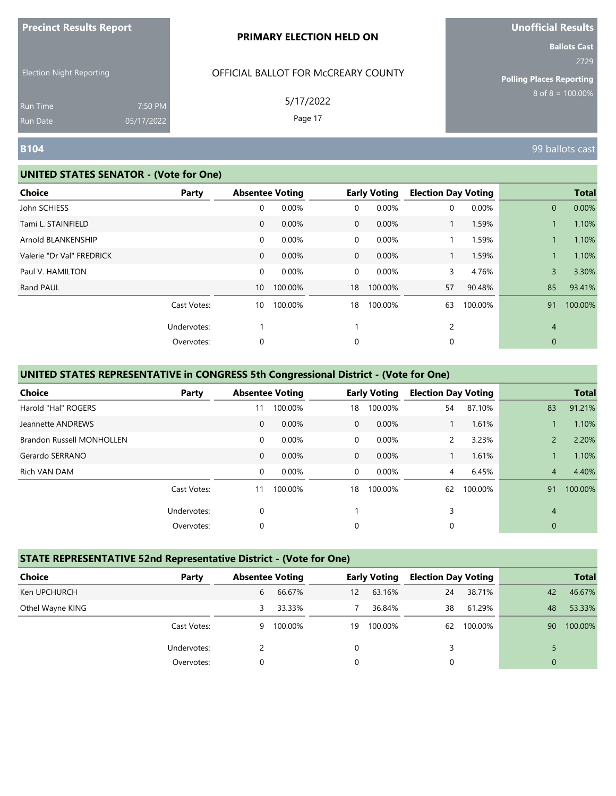| <b>Precinct Results Report</b> |  |  |
|--------------------------------|--|--|
|--------------------------------|--|--|

Election Night Reporting

## OFFICIAL BALLOT FOR McCREARY COUNTY

5/17/2022

Page 17

**Ballots Cast** 2729

**Polling Places Reporting**  $8$  of  $8 = 100.00\%$ 

Run Time Run Date

#### **UNITED STATES SENATOR - (Vote for One)**

7:50 PM 05/17/2022

| <b>Choice</b>             | Party       |                 | <b>Absentee Voting</b> |                | <b>Early Voting</b> | <b>Election Day Voting</b> |          |                | <b>Total</b> |
|---------------------------|-------------|-----------------|------------------------|----------------|---------------------|----------------------------|----------|----------------|--------------|
| John SCHIESS              |             | 0               | 0.00%                  | 0              | 0.00%               | 0                          | $0.00\%$ | $\overline{0}$ | 0.00%        |
| Tami L. STAINFIELD        |             | $\mathbf{0}$    | 0.00%                  | $\mathbf{0}$   | 0.00%               |                            | 1.59%    |                | 1.10%        |
| Arnold BLANKENSHIP        |             | 0               | 0.00%                  | $\overline{0}$ | 0.00%               |                            | 1.59%    |                | 1.10%        |
| Valerie "Dr Val" FREDRICK |             | $\mathbf{0}$    | 0.00%                  | $\mathbf{0}$   | 0.00%               | $\mathbf{1}$               | 1.59%    |                | 1.10%        |
| Paul V. HAMILTON          |             | 0               | 0.00%                  | $\overline{0}$ | 0.00%               | 3                          | 4.76%    | $\overline{3}$ | 3.30%        |
| Rand PAUL                 |             | 10 <sup>°</sup> | 100.00%                | 18             | 100.00%             | 57                         | 90.48%   | 85             | 93.41%       |
|                           | Cast Votes: | 10              | 100.00%                | 18             | 100.00%             | 63                         | 100.00%  | 91             | 100.00%      |
|                           | Undervotes: |                 |                        |                |                     | $\overline{c}$             |          | $\overline{4}$ |              |
|                           | Overvotes:  | 0               |                        | 0              |                     | 0                          |          | $\mathbf{0}$   |              |

### **UNITED STATES REPRESENTATIVE in CONGRESS 5th Congressional District - (Vote for One)**

| <b>Choice</b>                    | Party       |              | <b>Absentee Voting</b> |                | <b>Early Voting</b> | <b>Election Day Voting</b> |         |                | <b>Total</b> |
|----------------------------------|-------------|--------------|------------------------|----------------|---------------------|----------------------------|---------|----------------|--------------|
| Harold "Hal" ROGERS              |             | 11           | 100.00%                | 18             | 100.00%             | 54                         | 87.10%  | 83             | 91.21%       |
| Jeannette ANDREWS                |             | $\mathbf{0}$ | 0.00%                  | $\overline{0}$ | 0.00%               |                            | 1.61%   |                | 1.10%        |
| <b>Brandon Russell MONHOLLEN</b> |             | 0            | 0.00%                  | $\Omega$       | 0.00%               | $\overline{2}$             | 3.23%   | $\overline{2}$ | 2.20%        |
| Gerardo SERRANO                  |             | $\mathbf{0}$ | 0.00%                  | $\mathbf 0$    | 0.00%               |                            | 1.61%   |                | 1.10%        |
| Rich VAN DAM                     |             | 0            | 0.00%                  | $\Omega$       | 0.00%               | 4                          | 6.45%   | $\overline{4}$ | 4.40%        |
|                                  | Cast Votes: | 11           | 100.00%                | 18             | 100.00%             | 62                         | 100.00% | 91             | 100.00%      |
|                                  | Undervotes: | 0            |                        |                |                     | 3                          |         | $\overline{4}$ |              |
|                                  | Overvotes:  | 0            |                        | 0              |                     | 0                          |         | $\mathbf{0}$   |              |

#### **STATE REPRESENTATIVE 52nd Representative District - (Vote for One)**

| <b>Choice</b><br>Party |    | <b>Absentee Voting</b> |    | <b>Early Voting</b> | <b>Election Day Voting</b> |         |              | <b>Total</b> |
|------------------------|----|------------------------|----|---------------------|----------------------------|---------|--------------|--------------|
| Ken UPCHURCH           | 6  | 66.67%                 | 12 | 63.16%              | 24                         | 38.71%  | 42           | 46.67%       |
| Othel Wayne KING       | 3. | 33.33%                 |    | 36.84%              | 38                         | 61.29%  | 48           | 53.33%       |
| Cast Votes:            | 9  | 100.00%                | 19 | 100.00%             | 62                         | 100.00% | 90           | 100.00%      |
| Undervotes:            |    |                        | 0  |                     | 3                          |         |              |              |
| Overvotes:             | 0  |                        | 0  |                     | 0                          |         | $\mathbf{0}$ |              |

**B104** 99 ballots cast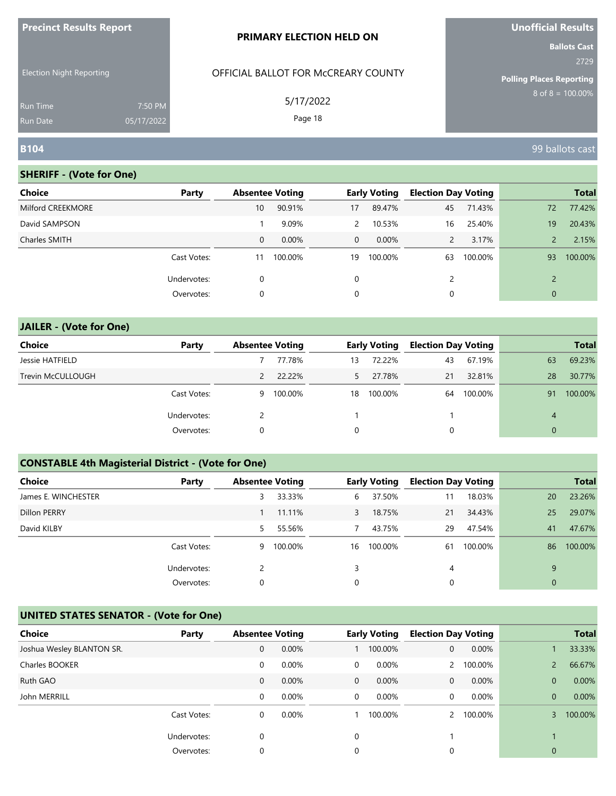| <b>Precinct Results Report</b>     |                       | <b>PRIMARY ELECTION HELD ON</b>     | Unofficial Results                                             |
|------------------------------------|-----------------------|-------------------------------------|----------------------------------------------------------------|
| <b>Election Night Reporting</b>    |                       | OFFICIAL BALLOT FOR MCCREARY COUNTY | <b>Ballots Cast</b><br>2729<br><b>Polling Places Reporting</b> |
| <b>Run Time</b><br><b>Run Date</b> | 7:50 PM<br>05/17/2022 | 5/17/2022<br>Page 18                | $8$ of $8 = 100.00\%$                                          |
| <b>B104</b>                        |                       |                                     | 99 ballots cast                                                |

| <b>Choice</b>     | Party       | <b>Absentee Voting</b> |         |                | <b>Early Voting</b> | <b>Election Day Voting</b> |         |               | <b>Total</b> |
|-------------------|-------------|------------------------|---------|----------------|---------------------|----------------------------|---------|---------------|--------------|
| Milford CREEKMORE |             | 10                     | 90.91%  | 17             | 89.47%              | 45                         | 71.43%  | 72            | 77.42%       |
| David SAMPSON     |             |                        | 9.09%   | $\overline{2}$ | 10.53%              | 16                         | 25.40%  | 19            | 20.43%       |
| Charles SMITH     |             | $\mathbf 0$            | 0.00%   | $\overline{0}$ | $0.00\%$            | 2                          | 3.17%   |               | 2.15%        |
|                   | Cast Votes: | 11                     | 100.00% | 19             | 100.00%             | 63                         | 100.00% | 93            | 100.00%      |
|                   | Undervotes: | 0                      |         | 0              |                     | 2                          |         | $\mathcal{D}$ |              |
|                   | Overvotes:  | 0                      |         | 0              |                     | 0                          |         | 0             |              |

# **JAILER - (Vote for One) Choice Party Absentee Voting Early Voting Election Day Voting Total** Jessie HATFIELD 7 77.78% 13 72.22% 43 67.19% 63 69.23% Trevin McCULLOUGH 2 22.22% 5 27.78% 21 32.81% 28 30.77% Cast Votes: 9 100.00% 18 100.00% 64 100.00% 91 100.00% Undervotes: 2 1 1 4 Overvotes: 0 0 0 0

### **CONSTABLE 4th Magisterial District - (Vote for One)**

| <b>Choice</b>       | Party       | <b>Absentee Voting</b> |         |    | <b>Early Voting</b> | <b>Election Day Voting</b> |         |              | <b>Total</b> |
|---------------------|-------------|------------------------|---------|----|---------------------|----------------------------|---------|--------------|--------------|
| James E. WINCHESTER |             | 3                      | 33.33%  | 6  | 37.50%              | 11                         | 18.03%  | 20           | 23.26%       |
| Dillon PERRY        |             |                        | 11.11%  | 3  | 18.75%              | 21                         | 34.43%  | 25           | 29.07%       |
| David KILBY         |             | 5.                     | 55.56%  |    | 43.75%              | 29                         | 47.54%  | 41           | 47.67%       |
|                     | Cast Votes: | 9                      | 100.00% | 16 | 100.00%             | 61                         | 100.00% | 86           | 100.00%      |
|                     | Undervotes: |                        |         | 3  |                     | 4                          |         | 9            |              |
|                     | Overvotes:  | 0                      |         | 0  |                     | 0                          |         | $\mathbf{0}$ |              |

| <b>Choice</b>             | Party       | <b>Absentee Voting</b> |       |              | <b>Early Voting</b> | <b>Election Day Voting</b> |          |                | <b>Total</b> |
|---------------------------|-------------|------------------------|-------|--------------|---------------------|----------------------------|----------|----------------|--------------|
| Joshua Wesley BLANTON SR. |             | 0                      | 0.00% |              | 100.00%             | $\mathbf{0}$               | 0.00%    |                | 33.33%       |
| Charles BOOKER            |             | 0                      | 0.00% | 0            | 0.00%               | $\mathbf{2}$               | 100.00%  |                | 66.67%       |
| Ruth GAO                  |             | 0                      | 0.00% | $\mathbf{0}$ | $0.00\%$            | 0                          | $0.00\%$ | $\overline{0}$ | 0.00%        |
| John MERRILL              |             | 0                      | 0.00% | 0            | $0.00\%$            | $\Omega$                   | 0.00%    | $\Omega$       | 0.00%        |
|                           | Cast Votes: | 0                      | 0.00% |              | 100.00%             |                            | 100.00%  | 3              | 100.00%      |
|                           | Undervotes: | 0                      |       | $\Omega$     |                     |                            |          |                |              |
|                           | Overvotes:  | 0                      |       | 0            |                     |                            |          | 0              |              |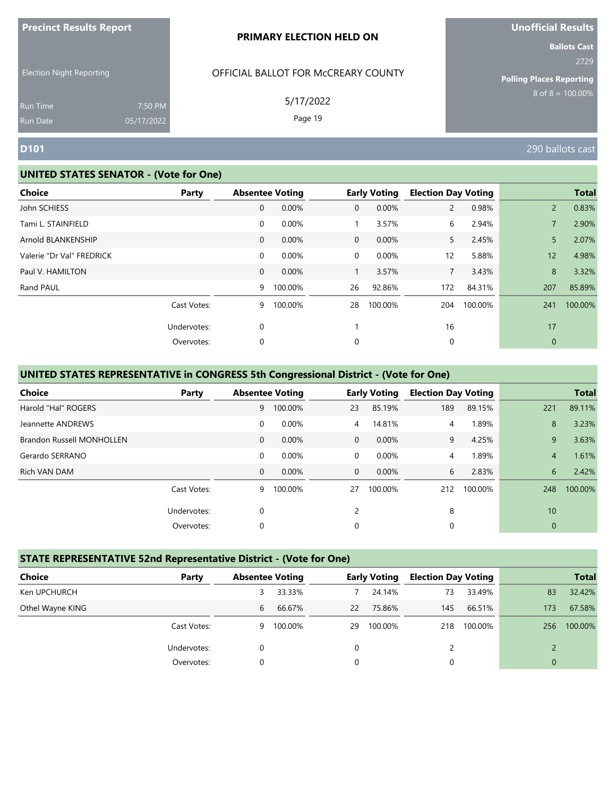| <b>Precinct Results Report</b> |  |  |
|--------------------------------|--|--|
|--------------------------------|--|--|

Election Night Reporting

## OFFICIAL BALLOT FOR McCREARY COUNTY

5/17/2022

Page 19

# **Unofficial Results**

**Ballots Cast** 2729

**Polling Places Reporting**  $8$  of  $8 = 100.00\%$ 

Run Time Run Date

#### **UNITED STATES SENATOR - (Vote for One)**

7:50 PM 05/17/2022

| <b>Choice</b>             | Party       |              | <b>Absentee Voting</b> |                | <b>Early Voting</b> | <b>Election Day Voting</b> |         |                | <b>Total</b> |
|---------------------------|-------------|--------------|------------------------|----------------|---------------------|----------------------------|---------|----------------|--------------|
| John SCHIESS              |             | 0            | 0.00%                  | $\mathbf{0}$   | 0.00%               | $\overline{2}$             | 0.98%   | $\overline{2}$ | 0.83%        |
| Tami L. STAINFIELD        |             | 0            | 0.00%                  |                | 3.57%               | 6                          | 2.94%   |                | 2.90%        |
| Arnold BLANKENSHIP        |             | $\mathbf 0$  | 0.00%                  | $\overline{0}$ | 0.00%               | 5                          | 2.45%   | 5              | 2.07%        |
| Valerie "Dr Val" FREDRICK |             | 0            | 0.00%                  | $\overline{0}$ | 0.00%               | $12 \overline{ }$          | 5.88%   | 12             | 4.98%        |
| Paul V. HAMILTON          |             | $\mathbf{0}$ | 0.00%                  | 1              | 3.57%               | $\overline{7}$             | 3.43%   | 8              | 3.32%        |
| Rand PAUL                 |             | 9            | 100.00%                | 26             | 92.86%              | 172                        | 84.31%  | 207            | 85.89%       |
|                           | Cast Votes: | 9            | 100.00%                | 28             | 100.00%             | 204                        | 100.00% | 241            | 100.00%      |
|                           | Undervotes: | 0            |                        |                |                     | 16                         |         | 17             |              |
|                           | Overvotes:  | 0            |                        | 0              |                     | 0                          |         | $\mathbf{0}$   |              |

### **UNITED STATES REPRESENTATIVE in CONGRESS 5th Congressional District - (Vote for One)**

| <b>Choice</b>                    | Party       |              | <b>Absentee Voting</b> |                | <b>Early Voting</b> | <b>Election Day Voting</b> |         |                | <b>Total</b> |
|----------------------------------|-------------|--------------|------------------------|----------------|---------------------|----------------------------|---------|----------------|--------------|
| Harold "Hal" ROGERS              |             | 9            | 100.00%                | 23             | 85.19%              | 189                        | 89.15%  | 221            | 89.11%       |
| Jeannette ANDREWS                |             | 0            | 0.00%                  | $\overline{4}$ | 14.81%              | 4                          | 1.89%   | 8              | 3.23%        |
| <b>Brandon Russell MONHOLLEN</b> |             | $\mathbf{0}$ | $0.00\%$               | $\Omega$       | $0.00\%$            | 9                          | 4.25%   | 9              | 3.63%        |
| Gerardo SERRANO                  |             | 0            | 0.00%                  | $\Omega$       | 0.00%               | 4                          | 1.89%   | $\overline{4}$ | 1.61%        |
| Rich VAN DAM                     |             | $\mathbf{0}$ | 0.00%                  | $\Omega$       | $0.00\%$            | 6                          | 2.83%   | 6              | 2.42%        |
|                                  | Cast Votes: | 9            | 100.00%                | 27             | 100.00%             | 212                        | 100.00% | 248            | 100.00%      |
|                                  | Undervotes: | 0            |                        |                |                     | 8                          |         | 10             |              |
|                                  | Overvotes:  | 0            |                        | $\Omega$       |                     | 0                          |         | $\mathbf{0}$   |              |

#### **STATE REPRESENTATIVE 52nd Representative District - (Vote for One)**

| <b>Choice</b>    | Party       | <b>Absentee Voting</b> |         |    | <b>Early Voting</b> | <b>Election Day Voting</b> |         |          | <b>Total</b> |
|------------------|-------------|------------------------|---------|----|---------------------|----------------------------|---------|----------|--------------|
| Ken UPCHURCH     |             | 3                      | 33.33%  |    | 24.14%              | 73                         | 33.49%  | 83       | 32.42%       |
| Othel Wayne KING |             | 6                      | 66.67%  | 22 | 75.86%              | 145                        | 66.51%  | 173      | 67.58%       |
|                  | Cast Votes: | 9                      | 100.00% | 29 | 100.00%             | 218                        | 100.00% | 256      | 100.00%      |
|                  | Undervotes: | 0                      |         | 0  |                     |                            |         |          |              |
|                  | Overvotes:  |                        |         | 0  |                     | 0                          |         | $\Omega$ |              |

**D101** 290 ballots cast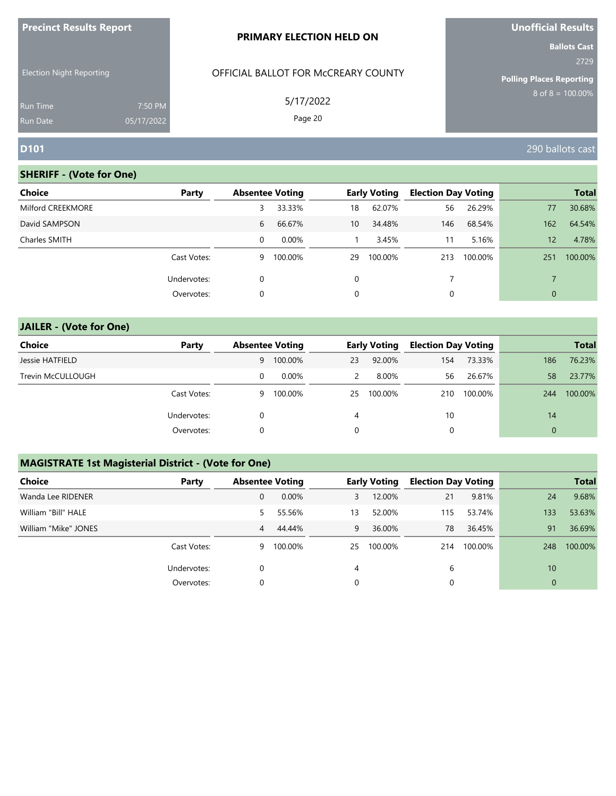| <b>Precinct Results Report</b>  |            | <b>PRIMARY ELECTION HELD ON</b>     | Unofficial Results              |
|---------------------------------|------------|-------------------------------------|---------------------------------|
|                                 |            |                                     | <b>Ballots Cast</b><br>2729     |
| <b>Election Night Reporting</b> |            | OFFICIAL BALLOT FOR MCCREARY COUNTY | <b>Polling Places Reporting</b> |
| <b>Run Time</b>                 | 7:50 PM    | 5/17/2022                           | $8 \text{ of } 8 = 100.00\%$    |
| <b>Run Date</b>                 | 05/17/2022 | Page 20                             |                                 |
| <b>D101</b>                     |            |                                     | 290 ballots cast                |

| <b>Choice</b>     | Party       | <b>Absentee Voting</b> |         |          | <b>Early Voting</b> | <b>Election Day Voting</b> |         |                | <b>Total</b> |
|-------------------|-------------|------------------------|---------|----------|---------------------|----------------------------|---------|----------------|--------------|
| Milford CREEKMORE |             | 3                      | 33.33%  | 18       | 62.07%              | 56                         | 26.29%  | 77             | 30.68%       |
| David SAMPSON     |             | 6                      | 66.67%  | 10       | 34.48%              | 146                        | 68.54%  | 162            | 64.54%       |
| Charles SMITH     |             | 0                      | 0.00%   |          | 3.45%               | 11                         | 5.16%   | 12             | 4.78%        |
|                   | Cast Votes: | 9                      | 100.00% | 29       | 100.00%             | 213                        | 100.00% | 251            | 100.00%      |
|                   | Undervotes: | 0                      |         | $\Omega$ |                     |                            |         |                |              |
|                   | Overvotes:  | 0                      |         | 0        |                     | 0                          |         | $\overline{0}$ |              |

| <b>JAILER - (Vote for One)</b> |             |   |                        |               |                     |                            |         |              |              |
|--------------------------------|-------------|---|------------------------|---------------|---------------------|----------------------------|---------|--------------|--------------|
| <b>Choice</b>                  | Party       |   | <b>Absentee Voting</b> |               | <b>Early Voting</b> | <b>Election Day Voting</b> |         |              | <b>Total</b> |
| Jessie HATFIELD                |             | 9 | 100.00%                | 23            | 92.00%              | 154                        | 73.33%  | 186          | 76.23%       |
| Trevin McCULLOUGH              |             | 0 | $0.00\%$               | $\mathcal{P}$ | 8.00%               | 56                         | 26.67%  | 58           | 23.77%       |
|                                | Cast Votes: | 9 | 100.00%                | 25            | 100.00%             | 210                        | 100.00% | 244          | 100.00%      |
|                                | Undervotes: | 0 |                        | 4             |                     | 10                         |         | 14           |              |
|                                | Overvotes:  | 0 |                        | 0             |                     | 0                          |         | $\mathbf{0}$ |              |

# **MAGISTRATE 1st Magisterial District - (Vote for One)**

| <b>Choice</b>        | Party       | <b>Absentee Voting</b> |           |    | <b>Early Voting</b> | <b>Election Day Voting</b> |         |              | <b>Total</b> |
|----------------------|-------------|------------------------|-----------|----|---------------------|----------------------------|---------|--------------|--------------|
| Wanda Lee RIDENER    |             | $\mathbf{0}$           | 0.00%     | 3  | 12.00%              | 21                         | 9.81%   | 24           | 9.68%        |
| William "Bill" HALE  |             | 5.                     | 55.56%    | 13 | 52.00%              | 115                        | 53.74%  | 133          | 53.63%       |
| William "Mike" JONES |             | 4                      | 44.44%    | 9  | 36.00%              | 78                         | 36.45%  | 91           | 36.69%       |
|                      | Cast Votes: |                        | 9 100.00% | 25 | 100.00%             | 214                        | 100.00% | 248          | 100.00%      |
|                      | Undervotes: | 0                      |           | 4  |                     | 6                          |         | 10           |              |
|                      | Overvotes:  | $\Omega$               |           |    |                     | 0                          |         | $\mathbf{0}$ |              |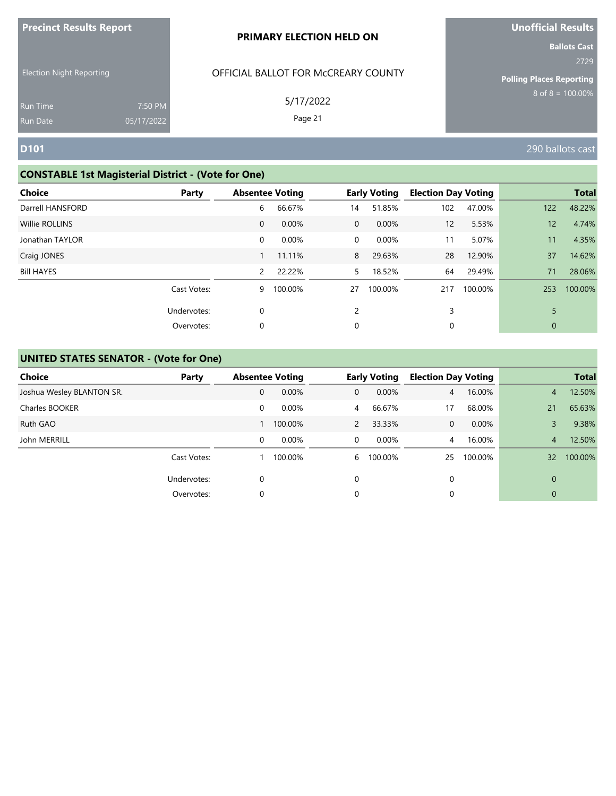| <b>Precinct Results Report</b>     |                       | <b>PRIMARY ELECTION HELD ON</b>     | <b>Unofficial Results</b>                                      |
|------------------------------------|-----------------------|-------------------------------------|----------------------------------------------------------------|
| <b>Election Night Reporting</b>    |                       | OFFICIAL BALLOT FOR MCCREARY COUNTY | <b>Ballots Cast</b><br>2729<br><b>Polling Places Reporting</b> |
| <b>Run Time</b><br><b>Run Date</b> | 7:50 PM<br>05/17/2022 | 5/17/2022<br>Page 21                | $8 \text{ of } 8 = 100.00\%$                                   |
| <b>D101</b>                        |                       |                                     | 290 ballots cast                                               |

# **CONSTABLE 1st Magisterial District - (Vote for One)**

| <b>Choice</b>         | Party            |                       | <b>Absentee Voting</b> |                | <b>Early Voting</b> | <b>Election Day Voting</b> |         |                   | <b>Total</b> |
|-----------------------|------------------|-----------------------|------------------------|----------------|---------------------|----------------------------|---------|-------------------|--------------|
| Darrell HANSFORD      |                  | 6                     | 66.67%                 | 14             | 51.85%              | 102                        | 47.00%  | 122               | 48.22%       |
| <b>Willie ROLLINS</b> |                  | $\mathbf{0}$          | 0.00%                  | $\overline{0}$ | 0.00%               | 12                         | 5.53%   | $12 \overline{ }$ | 4.74%        |
| Jonathan TAYLOR       | $\mathbf 0$      |                       | 0.00%                  | $\mathbf 0$    | 0.00%               | 11                         | 5.07%   | 11                | 4.35%        |
| Craig JONES           |                  |                       | 11.11%                 | 8              | 29.63%              | 28                         | 12.90%  | 37                | 14.62%       |
| <b>Bill HAYES</b>     |                  | $\mathbf{2}^{\prime}$ | 22.22%                 | 5              | 18.52%              | 64                         | 29.49%  | 71                | 28.06%       |
|                       | Cast Votes:      | 9                     | 100.00%                | 27             | 100.00%             | 217                        | 100.00% | 253               | 100.00%      |
|                       | Undervotes:<br>0 |                       |                        | $\mathfrak{p}$ |                     | 3                          |         | 5                 |              |
|                       | 0<br>Overvotes:  |                       |                        | 0              |                     | 0                          |         | $\mathbf 0$       |              |

| <b>Choice</b>             | Party       | <b>Absentee Voting</b> |         |                | <b>Early Voting</b> | <b>Election Day Voting</b> |         |                | <b>Total</b> |
|---------------------------|-------------|------------------------|---------|----------------|---------------------|----------------------------|---------|----------------|--------------|
| Joshua Wesley BLANTON SR. |             | 0                      | 0.00%   | $\mathbf{0}$   | 0.00%               | $\overline{4}$             | 16.00%  | $\overline{4}$ | 12.50%       |
| Charles BOOKER            |             | 0                      | 0.00%   | $\overline{4}$ | 66.67%              | 17                         | 68.00%  | 21             | 65.63%       |
| Ruth GAO                  |             |                        | 100.00% | $\overline{2}$ | 33.33%              | $\Omega$                   | 0.00%   | 3              | 9.38%        |
| John MERRILL              |             | 0                      | 0.00%   | $\overline{0}$ | $0.00\%$            | 4                          | 16.00%  | $\overline{4}$ | 12.50%       |
|                           | Cast Votes: |                        | 100.00% | 6              | 100.00%             | 25                         | 100.00% | 32             | 100.00%      |
|                           | Undervotes: | $\Omega$               |         | 0              |                     |                            |         | $\overline{0}$ |              |
|                           | Overvotes:  | 0                      |         | 0              |                     |                            |         | 0              |              |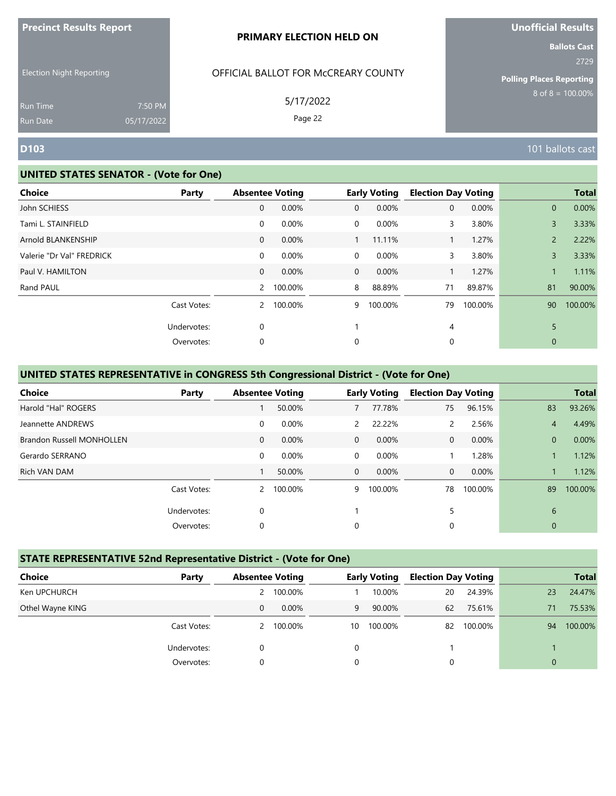| <b>Precinct Results Report</b> |  |  |
|--------------------------------|--|--|
|--------------------------------|--|--|

Election Night Reporting

## OFFICIAL BALLOT FOR McCREARY COUNTY

5/17/2022

Page 22

# **Unofficial Results**

**Ballots Cast** 2729

**Polling Places Reporting**  $8$  of  $8 = 100.00\%$ 

Run Time Run Date

#### **UNITED STATES SENATOR - (Vote for One)**

7:50 PM 05/17/2022

| <b>Choice</b><br>Party    |                | <b>Absentee Voting</b> |                | <b>Early Voting</b> | <b>Election Day Voting</b> |         |                | <b>Total</b> |
|---------------------------|----------------|------------------------|----------------|---------------------|----------------------------|---------|----------------|--------------|
| John SCHIESS              | $\mathbf{0}$   | 0.00%                  | $\overline{0}$ | 0.00%               | 0                          | 0.00%   | $\overline{0}$ | 0.00%        |
| Tami L. STAINFIELD        | $\mathbf 0$    | 0.00%                  | $\overline{0}$ | 0.00%               | 3                          | 3.80%   | 3              | 3.33%        |
| Arnold BLANKENSHIP        | 0              | 0.00%                  |                | 11.11%              |                            | 1.27%   | $\overline{2}$ | 2.22%        |
| Valerie "Dr Val" FREDRICK | $\mathbf 0$    | 0.00%                  | $\overline{0}$ | 0.00%               | 3                          | 3.80%   | 3              | 3.33%        |
| Paul V. HAMILTON          | $\mathbf 0$    | 0.00%                  | $\overline{0}$ | 0.00%               |                            | 1.27%   |                | 1.11%        |
| Rand PAUL                 | $\overline{2}$ | 100.00%                | 8              | 88.89%              | 71                         | 89.87%  | 81             | 90.00%       |
| Cast Votes:               | 2              | 100.00%                | 9              | 100.00%             | 79                         | 100.00% | 90             | 100.00%      |
| Undervotes:               | 0              |                        |                |                     | 4                          |         | 5              |              |
| Overvotes:                | 0              |                        | 0              |                     | 0                          |         | $\mathbf{0}$   |              |

### **UNITED STATES REPRESENTATIVE in CONGRESS 5th Congressional District - (Vote for One)**

| <b>Choice</b>                    | Party       |              | <b>Absentee Voting</b> |               | <b>Early Voting</b> | <b>Election Day Voting</b> |         |                | <b>Total</b> |
|----------------------------------|-------------|--------------|------------------------|---------------|---------------------|----------------------------|---------|----------------|--------------|
| Harold "Hal" ROGERS              |             |              | 50.00%                 |               | 77.78%              | 75                         | 96.15%  | 83             | 93.26%       |
| Jeannette ANDREWS                |             | 0            | 0.00%                  | $\mathcal{P}$ | 22.22%              |                            | 2.56%   | 4              | 4.49%        |
| <b>Brandon Russell MONHOLLEN</b> |             | $\mathbf{0}$ | $0.00\%$               | $\Omega$      | $0.00\%$            | 0                          | 0.00%   | $\overline{0}$ | 0.00%        |
| Gerardo SERRANO                  |             | 0            | 0.00%                  | $\Omega$      | 0.00%               |                            | 1.28%   |                | 1.12%        |
| Rich VAN DAM                     |             |              | 50.00%                 | $\Omega$      | 0.00%               | 0                          | 0.00%   |                | 1.12%        |
|                                  | Cast Votes: |              | 2 100.00%              | 9             | 100.00%             | 78                         | 100.00% | 89             | 100.00%      |
|                                  | Undervotes: | 0            |                        |               |                     | 5                          |         | 6              |              |
|                                  | Overvotes:  | 0            |                        | 0             |                     | 0                          |         | $\mathbf{0}$   |              |

#### **STATE REPRESENTATIVE 52nd Representative District - (Vote for One)**

| <b>Choice</b>    | Party       | <b>Absentee Voting</b> |         |          | <b>Early Voting</b> | <b>Election Day Voting</b> |         |              | <b>Total</b> |
|------------------|-------------|------------------------|---------|----------|---------------------|----------------------------|---------|--------------|--------------|
| Ken UPCHURCH     |             |                        | 100.00% |          | 10.00%              | 20                         | 24.39%  | 23           | 24.47%       |
| Othel Wayne KING |             | 0                      | 0.00%   | 9        | 90.00%              | 62                         | 75.61%  | 71           | 75.53%       |
|                  | Cast Votes: | 2                      | 100.00% | 10       | 100.00%             | 82                         | 100.00% | 94           | 100.00%      |
|                  | Undervotes: |                        |         | 0        |                     |                            |         |              |              |
|                  | Overvotes:  | 0                      |         | $\Omega$ |                     | 0                          |         | $\mathbf{0}$ |              |

**D103** 101 ballots cast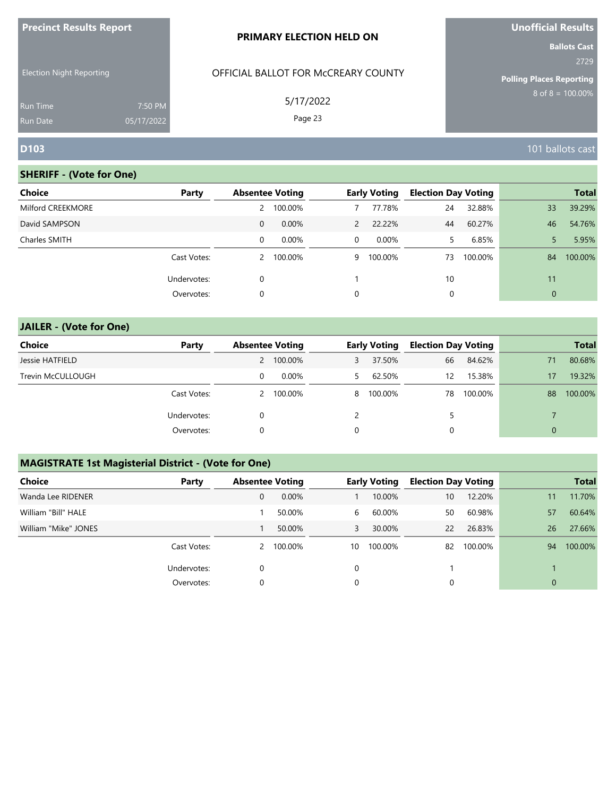| <b>Precinct Results Report</b>                                        |                       | <b>PRIMARY ELECTION HELD ON</b>                             | Unofficial Results                                                                      |
|-----------------------------------------------------------------------|-----------------------|-------------------------------------------------------------|-----------------------------------------------------------------------------------------|
| <b>Election Night Reporting</b><br><b>Run Time</b><br><b>Run Date</b> | 7:50 PM<br>05/17/2022 | OFFICIAL BALLOT FOR McCREARY COUNTY<br>5/17/2022<br>Page 23 | <b>Ballots Cast</b><br>2729<br><b>Polling Places Reporting</b><br>$8$ of $8 = 100.00\%$ |
| <b>D103</b>                                                           |                       |                                                             | 101 ballots cast                                                                        |

| <b>Choice</b>     | Party       |   | <b>Absentee Voting</b> |                | <b>Early Voting</b> | <b>Election Day Voting</b> |         |              | <b>Total</b> |
|-------------------|-------------|---|------------------------|----------------|---------------------|----------------------------|---------|--------------|--------------|
| Milford CREEKMORE |             | 2 | 100.00%                |                | 77.78%              | 24                         | 32.88%  | 33           | 39.29%       |
| David SAMPSON     |             | 0 | $0.00\%$               | $\mathcal{P}$  | 22.22%              | 44                         | 60.27%  | 46           | 54.76%       |
| Charles SMITH     |             | 0 | $0.00\%$               | $\overline{0}$ | $0.00\%$            | 5.                         | 6.85%   |              | 5.95%        |
|                   | Cast Votes: | 2 | 100.00%                | 9              | 100.00%             | 73                         | 100.00% | 84           | 100.00%      |
|                   | Undervotes: | 0 |                        |                |                     | 10                         |         | 11           |              |
|                   | Overvotes:  | 0 |                        | 0              |                     | 0                          |         | $\mathbf{0}$ |              |
|                   |             |   |                        |                |                     |                            |         |              |              |

| <b>JAILER - (Vote for One)</b> |             |              |                        |   |                     |                            |         |              |              |
|--------------------------------|-------------|--------------|------------------------|---|---------------------|----------------------------|---------|--------------|--------------|
| <b>Choice</b>                  | Party       |              | <b>Absentee Voting</b> |   | <b>Early Voting</b> | <b>Election Day Voting</b> |         |              | <b>Total</b> |
| Jessie HATFIELD                |             | $\mathbf{2}$ | 100.00%                | 3 | 37.50%              | 66                         | 84.62%  | 71           | 80.68%       |
| Trevin McCULLOUGH              |             | 0            | $0.00\%$               | 5 | 62.50%              | 12                         | 15.38%  | 17           | 19.32%       |
|                                | Cast Votes: | 2            | 100.00%                | 8 | 100.00%             | 78                         | 100.00% | 88           | 100.00%      |
|                                | Undervotes: | 0            |                        |   |                     | 5                          |         |              |              |
|                                | Overvotes:  | 0            |                        | 0 |                     | 0                          |         | $\mathbf{0}$ |              |

# **MAGISTRATE 1st Magisterial District - (Vote for One)**

| <b>Choice</b>        | Party       | <b>Absentee Voting</b> |           |    | <b>Early Voting</b> | <b>Election Day Voting</b> |         |              | <b>Total</b> |
|----------------------|-------------|------------------------|-----------|----|---------------------|----------------------------|---------|--------------|--------------|
| Wanda Lee RIDENER    |             | 0                      | 0.00%     |    | 10.00%              | 10                         | 12.20%  | 11           | 11.70%       |
| William "Bill" HALE  |             |                        | 50.00%    | 6  | 60.00%              | 50                         | 60.98%  | 57           | 60.64%       |
| William "Mike" JONES |             |                        | 50.00%    | 3  | 30.00%              | 22                         | 26.83%  | 26           | 27.66%       |
|                      | Cast Votes: |                        | 2 100.00% | 10 | 100.00%             | 82                         | 100.00% | 94           | 100.00%      |
|                      | Undervotes: | 0                      |           | 0  |                     |                            |         |              |              |
|                      | Overvotes:  | 0                      |           | 0  |                     | 0                          |         | $\mathbf{0}$ |              |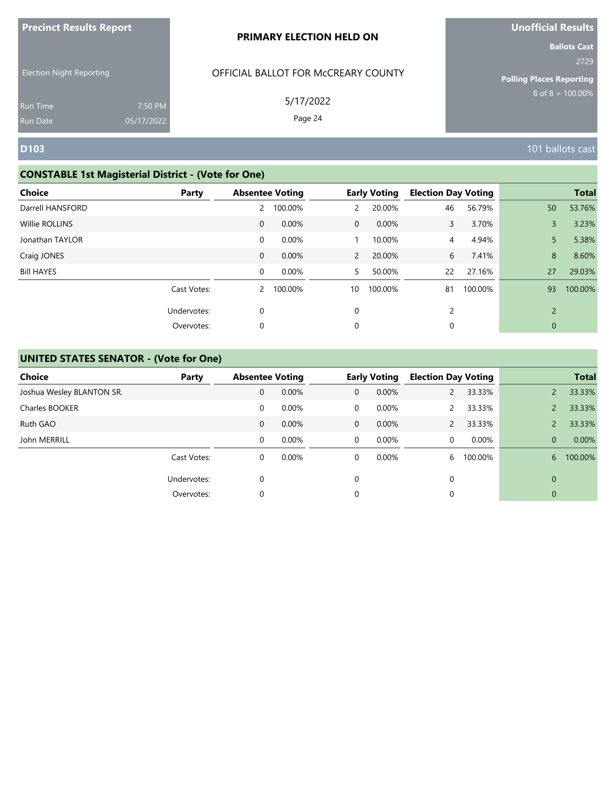| <b>LIGATION VESULES VENALE</b> |            | <b>PRIMARY ELECTION HELD ON</b>     | <b>UNUMBER RESULS</b>                                    |
|--------------------------------|------------|-------------------------------------|----------------------------------------------------------|
|                                |            |                                     | <b>Ballots Cast</b><br>2729                              |
| Election Night Reporting       |            | OFFICIAL BALLOT FOR McCREARY COUNTY | <b>Polling Places Reporting</b><br>$8$ of $8 = 100.00\%$ |
| Run Time                       | 7:50 PM    | 5/17/2022                           |                                                          |
| Run Date                       | 05/17/2022 | Page 24                             |                                                          |
| D103                           |            |                                     | 101 ballots cast                                         |

**Unofficial Results**

# **CONSTABLE 1st Magisterial District - (Vote for One)**

**Precinct Results Report**

| <b>Choice</b><br>Party |              | <b>Absentee Voting</b> |                | <b>Early Voting</b> | <b>Election Day Voting</b> |         |                | <b>Total</b> |
|------------------------|--------------|------------------------|----------------|---------------------|----------------------------|---------|----------------|--------------|
| Darrell HANSFORD       | 2            | 100.00%                | $\mathbf{2}$   | 20.00%              | 46                         | 56.79%  | 50             | 53.76%       |
| <b>Willie ROLLINS</b>  | 0            | 0.00%                  | $\overline{0}$ | 0.00%               | 3                          | 3.70%   | 3              | 3.23%        |
| Jonathan TAYLOR        | $\mathbf 0$  | 0.00%                  |                | 10.00%              | $\overline{4}$             | 4.94%   | 5              | 5.38%        |
| Craig JONES            | $\mathbf{0}$ | 0.00%                  | $\overline{2}$ | 20.00%              | 6                          | 7.41%   | 8              | 8.60%        |
| <b>Bill HAYES</b>      | 0            | 0.00%                  | 5.             | 50.00%              | 22                         | 27.16%  | 27             | 29.03%       |
| Cast Votes:            |              | 2 100.00%              | 10             | 100.00%             | 81                         | 100.00% | 93             | 100.00%      |
| Undervotes:            | 0            |                        | 0              |                     | 2                          |         | $\overline{2}$ |              |
| Overvotes:             | 0            |                        | 0              |                     | 0                          |         | 0              |              |

| <b>Choice</b>             | Party       | <b>Absentee Voting</b> |       |              | <b>Early Voting</b> | <b>Election Day Voting</b> |         |          | <b>Total</b> |
|---------------------------|-------------|------------------------|-------|--------------|---------------------|----------------------------|---------|----------|--------------|
| Joshua Wesley BLANTON SR. |             | 0                      | 0.00% | $\mathbf{0}$ | 0.00%               | $\overline{2}$             | 33.33%  |          | 33.33%       |
| Charles BOOKER            |             | 0                      | 0.00% | $\Omega$     | 0.00%               | $\mathcal{P}$              | 33.33%  |          | 33.33%       |
| Ruth GAO                  |             | 0                      | 0.00% | $\mathbf{0}$ | $0.00\%$            | $\mathcal{P}$              | 33.33%  |          | 33.33%       |
| John MERRILL              |             | 0                      | 0.00% | $\mathbf 0$  | $0.00\%$            | $\Omega$                   | 0.00%   | $\Omega$ | 0.00%        |
|                           | Cast Votes: | 0                      | 0.00% | 0            | $0.00\%$            | 6                          | 100.00% | 6        | 100.00%      |
|                           | Undervotes: | 0                      |       | $\Omega$     |                     | 0                          |         | $\Omega$ |              |
|                           | Overvotes:  | 0                      |       | 0            |                     |                            |         | 0        |              |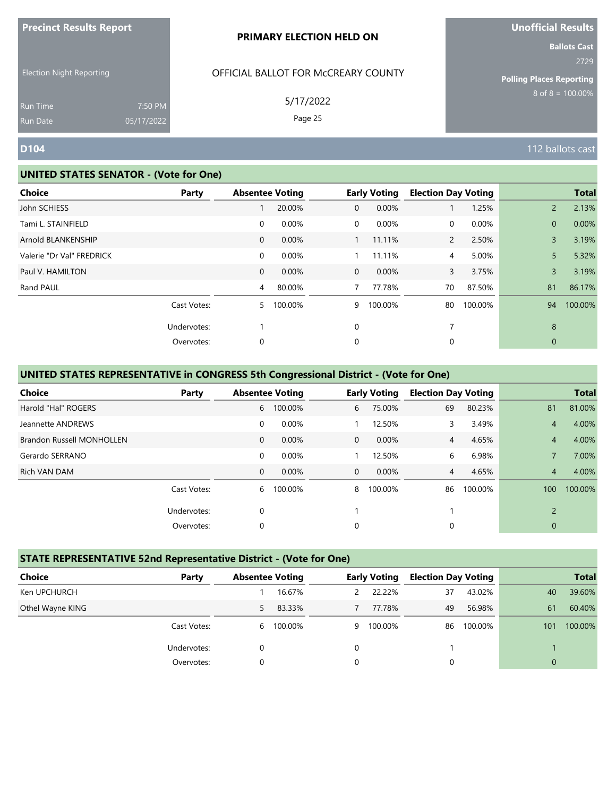| <b>Precinct Results Report</b> |  |  |
|--------------------------------|--|--|
|--------------------------------|--|--|

Election Night Reporting

## OFFICIAL BALLOT FOR McCREARY COUNTY

5/17/2022

Page 25

# **Unofficial Results**

**Ballots Cast** 2729

**Polling Places Reporting**  $8$  of  $8 = 100.00\%$ 

Run Time Run Date

#### **UNITED STATES SENATOR - (Vote for One)**

7:50 PM 05/17/2022

| <b>Choice</b>             | Party       | <b>Absentee Voting</b> |         |                | <b>Early Voting</b> | <b>Election Day Voting</b> |         |              | <b>Total</b> |
|---------------------------|-------------|------------------------|---------|----------------|---------------------|----------------------------|---------|--------------|--------------|
| John SCHIESS              |             |                        | 20.00%  | 0              | 0.00%               |                            | 1.25%   | $2^{\circ}$  | 2.13%        |
| Tami L. STAINFIELD        |             | 0                      | 0.00%   | 0              | 0.00%               | 0                          | 0.00%   | $\mathbf{0}$ | 0.00%        |
| Arnold BLANKENSHIP        |             | $\mathbf{0}$           | 0.00%   |                | 11.11%              | $\overline{2}$             | 2.50%   | 3            | 3.19%        |
| Valerie "Dr Val" FREDRICK |             | 0                      | 0.00%   |                | 11.11%              | 4                          | 5.00%   | 5            | 5.32%        |
| Paul V. HAMILTON          |             | $\mathbf{0}$           | 0.00%   | $\overline{0}$ | 0.00%               | 3                          | 3.75%   | 3            | 3.19%        |
| Rand PAUL                 |             | 4                      | 80.00%  |                | 77.78%              | 70                         | 87.50%  | 81           | 86.17%       |
|                           | Cast Votes: | 5                      | 100.00% | 9              | 100.00%             | 80                         | 100.00% | 94           | 100.00%      |
|                           | Undervotes: |                        |         | $\mathbf 0$    |                     | 7                          |         | 8            |              |
|                           | Overvotes:  | 0                      |         | $\Omega$       |                     | 0                          |         | $\mathbf 0$  |              |

### **UNITED STATES REPRESENTATIVE in CONGRESS 5th Congressional District - (Vote for One)**

| Choice                           | Party       |              | <b>Absentee Voting</b> |          | <b>Early Voting</b> | <b>Election Day Voting</b> |         |                | <b>Total</b> |
|----------------------------------|-------------|--------------|------------------------|----------|---------------------|----------------------------|---------|----------------|--------------|
| Harold "Hal" ROGERS              |             | 6            | 100.00%                | 6        | 75.00%              | 69                         | 80.23%  | 81             | 81.00%       |
| Jeannette ANDREWS                |             | 0            | 0.00%                  |          | 12.50%              | 3                          | 3.49%   | 4              | 4.00%        |
| <b>Brandon Russell MONHOLLEN</b> |             | $\mathbf{0}$ | $0.00\%$               | $\Omega$ | $0.00\%$            | 4                          | 4.65%   | 4              | 4.00%        |
| Gerardo SERRANO                  |             | 0            | 0.00%                  |          | 12.50%              | 6                          | 6.98%   |                | 7.00%        |
| Rich VAN DAM                     |             | $\mathbf{0}$ | 0.00%                  | $\Omega$ | 0.00%               | 4                          | 4.65%   | $\overline{4}$ | 4.00%        |
|                                  | Cast Votes: | 6            | 100.00%                | 8        | 100.00%             | 86                         | 100.00% | 100            | 100.00%      |
|                                  | Undervotes: | 0            |                        |          |                     |                            |         | $\overline{2}$ |              |
|                                  | Overvotes:  | 0            |                        | 0        |                     | 0                          |         | $\mathbf{0}$   |              |

#### **STATE REPRESENTATIVE 52nd Representative District - (Vote for One)**

| <b>Choice</b><br>Party | <b>Absentee Voting</b> |         |   | <b>Early Voting</b> | <b>Election Day Voting</b> |         |              | <b>Total</b> |
|------------------------|------------------------|---------|---|---------------------|----------------------------|---------|--------------|--------------|
| Ken UPCHURCH           |                        | 16.67%  |   | 22.22%              | 37                         | 43.02%  | 40           | 39.60%       |
| Othel Wayne KING       | 5.                     | 83.33%  |   | 77.78%              | 49                         | 56.98%  | 61           | 60.40%       |
| Cast Votes:            | 6                      | 100.00% | 9 | 100.00%             | 86                         | 100.00% | 101          | 100.00%      |
| Undervotes:            | 0                      |         | 0 |                     |                            |         |              |              |
| Overvotes:             | 0                      |         | 0 |                     | 0                          |         | $\mathbf{0}$ |              |

**D104** 112 ballots cast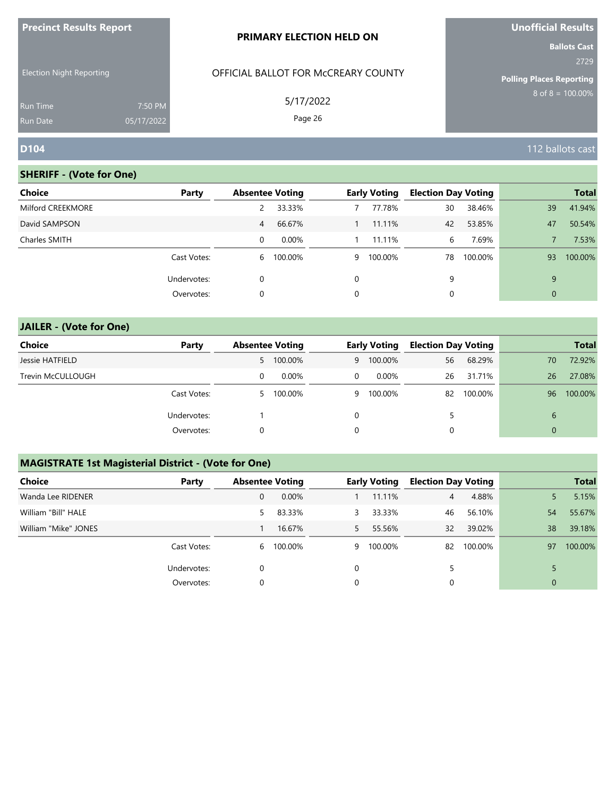| <b>Precinct Results Report</b>                                        |                       | <b>PRIMARY ELECTION HELD ON</b>                             | <b>Unofficial Results</b><br><b>Ballots Cast</b>                        |
|-----------------------------------------------------------------------|-----------------------|-------------------------------------------------------------|-------------------------------------------------------------------------|
| <b>Election Night Reporting</b><br><b>Run Time</b><br><b>Run Date</b> | 7:50 PM<br>05/17/2022 | OFFICIAL BALLOT FOR MCCREARY COUNTY<br>5/17/2022<br>Page 26 | 2729<br><b>Polling Places Reporting</b><br>$8 \text{ of } 8 = 100.00\%$ |
| <b>D104</b>                                                           |                       |                                                             | 112 ballots cast                                                        |

# **SHERIFF - (Vote for One)**

| <b>Choice</b>     | Party       | <b>Absentee Voting</b> |         |   | <b>Early Voting</b> | <b>Election Day Voting</b> |         |              | <b>Total</b> |
|-------------------|-------------|------------------------|---------|---|---------------------|----------------------------|---------|--------------|--------------|
| Milford CREEKMORE |             |                        | 33.33%  |   | 77.78%              | 30                         | 38.46%  | 39           | 41.94%       |
| David SAMPSON     |             | 4                      | 66.67%  |   | 11.11%              | 42                         | 53.85%  | 47           | 50.54%       |
| Charles SMITH     |             | $\Omega$               | 0.00%   |   | 11.11%              | 6                          | 7.69%   |              | 7.53%        |
|                   | Cast Votes: | 6                      | 100.00% | 9 | 100.00%             | 78                         | 100.00% | 93           | 100.00%      |
|                   | Undervotes: | $\Omega$               |         |   |                     | 9                          |         | 9            |              |
|                   | Overvotes:  | 0                      |         |   |                     | 0                          |         | $\mathbf{0}$ |              |
|                   |             |                        |         |   |                     |                            |         |              |              |

| <b>JAILER - (Vote for One)</b> |             |   |                        |          |                     |                            |         |              |              |
|--------------------------------|-------------|---|------------------------|----------|---------------------|----------------------------|---------|--------------|--------------|
| <b>Choice</b>                  | Party       |   | <b>Absentee Voting</b> |          | <b>Early Voting</b> | <b>Election Day Voting</b> |         |              | <b>Total</b> |
| Jessie HATFIELD                |             |   | 5 100.00%              | 9        | 100.00%             | 56                         | 68.29%  | 70           | 72.92%       |
| Trevin McCULLOUGH              |             | 0 | 0.00%                  | $\Omega$ | $0.00\%$            | 26                         | 31.71%  | 26           | 27.08%       |
|                                | Cast Votes: |   | 5 100.00%              | 9        | 100.00%             | 82                         | 100.00% | 96           | 100.00%      |
|                                | Undervotes: |   |                        | 0        |                     |                            |         | 6            |              |
|                                | Overvotes:  | 0 |                        | 0        |                     | 0                          |         | $\mathbf{0}$ |              |

# **MAGISTRATE 1st Magisterial District - (Vote for One)**

| <b>Choice</b>        | Party       |    | <b>Absentee Voting</b> |    | <b>Early Voting</b> | <b>Election Day Voting</b> |         |              | <b>Total</b> |
|----------------------|-------------|----|------------------------|----|---------------------|----------------------------|---------|--------------|--------------|
| Wanda Lee RIDENER    |             | 0  | $0.00\%$               |    | 11.11%              | 4                          | 4.88%   | 5.           | 5.15%        |
| William "Bill" HALE  |             | 5. | 83.33%                 | 3  | 33.33%              | 46                         | 56.10%  | 54           | 55.67%       |
| William "Mike" JONES |             |    | 16.67%                 | 5. | 55.56%              | 32                         | 39.02%  | 38           | 39.18%       |
|                      | Cast Votes: |    | 6 100.00%              | 9  | 100.00%             | 82                         | 100.00% | 97           | 100.00%      |
|                      | Undervotes: | 0  |                        | 0  |                     |                            |         |              |              |
|                      | Overvotes:  | 0  |                        | 0  |                     | 0                          |         | $\mathbf{0}$ |              |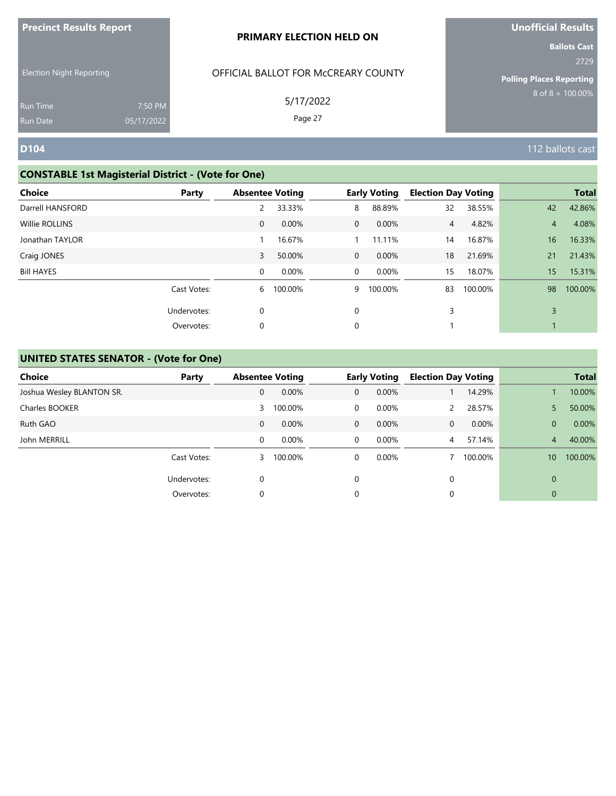| <b>Precinct Results Report</b>  |            | PRIMARY ELECTION HELD ON            | <b>Unofficial Results</b>                                                                      |  |  |
|---------------------------------|------------|-------------------------------------|------------------------------------------------------------------------------------------------|--|--|
| <b>Election Night Reporting</b> |            | OFFICIAL BALLOT FOR MCCREARY COUNTY | <b>Ballots Cast</b><br>2729<br><b>Polling Places Reporting</b><br>$8 \text{ of } 8 = 100.00\%$ |  |  |
| <b>Run Time</b>                 | 7:50 PM    | 5/17/2022                           |                                                                                                |  |  |
| <b>Run Date</b>                 | 05/17/2022 | Page 27                             |                                                                                                |  |  |
| <b>D104</b>                     |            |                                     | 112 ballots cast                                                                               |  |  |

# **CONSTABLE 1st Magisterial District - (Vote for One)**

| Choice<br>Party   | <b>Absentee Voting</b> |         |                | <b>Early Voting</b> | <b>Election Day Voting</b> |         |                | <b>Total</b> |
|-------------------|------------------------|---------|----------------|---------------------|----------------------------|---------|----------------|--------------|
| Darrell HANSFORD  | 2                      | 33.33%  | 8              | 88.89%              | 32                         | 38.55%  | 42             | 42.86%       |
| Willie ROLLINS    | $\mathbf{0}$           | 0.00%   | $\overline{0}$ | 0.00%               | $\overline{4}$             | 4.82%   | $\overline{4}$ | 4.08%        |
| Jonathan TAYLOR   |                        | 16.67%  |                | 11.11%              | 14                         | 16.87%  | 16             | 16.33%       |
| Craig JONES       | 3                      | 50.00%  | $\overline{0}$ | $0.00\%$            | 18                         | 21.69%  | 21             | 21.43%       |
| <b>Bill HAYES</b> | $\mathbf 0$            | 0.00%   | $\overline{0}$ | 0.00%               | 15                         | 18.07%  | 15             | 15.31%       |
| Cast Votes:       | 6                      | 100.00% | 9              | 100.00%             | 83                         | 100.00% | 98             | 100.00%      |
| Undervotes:       | 0                      |         | $\Omega$       |                     | 3                          |         | 3              |              |
| Overvotes:        | 0                      |         | $\mathbf 0$    |                     |                            |         |                |              |

| <b>Choice</b>             | Party       | <b>Absentee Voting</b> |          |             | <b>Early Voting</b> | <b>Election Day Voting</b> |         |                 | <b>Total</b> |
|---------------------------|-------------|------------------------|----------|-------------|---------------------|----------------------------|---------|-----------------|--------------|
| Joshua Wesley BLANTON SR. |             | $\mathbf{0}$           | 0.00%    | $\mathbf 0$ | 0.00%               |                            | 14.29%  |                 | 10.00%       |
| Charles BOOKER            |             | 3                      | 100.00%  | 0           | 0.00%               | $\mathcal{P}$              | 28.57%  | 5               | 50.00%       |
| Ruth GAO                  |             | $\mathbf{0}$           | 0.00%    | $\mathbf 0$ | 0.00%               | 0                          | 0.00%   | $\overline{0}$  | 0.00%        |
| John MERRILL              |             | $\Omega$               | $0.00\%$ | $\Omega$    | $0.00\%$            | $\overline{4}$             | 57.14%  | 4               | 40.00%       |
|                           | Cast Votes: | 3                      | 100.00%  | $\Omega$    | 0.00%               |                            | 100.00% | 10 <sup>°</sup> | 100.00%      |
|                           | Undervotes: | $\Omega$               |          | $\Omega$    |                     | 0                          |         | $\Omega$        |              |
|                           | Overvotes:  | 0                      |          | 0           |                     | 0                          |         | $\overline{0}$  |              |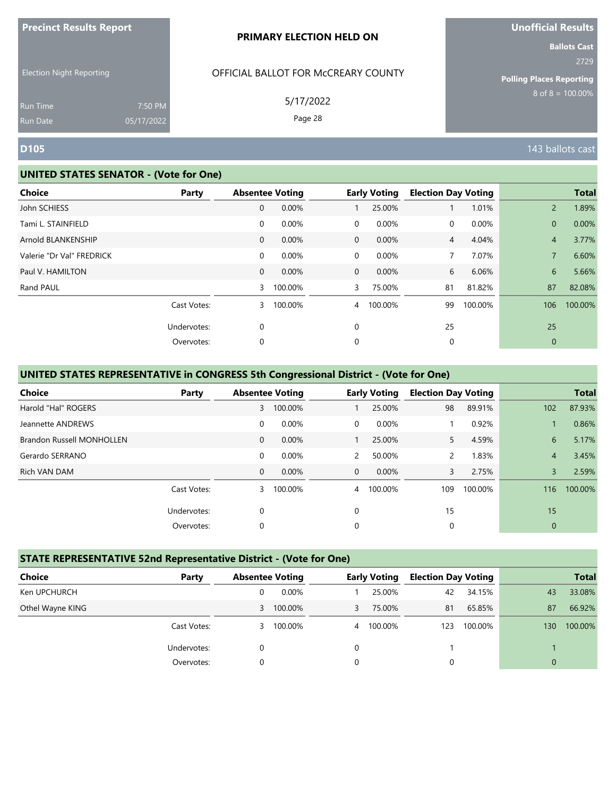| <b>Precinct Results Report</b> |  |  |
|--------------------------------|--|--|
|--------------------------------|--|--|

Election Night Reporting

# OFFICIAL BALLOT FOR McCREARY COUNTY

5/17/2022

Page 28

# **Unofficial Results**

**Ballots Cast** 2729

**Polling Places Reporting**  $8$  of  $8 = 100.00\%$ 

Run Time Run Date

#### **UNITED STATES SENATOR - (Vote for One)**

7:50 PM 05/17/2022

| <b>Absentee Voting</b><br>0.00% |                    | <b>Early Voting</b> | <b>Election Day Voting</b> |         |                | <b>Total</b> |
|---------------------------------|--------------------|---------------------|----------------------------|---------|----------------|--------------|
|                                 |                    |                     |                            |         |                |              |
|                                 |                    | 25.00%              |                            | 1.01%   | $\overline{2}$ | 1.89%        |
| 0.00%                           | $\overline{0}$     | 0.00%               | 0                          | 0.00%   | $\mathbf{0}$   | 0.00%        |
| $0.00\%$                        | $\overline{0}$     | $0.00\%$            | $\overline{4}$             | 4.04%   | $\overline{4}$ | 3.77%        |
| 0.00%                           | $\overline{0}$     | 0.00%               |                            | 7.07%   | $\overline{7}$ | 6.60%        |
| 0.00%                           | $\overline{0}$     | 0.00%               | 6                          | 6.06%   | 6              | 5.66%        |
|                                 | 3                  | 75.00%              | 81                         | 81.82%  | 87             | 82.08%       |
|                                 | $\overline{4}$     | 100.00%             | 99                         | 100.00% | 106            | 100.00%      |
|                                 | $\mathbf 0$        |                     | 25                         |         | 25             |              |
|                                 | 0                  |                     | 0                          |         | $\mathbf{0}$   |              |
|                                 | 100.00%<br>100.00% |                     |                            |         |                |              |

### **UNITED STATES REPRESENTATIVE in CONGRESS 5th Congressional District - (Vote for One)**

| Choice                           | Party       |              | <b>Absentee Voting</b> |              | <b>Early Voting</b> | <b>Election Day Voting</b> |         |                | <b>Total</b> |
|----------------------------------|-------------|--------------|------------------------|--------------|---------------------|----------------------------|---------|----------------|--------------|
| Harold "Hal" ROGERS              |             | $\mathbf{3}$ | 100.00%                |              | 25.00%              | 98                         | 89.91%  | 102            | 87.93%       |
| Jeannette ANDREWS                |             | 0            | 0.00%                  | $\Omega$     | 0.00%               |                            | 0.92%   |                | 0.86%        |
| <b>Brandon Russell MONHOLLEN</b> |             | $\mathbf{0}$ | $0.00\%$               |              | 25.00%              | 5.                         | 4.59%   | 6              | 5.17%        |
| Gerardo SERRANO                  |             | 0            | 0.00%                  | $\mathbf{2}$ | 50.00%              | $\overline{2}$             | 1.83%   | $\overline{4}$ | 3.45%        |
| Rich VAN DAM                     |             | $\mathbf{0}$ | 0.00%                  | $\Omega$     | $0.00\%$            | 3                          | 2.75%   | 3              | 2.59%        |
|                                  | Cast Votes: | 3            | 100.00%                |              | 4 100.00%           | 109                        | 100.00% | 116            | 100.00%      |
|                                  | Undervotes: | 0            |                        | $\Omega$     |                     | 15                         |         | 15             |              |
|                                  | Overvotes:  | 0            |                        | $\Omega$     |                     | 0                          |         | $\mathbf{0}$   |              |

#### **STATE REPRESENTATIVE 52nd Representative District - (Vote for One)**

| <b>Choice</b><br>Party |          | <b>Absentee Voting</b> |                | <b>Early Voting</b> | <b>Election Day Voting</b> |         |          | <b>Total</b> |
|------------------------|----------|------------------------|----------------|---------------------|----------------------------|---------|----------|--------------|
| Ken UPCHURCH           | 0        | 0.00%                  |                | 25.00%              | 42                         | 34.15%  | 43       | 33.08%       |
| Othel Wayne KING       | 3        | 100.00%                | 3              | 75.00%              | 81                         | 65.85%  | 87       | 66.92%       |
| Cast Votes:            | 3.       | 100.00%                | $\overline{4}$ | 100.00%             | 123                        | 100.00% | 130      | 100.00%      |
| Undervotes:            |          |                        | 0              |                     |                            |         |          |              |
| Overvotes:             | $\Omega$ |                        | 0              |                     | 0                          |         | $\Omega$ |              |

**D105** 143 ballots cast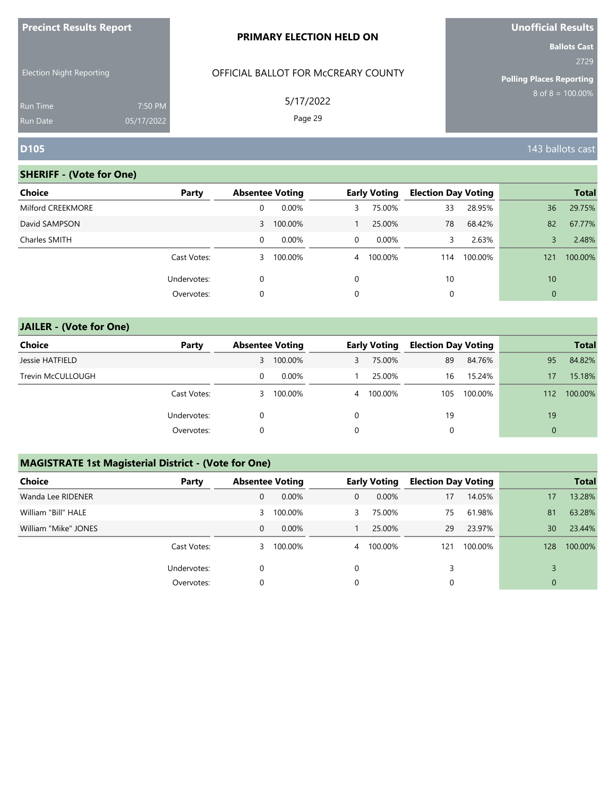| <b>Precinct Results Report</b>                                        |                       | PRIMARY ELECTION HELD ON                                    | <b>Unofficial Results</b>                                                                      |  |  |
|-----------------------------------------------------------------------|-----------------------|-------------------------------------------------------------|------------------------------------------------------------------------------------------------|--|--|
| <b>Election Night Reporting</b><br><b>Run Time</b><br><b>Run Date</b> | 7:50 PM<br>05/17/2022 | OFFICIAL BALLOT FOR MCCREARY COUNTY<br>5/17/2022<br>Page 29 | <b>Ballots Cast</b><br>2729<br><b>Polling Places Reporting</b><br>$8 \text{ of } 8 = 100.00\%$ |  |  |
| <b>D105</b>                                                           |                       |                                                             | 143 ballots cast                                                                               |  |  |

| <b>Choice</b>     | Party       |   | <b>Absentee Voting</b> |                | <b>Early Voting</b> | <b>Election Day Voting</b> |         |              | <b>Total</b> |
|-------------------|-------------|---|------------------------|----------------|---------------------|----------------------------|---------|--------------|--------------|
| Milford CREEKMORE |             | 0 | 0.00%                  | 3              | 75.00%              | 33                         | 28.95%  | 36           | 29.75%       |
| David SAMPSON     |             |   | 3 100.00%              |                | 25.00%              | 78                         | 68.42%  | 82           | 67.77%       |
| Charles SMITH     |             | 0 | 0.00%                  | $\mathbf{0}$   | $0.00\%$            | 3                          | 2.63%   | 3            | 2.48%        |
|                   | Cast Votes: | 3 | 100.00%                | $\overline{4}$ | 100.00%             | 114                        | 100.00% | 121          | 100.00%      |
|                   | Undervotes: | 0 |                        | 0              |                     | 10                         |         | 10           |              |
|                   | Overvotes:  | 0 |                        | 0              |                     | 0                          |         | $\mathbf{0}$ |              |
|                   |             |   |                        |                |                     |                            |         |              |              |

| <b>JAILER - (Vote for One)</b> |             |   |                        |   |                     |                            |         |              |              |
|--------------------------------|-------------|---|------------------------|---|---------------------|----------------------------|---------|--------------|--------------|
| <b>Choice</b>                  | Party       |   | <b>Absentee Voting</b> |   | <b>Early Voting</b> | <b>Election Day Voting</b> |         |              | <b>Total</b> |
| Jessie HATFIELD                |             |   | 3 100.00%              |   | 75.00%              | 89                         | 84.76%  | 95           | 84.82%       |
| Trevin McCULLOUGH              |             | 0 | $0.00\%$               |   | 25.00%              | 16                         | 15.24%  | 17           | 15.18%       |
|                                | Cast Votes: |   | 3 100.00%              |   | 4 100.00%           | 105                        | 100.00% | 112          | 100.00%      |
|                                | Undervotes: | 0 |                        | 0 |                     | 19                         |         | 19           |              |
|                                | Overvotes:  | 0 |                        | 0 |                     | 0                          |         | $\mathbf{0}$ |              |

# **MAGISTRATE 1st Magisterial District - (Vote for One)**

| <b>Choice</b>        | Party       | <b>Absentee Voting</b> |           |   | <b>Early Voting</b> | <b>Election Day Voting</b> |         |              | <b>Total</b> |
|----------------------|-------------|------------------------|-----------|---|---------------------|----------------------------|---------|--------------|--------------|
| Wanda Lee RIDENER    |             | 0                      | $0.00\%$  | 0 | $0.00\%$            | 17                         | 14.05%  | 17           | 13.28%       |
| William "Bill" HALE  |             | 3                      | 100.00%   |   | 75.00%              | 75                         | 61.98%  | 81           | 63.28%       |
| William "Mike" JONES |             | $\Omega$               | $0.00\%$  |   | 25.00%              | 29                         | 23.97%  | 30           | 23.44%       |
|                      | Cast Votes: |                        | 3 100.00% |   | 4 100.00%           | 121                        | 100.00% | 128          | 100.00%      |
|                      | Undervotes: |                        |           |   |                     | 3                          |         |              |              |
|                      | Overvotes:  |                        |           |   |                     | 0                          |         | $\mathbf{0}$ |              |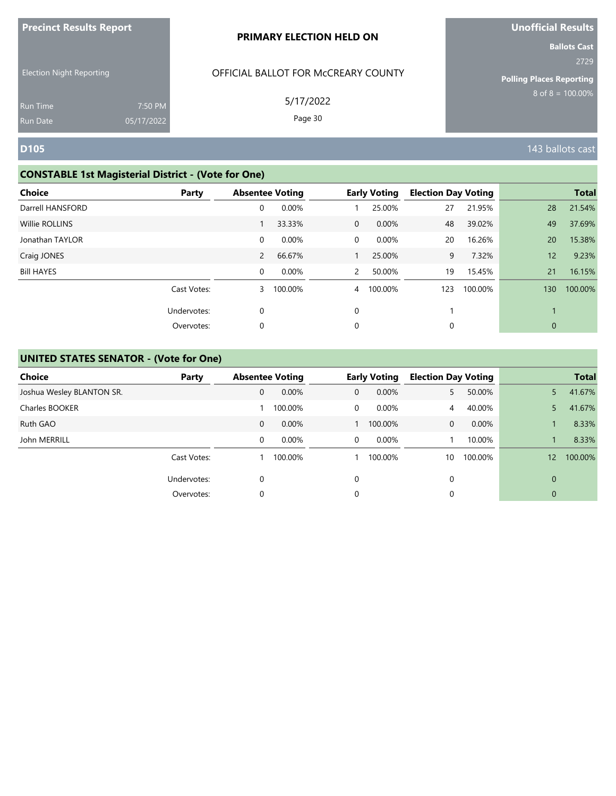| <b>Precinct Results Report</b>  |            | PRIMARY ELECTION HELD ON            | <b>Unofficial Results</b>                                                                      |  |  |
|---------------------------------|------------|-------------------------------------|------------------------------------------------------------------------------------------------|--|--|
| <b>Election Night Reporting</b> |            | OFFICIAL BALLOT FOR MCCREARY COUNTY | <b>Ballots Cast</b><br>2729<br><b>Polling Places Reporting</b><br>$8 \text{ of } 8 = 100.00\%$ |  |  |
| <b>Run Time</b>                 | 7:50 PM    | 5/17/2022                           |                                                                                                |  |  |
| <b>Run Date</b>                 | 05/17/2022 | Page 30                             |                                                                                                |  |  |
| <b>D105</b>                     |            |                                     | 143 ballots cast                                                                               |  |  |

# **CONSTABLE 1st Magisterial District - (Vote for One)**

| <b>Choice</b>     | Party       | <b>Absentee Voting</b> |         |                | <b>Early Voting</b> | <b>Election Day Voting</b> |         |     | <b>Total</b> |
|-------------------|-------------|------------------------|---------|----------------|---------------------|----------------------------|---------|-----|--------------|
| Darrell HANSFORD  |             | 0                      | 0.00%   |                | 25.00%              | 27                         | 21.95%  | 28  | 21.54%       |
| Willie ROLLINS    |             |                        | 33.33%  | $\overline{0}$ | 0.00%               | 48                         | 39.02%  | 49  | 37.69%       |
| Jonathan TAYLOR   |             | $\mathbf 0$            | 0.00%   | $\overline{0}$ | 0.00%               | 20                         | 16.26%  | 20  | 15.38%       |
| Craig JONES       |             | $\overline{2}$         | 66.67%  |                | 25.00%              | 9                          | 7.32%   | 12  | 9.23%        |
| <b>Bill HAYES</b> |             | $\mathbf 0$            | 0.00%   | $\mathbf{2}$   | 50.00%              | 19                         | 15.45%  | 21  | 16.15%       |
|                   | Cast Votes: | 3                      | 100.00% | $\overline{4}$ | 100.00%             | 123                        | 100.00% | 130 | 100.00%      |
|                   | Undervotes: | 0                      |         | $\mathbf 0$    |                     |                            |         |     |              |
|                   | Overvotes:  | 0                      |         | 0              |                     | 0                          |         | 0   |              |

| Choice                    | Party       | <b>Absentee Voting</b> |          |             | <b>Early Voting</b> | <b>Election Day Voting</b> |         |              | <b>Total</b> |
|---------------------------|-------------|------------------------|----------|-------------|---------------------|----------------------------|---------|--------------|--------------|
| Joshua Wesley BLANTON SR. |             | 0                      | 0.00%    | $\mathbf 0$ | 0.00%               | 5.                         | 50.00%  | 5            | 41.67%       |
| Charles BOOKER            |             |                        | 100.00%  | 0           | $0.00\%$            | 4                          | 40.00%  | 5            | 41.67%       |
| Ruth GAO                  |             | $\mathbf{0}$           | $0.00\%$ |             | 100.00%             | $\mathbf{0}$               | 0.00%   |              | 8.33%        |
| John MERRILL              |             | 0                      | 0.00%    | $\Omega$    | $0.00\%$            |                            | 10.00%  |              | 8.33%        |
|                           | Cast Votes: |                        | 100.00%  |             | 100.00%             | 10                         | 100.00% | 12           | 100.00%      |
|                           | Undervotes: | 0                      |          | $\Omega$    |                     | 0                          |         | $\Omega$     |              |
|                           | Overvotes:  | 0                      |          | 0           |                     | 0                          |         | $\mathbf{0}$ |              |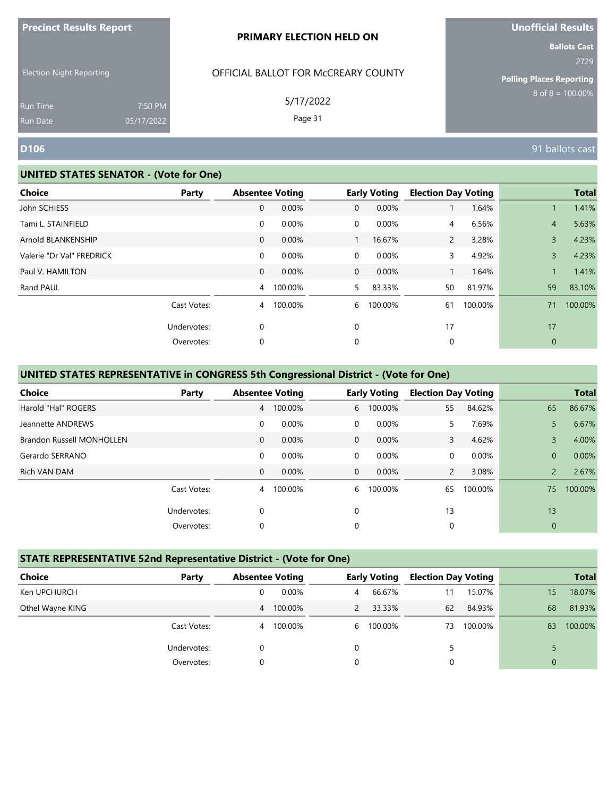| <b>Precinct Results Report</b> |  |  |
|--------------------------------|--|--|
|--------------------------------|--|--|

Election Night Reporting

## OFFICIAL BALLOT FOR McCREARY COUNTY

5/17/2022

Page 31

**Ballots Cast** 2729

**Polling Places Reporting**  $8$  of  $8 = 100.00\%$ 

Run Time Run Date

#### **UNITED STATES SENATOR - (Vote for One)**

7:50 PM 05/17/2022

| Choice<br>Party           |                | <b>Absentee Voting</b> |                | <b>Early Voting</b> | <b>Election Day Voting</b> |         |                | <b>Total</b> |
|---------------------------|----------------|------------------------|----------------|---------------------|----------------------------|---------|----------------|--------------|
| John SCHIESS              | 0              | 0.00%                  | $\mathbf{0}$   | 0.00%               |                            | 1.64%   |                | 1.41%        |
| Tami L. STAINFIELD        | 0              | 0.00%                  | $\overline{0}$ | 0.00%               | 4                          | 6.56%   | $\overline{4}$ | 5.63%        |
| Arnold BLANKENSHIP        | 0              | 0.00%                  |                | 16.67%              | $\mathbf{2}$               | 3.28%   | 3              | 4.23%        |
| Valerie "Dr Val" FREDRICK | $\mathbf 0$    | 0.00%                  | $\overline{0}$ | 0.00%               | 3                          | 4.92%   | 3              | 4.23%        |
| Paul V. HAMILTON          | $\mathbf{0}$   | 0.00%                  | $\overline{0}$ | 0.00%               |                            | 1.64%   |                | 1.41%        |
| Rand PAUL                 | $\overline{4}$ | 100.00%                | 5              | 83.33%              | 50                         | 81.97%  | 59             | 83.10%       |
| Cast Votes:               | $\overline{4}$ | 100.00%                | 6              | 100.00%             | 61                         | 100.00% | 71             | 100.00%      |
| Undervotes:               | 0              |                        | $\mathbf 0$    |                     | 17                         |         | 17             |              |
| Overvotes:                | 0              |                        | 0              |                     | 0                          |         | $\mathbf{0}$   |              |

#### **UNITED STATES REPRESENTATIVE in CONGRESS 5th Congressional District - (Vote for One)**

| Choice                           | Party       |                | <b>Absentee Voting</b> |          | <b>Early Voting</b> | <b>Election Day Voting</b> |         |                | <b>Total</b> |
|----------------------------------|-------------|----------------|------------------------|----------|---------------------|----------------------------|---------|----------------|--------------|
| Harold "Hal" ROGERS              |             | $\overline{4}$ | 100.00%                | 6        | 100.00%             | 55                         | 84.62%  | 65             | 86.67%       |
| Jeannette ANDREWS                |             | 0              | 0.00%                  | $\Omega$ | $0.00\%$            | 5.                         | 7.69%   | 5              | 6.67%        |
| <b>Brandon Russell MONHOLLEN</b> |             | $\mathbf{0}$   | $0.00\%$               | $\Omega$ | $0.00\%$            | 3                          | 4.62%   | 3              | 4.00%        |
| Gerardo SERRANO                  |             | 0              | 0.00%                  | $\Omega$ | 0.00%               | 0                          | 0.00%   | $\overline{0}$ | 0.00%        |
| Rich VAN DAM                     |             | $\mathbf{0}$   | 0.00%                  | $\Omega$ | 0.00%               | $\overline{2}$             | 3.08%   | $\overline{2}$ | 2.67%        |
|                                  | Cast Votes: |                | 4 100.00%              | 6        | 100.00%             | 65                         | 100.00% | 75             | 100.00%      |
|                                  | Undervotes: | 0              |                        | $\Omega$ |                     | 13                         |         | 13             |              |
|                                  | Overvotes:  | 0              |                        | 0        |                     | 0                          |         | $\mathbf{0}$   |              |

#### **STATE REPRESENTATIVE 52nd Representative District - (Vote for One)**

| <b>Choice</b>    | Party       | <b>Absentee Voting</b> |          |                | <b>Early Voting</b> | <b>Election Day Voting</b> |         |              | <b>Total</b> |
|------------------|-------------|------------------------|----------|----------------|---------------------|----------------------------|---------|--------------|--------------|
| Ken UPCHURCH     |             | 0                      | $0.00\%$ | $\overline{4}$ | 66.67%              | 11                         | 15.07%  | 15           | 18.07%       |
| Othel Wayne KING |             | $\overline{4}$         | 100.00%  |                | 33.33%              | 62                         | 84.93%  | 68           | 81.93%       |
|                  | Cast Votes: | 4                      | 100.00%  |                | 6 100.00%           | 73                         | 100.00% | 83           | 100.00%      |
|                  | Undervotes: |                        |          | 0              |                     | 5                          |         |              |              |
|                  | Overvotes:  | 0                      |          | 0              |                     | 0                          |         | $\mathbf{0}$ |              |

**D106** 91 ballots cast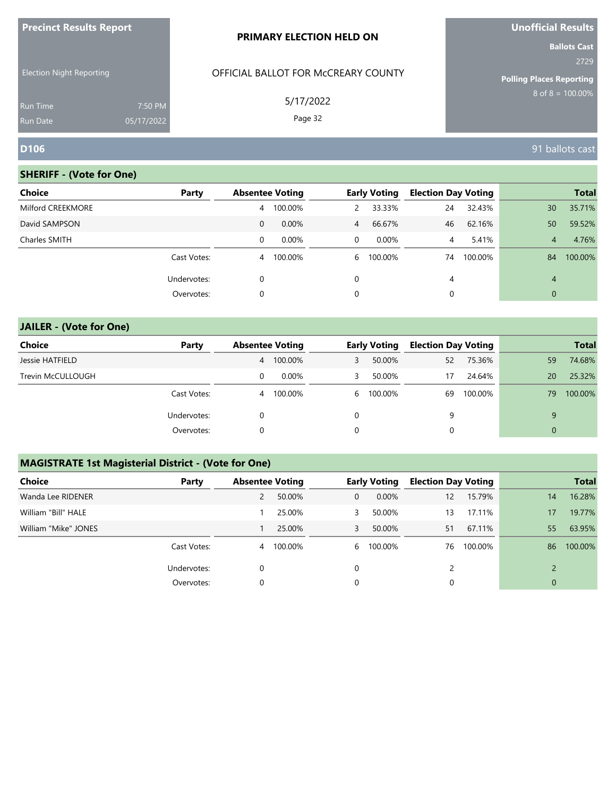| <b>Precinct Results Report</b>                     |            | PRIMARY ELECTION HELD ON                         | <b>Unofficial Results</b>                                                                      |  |  |
|----------------------------------------------------|------------|--------------------------------------------------|------------------------------------------------------------------------------------------------|--|--|
| <b>Election Night Reporting</b><br><b>Run Time</b> | 7:50 PM    | OFFICIAL BALLOT FOR MCCREARY COUNTY<br>5/17/2022 | <b>Ballots Cast</b><br>2729<br><b>Polling Places Reporting</b><br>$8 \text{ of } 8 = 100.00\%$ |  |  |
|                                                    |            | Page 32                                          |                                                                                                |  |  |
| <b>Run Date</b><br><b>D106</b>                     | 05/17/2022 |                                                  | 91 ballots cast                                                                                |  |  |

| <b>Choice</b>     | Party       |   | <b>Absentee Voting</b> |                | <b>Early Voting</b> | <b>Election Day Voting</b> |         |                | <b>Total</b> |
|-------------------|-------------|---|------------------------|----------------|---------------------|----------------------------|---------|----------------|--------------|
| Milford CREEKMORE |             | 4 | 100.00%                | 2              | 33.33%              | 24                         | 32.43%  | 30             | 35.71%       |
| David SAMPSON     |             | 0 | 0.00%                  | $\overline{4}$ | 66.67%              | 46                         | 62.16%  | 50             | 59.52%       |
| Charles SMITH     |             | 0 | $0.00\%$               | $\mathbf 0$    | $0.00\%$            | 4                          | 5.41%   | $\overline{4}$ | 4.76%        |
|                   | Cast Votes: | 4 | 100.00%                | 6              | 100.00%             | 74                         | 100.00% | 84             | 100.00%      |
|                   | Undervotes: | 0 |                        | $\Omega$       |                     | 4                          |         | $\overline{4}$ |              |
|                   | Overvotes:  | 0 |                        | 0              |                     | 0                          |         | $\mathbf{0}$   |              |
|                   |             |   |                        |                |                     |                            |         |                |              |

| <b>JAILER - (Vote for One)</b> |  |  |
|--------------------------------|--|--|
|--------------------------------|--|--|

| <b>Choice</b>     | Party       |                | <b>Absentee Voting</b> |    | <b>Early Voting</b> | <b>Election Day Voting</b> |         |    | <b>Total</b> |
|-------------------|-------------|----------------|------------------------|----|---------------------|----------------------------|---------|----|--------------|
| Jessie HATFIELD   |             | $\overline{4}$ | 100.00%                | 3  | 50.00%              | 52                         | 75.36%  | 59 | 74.68%       |
| Trevin McCULLOUGH |             | 0              | $0.00\%$               | 3. | 50.00%              | 17                         | 24.64%  | 20 | 25.32%       |
|                   | Cast Votes: | 4              | 100.00%                | 6  | 100.00%             | 69                         | 100.00% | 79 | 100.00%      |
|                   | Undervotes: | 0              |                        | 0  |                     | 9                          |         | 9  |              |
|                   | Overvotes:  | 0              |                        | 0  |                     | 0                          |         |    |              |

# **MAGISTRATE 1st Magisterial District - (Vote for One)**

| <b>Choice</b>        | Party       | <b>Absentee Voting</b> |         |   | <b>Early Voting</b> | <b>Election Day Voting</b> |         |              | <b>Total</b> |
|----------------------|-------------|------------------------|---------|---|---------------------|----------------------------|---------|--------------|--------------|
| Wanda Lee RIDENER    |             |                        | 50.00%  | 0 | $0.00\%$            | 12                         | 15.79%  | 14           | 16.28%       |
| William "Bill" HALE  |             |                        | 25.00%  |   | 50.00%              | 13                         | 17.11%  | 17           | 19.77%       |
| William "Mike" JONES |             |                        | 25.00%  | 3 | 50.00%              | 51                         | 67.11%  | 55           | 63.95%       |
|                      | Cast Votes: | 4                      | 100.00% | 6 | 100.00%             | 76                         | 100.00% | 86           | 100.00%      |
|                      | Undervotes: | 0                      |         |   |                     |                            |         |              |              |
|                      | Overvotes:  |                        |         |   |                     | 0                          |         | $\mathbf{0}$ |              |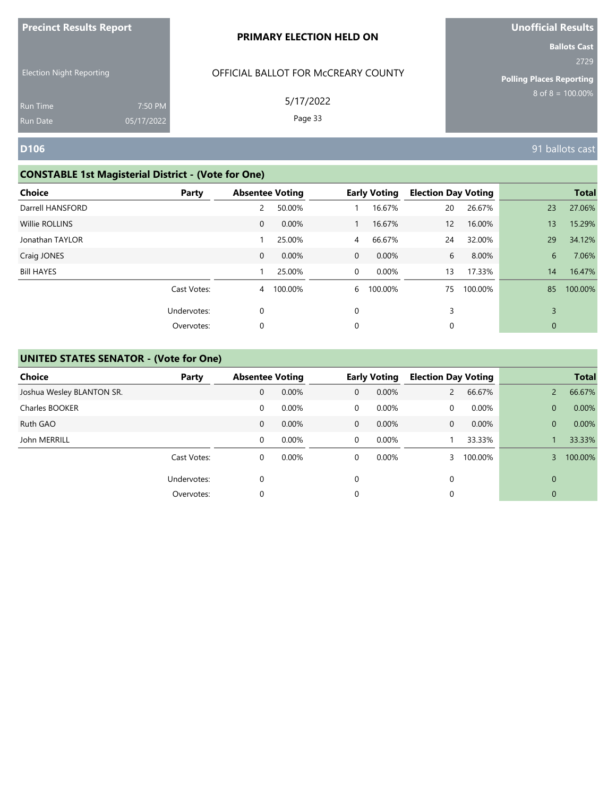| <b>Precinct Results Report</b>  |                       | <b>PRIMARY ELECTION HELD ON</b>     | <b>Unofficial Results</b>                                      |
|---------------------------------|-----------------------|-------------------------------------|----------------------------------------------------------------|
| <b>Election Night Reporting</b> |                       | OFFICIAL BALLOT FOR MCCREARY COUNTY | <b>Ballots Cast</b><br>2729<br><b>Polling Places Reporting</b> |
| <b>Run Time</b><br>Run Date     | 7:50 PM<br>05/17/2022 | 5/17/2022<br>Page 33                | $8 \text{ of } 8 = 100.00\%$                                   |
| <b>D106</b>                     |                       |                                     | 91 ballots cast                                                |

# **CONSTABLE 1st Magisterial District - (Vote for One)**

| Choice            | Party       |              | <b>Absentee Voting</b> |                | <b>Early Voting</b> | <b>Election Day Voting</b> |         |              | <b>Total</b> |
|-------------------|-------------|--------------|------------------------|----------------|---------------------|----------------------------|---------|--------------|--------------|
| Darrell HANSFORD  |             | 2            | 50.00%                 |                | 16.67%              | 20                         | 26.67%  | 23           | 27.06%       |
| Willie ROLLINS    |             | $\mathbf{0}$ | 0.00%                  |                | 16.67%              | 12                         | 16.00%  | 13           | 15.29%       |
| Jonathan TAYLOR   |             |              | 25.00%                 | $\overline{4}$ | 66.67%              | 24                         | 32.00%  | 29           | 34.12%       |
| Craig JONES       |             | $\mathbf{0}$ | 0.00%                  | $\overline{0}$ | 0.00%               | 6                          | 8.00%   | 6            | 7.06%        |
| <b>Bill HAYES</b> |             |              | 25.00%                 | $\overline{0}$ | 0.00%               | 13                         | 17.33%  | 14           | 16.47%       |
|                   | Cast Votes: |              | 4 100.00%              | 6              | 100.00%             | 75                         | 100.00% | 85           | 100.00%      |
|                   | Undervotes: | 0            |                        | $\Omega$       |                     | 3                          |         | 3            |              |
|                   | Overvotes:  | 0            |                        | 0              |                     | 0                          |         | $\mathbf{0}$ |              |

| <b>Choice</b>             | Party       | <b>Absentee Voting</b> |       |             | <b>Early Voting</b> | <b>Election Day Voting</b> |          |              | <b>Total</b> |
|---------------------------|-------------|------------------------|-------|-------------|---------------------|----------------------------|----------|--------------|--------------|
| Joshua Wesley BLANTON SR. |             | 0                      | 0.00% | $\Omega$    | 0.00%               |                            | 66.67%   |              | 66.67%       |
| Charles BOOKER            |             | 0                      | 0.00% | 0           | 0.00%               | 0                          | $0.00\%$ | $\mathbf{0}$ | 0.00%        |
| Ruth GAO                  |             | $\mathbf{0}$           | 0.00% | $\mathbf 0$ | $0.00\%$            | $\mathbf{0}$               | 0.00%    | $\Omega$     | 0.00%        |
| John MERRILL              |             | 0                      | 0.00% | $\Omega$    | 0.00%               |                            | 33.33%   |              | 33.33%       |
|                           | Cast Votes: | 0                      | 0.00% | $\Omega$    | 0.00%               |                            | 100.00%  |              | 100.00%      |
|                           | Undervotes: | $\Omega$               |       | $\Omega$    |                     | 0                          |          | $\Omega$     |              |
|                           | Overvotes:  | 0                      |       | $\Omega$    |                     | 0                          |          | $\mathbf{0}$ |              |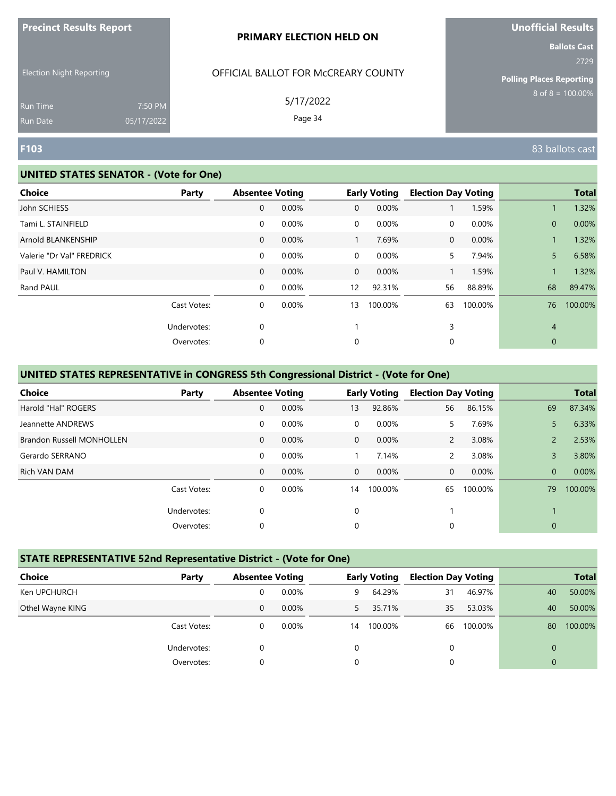| <b>Precinct Results Report</b> |  |  |
|--------------------------------|--|--|
|--------------------------------|--|--|

Election Night Reporting

## OFFICIAL BALLOT FOR McCREARY COUNTY

5/17/2022

Page 34

**Ballots Cast** 2729

**Polling Places Reporting**  $8$  of  $8 = 100.00\%$ 

Run Time Run Date

#### **UNITED STATES SENATOR - (Vote for One)**

7:50 PM 05/17/2022

| <b>Choice</b><br>Party    | <b>Absentee Voting</b> |       |                 | <b>Early Voting</b> | <b>Election Day Voting</b> |         |                | <b>Total</b> |
|---------------------------|------------------------|-------|-----------------|---------------------|----------------------------|---------|----------------|--------------|
| John SCHIESS              | $\mathbf 0$            | 0.00% | $\overline{0}$  | 0.00%               |                            | 1.59%   |                | 1.32%        |
| Tami L. STAINFIELD        | $\mathbf 0$            | 0.00% | $\overline{0}$  | $0.00\%$            | 0                          | 0.00%   | $\mathbf{0}$   | 0.00%        |
| Arnold BLANKENSHIP        | 0                      | 0.00% |                 | 7.69%               | 0                          | 0.00%   |                | 1.32%        |
| Valerie "Dr Val" FREDRICK | $\mathbf 0$            | 0.00% | $\overline{0}$  | $0.00\%$            | 5.                         | 7.94%   | 5              | 6.58%        |
| Paul V. HAMILTON          | 0                      | 0.00% | $\overline{0}$  | 0.00%               |                            | 1.59%   |                | 1.32%        |
| Rand PAUL                 | $\mathbf 0$            | 0.00% | 12 <sup>2</sup> | 92.31%              | 56                         | 88.89%  | 68             | 89.47%       |
| Cast Votes:               | $\mathbf 0$            | 0.00% | 13              | 100.00%             | 63                         | 100.00% | 76             | 100.00%      |
| Undervotes:               | 0                      |       |                 |                     | 3                          |         | $\overline{4}$ |              |
| Overvotes:                | 0                      |       | 0               |                     | 0                          |         | $\mathbf{0}$   |              |

#### **UNITED STATES REPRESENTATIVE in CONGRESS 5th Congressional District - (Vote for One)**

| Choice                           | Party       | <b>Absentee Voting</b> |          |          | <b>Early Voting</b> | <b>Election Day Voting</b> |         |               | <b>Total</b> |
|----------------------------------|-------------|------------------------|----------|----------|---------------------|----------------------------|---------|---------------|--------------|
| Harold "Hal" ROGERS              |             | $\mathbf{0}$           | 0.00%    | 13       | 92.86%              | 56                         | 86.15%  | 69            | 87.34%       |
| Jeannette ANDREWS                |             | 0                      | 0.00%    | $\Omega$ | 0.00%               | 5.                         | 7.69%   | 5             | 6.33%        |
| <b>Brandon Russell MONHOLLEN</b> |             | $\mathbf{0}$           | $0.00\%$ | $\Omega$ | $0.00\%$            | $\overline{2}$             | 3.08%   | $\mathcal{P}$ | 2.53%        |
| Gerardo SERRANO                  |             | 0                      | 0.00%    |          | 7.14%               | $\overline{2}$             | 3.08%   | 3             | 3.80%        |
| Rich VAN DAM                     |             | $\mathbf{0}$           | 0.00%    | $\Omega$ | 0.00%               | 0                          | 0.00%   | $\mathbf{0}$  | 0.00%        |
|                                  | Cast Votes: | 0                      | 0.00%    | 14       | 100.00%             | 65                         | 100.00% | 79            | 100.00%      |
|                                  | Undervotes: | 0                      |          | $\Omega$ |                     |                            |         |               |              |
|                                  | Overvotes:  | 0                      |          | 0        |                     | 0                          |         | $\mathbf{0}$  |              |

#### **STATE REPRESENTATIVE 52nd Representative District - (Vote for One)**

| <b>Choice</b>    | Party       | <b>Absentee Voting</b> |          |    | <b>Early Voting</b> | <b>Election Day Voting</b> |         |    | <b>Total</b> |
|------------------|-------------|------------------------|----------|----|---------------------|----------------------------|---------|----|--------------|
| Ken UPCHURCH     |             |                        | 0.00%    | 9  | 64.29%              | 31                         | 46.97%  | 40 | 50.00%       |
| Othel Wayne KING |             | 0                      | $0.00\%$ | 5. | 35.71%              | 35                         | 53.03%  | 40 | 50.00%       |
|                  | Cast Votes: | 0                      | $0.00\%$ | 14 | 100.00%             | 66                         | 100.00% | 80 | 100.00%      |
|                  | Undervotes: |                        |          | 0  |                     | 0                          |         |    |              |
|                  | Overvotes:  | 0                      |          | 0  |                     | 0                          |         |    |              |

**F103** 83 ballots cast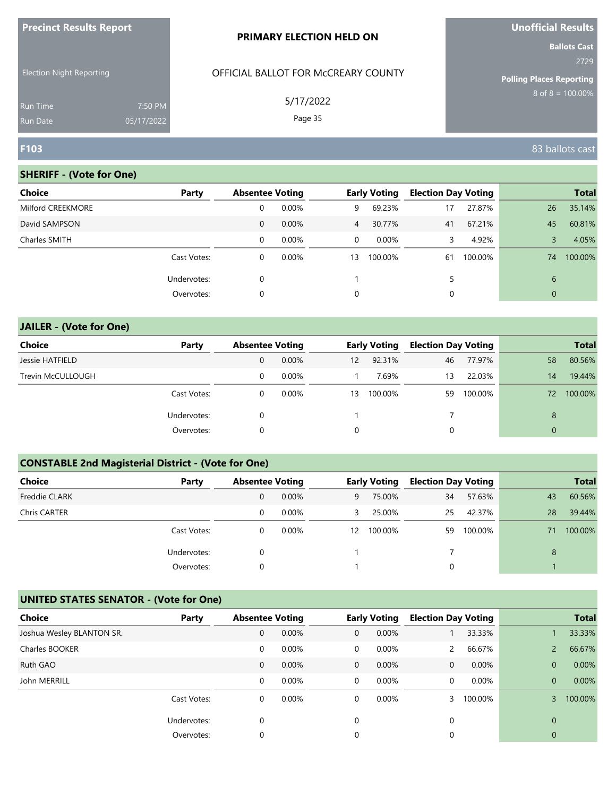| <b>Precinct Results Report</b>     |                       | <b>PRIMARY ELECTION HELD ON</b>     | <b>Unofficial Results</b>               |
|------------------------------------|-----------------------|-------------------------------------|-----------------------------------------|
|                                    |                       |                                     | <b>Ballots Cast</b>                     |
| <b>Election Night Reporting</b>    |                       | OFFICIAL BALLOT FOR MCCREARY COUNTY | 2729<br><b>Polling Places Reporting</b> |
| <b>Run Time</b><br><b>Run Date</b> | 7:50 PM<br>05/17/2022 | 5/17/2022<br>Page 35                | $8$ of $8 = 100.00\%$                   |
| <b>F103</b>                        |                       |                                     | 83 ballots cast                         |

| <b>Choice</b>     | Party       | <b>Absentee Voting</b> |          |                | <b>Early Voting</b> | <b>Election Day Voting</b> |         |              | <b>Total</b> |
|-------------------|-------------|------------------------|----------|----------------|---------------------|----------------------------|---------|--------------|--------------|
| Milford CREEKMORE |             | 0                      | 0.00%    | 9              | 69.23%              | 17                         | 27.87%  | 26           | 35.14%       |
| David SAMPSON     |             | 0                      | 0.00%    | 4 <sup>7</sup> | 30.77%              | 41                         | 67.21%  | 45           | 60.81%       |
| Charles SMITH     |             | 0                      | $0.00\%$ | $\mathbf{0}$   | 0.00%               | 3                          | 4.92%   |              | 4.05%        |
|                   | Cast Votes: | 0                      | 0.00%    | 13             | 100.00%             | 61                         | 100.00% | 74           | 100.00%      |
|                   | Undervotes: | 0                      |          |                |                     | 5                          |         | 6            |              |
|                   | Overvotes:  | 0                      |          | 0              |                     | 0                          |         | $\mathbf{0}$ |              |
|                   |             |                        |          |                |                     |                            |         |              |              |

# **JAILER - (Vote for One) Choice Party Absentee Voting Early Voting Election Day Voting Total** Jessie HATFIELD 0 0.00% 12 92.31% 46 77.97% 58 80.56% Trevin McCULLOUGH **12 22.03% 13 22.03%** 14 19.44% Cast Votes: 0 0.00% 13 100.00% 59 100.00% 72 100.00% Undervotes: 0 0 1 7 7 8 Overvotes: 0 0 0 0

# **CONSTABLE 2nd Magisterial District - (Vote for One)**

| <b>Choice</b>        | Party       | <b>Absentee Voting</b> |          |    | <b>Early Voting</b> | <b>Election Day Voting</b> |         |    | <b>Total</b> |
|----------------------|-------------|------------------------|----------|----|---------------------|----------------------------|---------|----|--------------|
| <b>Freddie CLARK</b> |             | 0                      | $0.00\%$ | 9  | 75.00%              | 34                         | 57.63%  | 43 | 60.56%       |
| Chris CARTER         |             | 0                      | $0.00\%$ | 3  | 25.00%              | 25                         | 42.37%  | 28 | 39.44%       |
|                      | Cast Votes: | 0                      | $0.00\%$ | 12 | 100.00%             | 59                         | 100.00% | 71 | 100.00%      |
|                      | Undervotes: | 0                      |          |    |                     |                            |         | 8  |              |
|                      | Overvotes:  | 0                      |          |    |                     | 0                          |         |    |              |

| <b>Choice</b>             | Party       | <b>Absentee Voting</b> |       |              | <b>Early Voting</b> | <b>Election Day Voting</b> |         |              | <b>Total</b> |
|---------------------------|-------------|------------------------|-------|--------------|---------------------|----------------------------|---------|--------------|--------------|
| Joshua Wesley BLANTON SR. |             | $\mathbf{0}$           | 0.00% | $\mathbf{0}$ | 0.00%               |                            | 33.33%  |              | 33.33%       |
| Charles BOOKER            |             | 0                      | 0.00% | $\mathbf 0$  | $0.00\%$            | $\mathbf{2}$               | 66.67%  |              | 66.67%       |
| Ruth GAO                  |             | $\mathbf 0$            | 0.00% | $\mathbf{0}$ | $0.00\%$            | 0                          | 0.00%   | $\mathbf{0}$ | 0.00%        |
| John MERRILL              |             | 0                      | 0.00% | 0            | 0.00%               | 0                          | 0.00%   | $\Omega$     | 0.00%        |
|                           | Cast Votes: | 0                      | 0.00% | 0            | $0.00\%$            |                            | 100.00% |              | 100.00%      |
|                           | Undervotes: | $\mathbf 0$            |       | 0            |                     | 0                          |         | $\Omega$     |              |
|                           | Overvotes:  | 0                      |       | 0            |                     | 0                          |         | 0            |              |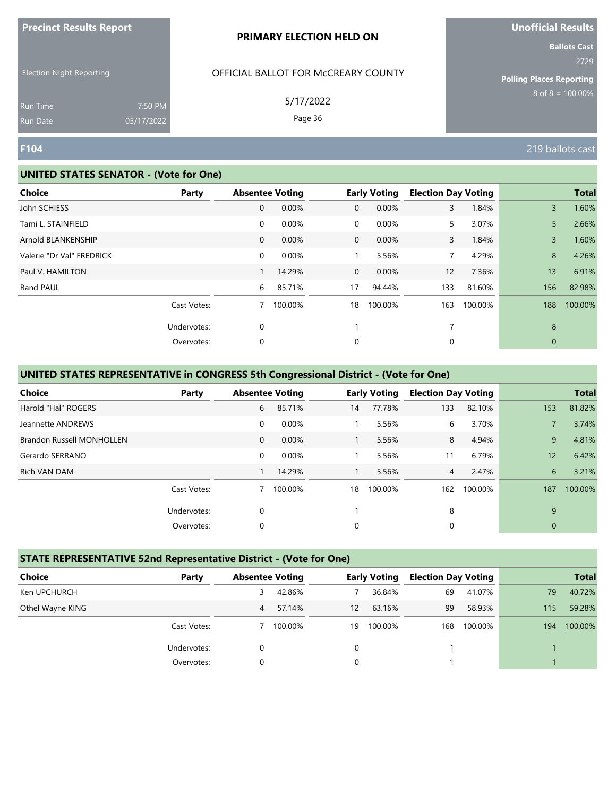| <b>Precinct Results Report</b> |  |  |
|--------------------------------|--|--|
|--------------------------------|--|--|

Election Night Reporting

# OFFICIAL BALLOT FOR McCREARY COUNTY

5/17/2022

Page 36

**Ballots Cast** 2729

**Polling Places Reporting**  $8$  of  $8 = 100.00\%$ 

Run Time Run Date

#### **UNITED STATES SENATOR - (Vote for One)**

7:50 PM 05/17/2022

| <b>Choice</b>             | Party       | <b>Absentee Voting</b> |         |                | <b>Early Voting</b> | <b>Election Day Voting</b> |         |                | <b>Total</b> |
|---------------------------|-------------|------------------------|---------|----------------|---------------------|----------------------------|---------|----------------|--------------|
| John SCHIESS              |             | $\mathbf 0$            | 0.00%   | $\mathbf{0}$   | 0.00%               | 3                          | 1.84%   | $\overline{3}$ | 1.60%        |
| Tami L. STAINFIELD        |             | 0                      | 0.00%   | $\mathbf 0$    | 0.00%               | 5                          | 3.07%   | 5              | 2.66%        |
| Arnold BLANKENSHIP        |             | 0                      | 0.00%   | $\overline{0}$ | 0.00%               | 3                          | 1.84%   | $\overline{3}$ | 1.60%        |
| Valerie "Dr Val" FREDRICK |             | 0                      | 0.00%   |                | 5.56%               | 7                          | 4.29%   | 8              | 4.26%        |
| Paul V. HAMILTON          |             |                        | 14.29%  | $\overline{0}$ | 0.00%               | 12 <sup>2</sup>            | 7.36%   | 13             | 6.91%        |
| Rand PAUL                 |             | 6                      | 85.71%  | 17             | 94.44%              | 133                        | 81.60%  | 156            | 82.98%       |
|                           | Cast Votes: |                        | 100.00% | 18             | 100.00%             | 163                        | 100.00% | 188            | 100.00%      |
|                           | Undervotes: | 0                      |         |                |                     | 7                          |         | 8              |              |
|                           | Overvotes:  | 0                      |         | 0              |                     | 0                          |         | $\mathbf{0}$   |              |

#### **UNITED STATES REPRESENTATIVE in CONGRESS 5th Congressional District - (Vote for One)**

| <b>Choice</b>                    | Party       |              | <b>Absentee Voting</b> |    | <b>Early Voting</b> | <b>Election Day Voting</b> |         |              | <b>Total</b> |
|----------------------------------|-------------|--------------|------------------------|----|---------------------|----------------------------|---------|--------------|--------------|
| Harold "Hal" ROGERS              |             | 6            | 85.71%                 | 14 | 77.78%              | 133                        | 82.10%  | 153          | 81.82%       |
| Jeannette ANDREWS                |             | 0            | 0.00%                  |    | 5.56%               | 6                          | 3.70%   |              | 3.74%        |
| <b>Brandon Russell MONHOLLEN</b> |             | $\mathbf{0}$ | $0.00\%$               |    | 5.56%               | 8                          | 4.94%   | 9            | 4.81%        |
| Gerardo SERRANO                  |             | 0            | 0.00%                  |    | 5.56%               | 11                         | 6.79%   | 12           | 6.42%        |
| Rich VAN DAM                     |             |              | 14.29%                 |    | 5.56%               | 4                          | 2.47%   | 6            | 3.21%        |
|                                  | Cast Votes: |              | 100.00%                | 18 | 100.00%             | 162                        | 100.00% | 187          | 100.00%      |
|                                  | Undervotes: | 0            |                        |    |                     | 8                          |         | 9            |              |
|                                  | Overvotes:  | 0            |                        | 0  |                     | 0                          |         | $\mathbf{0}$ |              |

#### **STATE REPRESENTATIVE 52nd Representative District - (Vote for One)**

| Choice           | Party       | <b>Absentee Voting</b> |         |    | <b>Early Voting</b> | <b>Election Day Voting</b> |         |     | <b>Total</b> |
|------------------|-------------|------------------------|---------|----|---------------------|----------------------------|---------|-----|--------------|
| Ken UPCHURCH     |             | 3                      | 42.86%  |    | 36.84%              | 69                         | 41.07%  | 79  | 40.72%       |
| Othel Wayne KING |             | 4                      | 57.14%  | 12 | 63.16%              | 99                         | 58.93%  | 115 | 59.28%       |
|                  | Cast Votes: |                        | 100.00% | 19 | 100.00%             | 168                        | 100.00% | 194 | 100.00%      |
|                  | Undervotes: | 0                      |         | 0  |                     |                            |         |     |              |
|                  | Overvotes:  | 0                      |         | 0  |                     |                            |         |     |              |

**F104** 219 ballots cast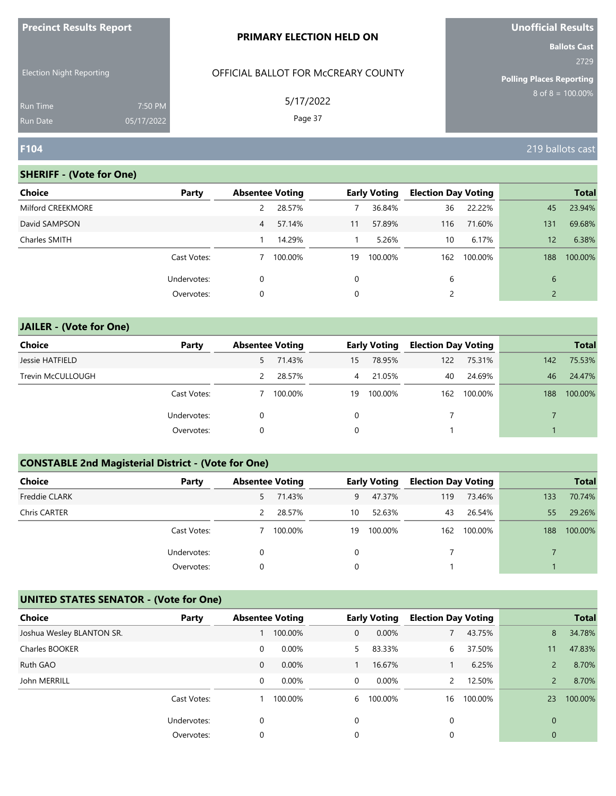| <b>Precinct Results Report</b>  |            | <b>PRIMARY ELECTION HELD ON</b>     | <b>Unofficial Results</b>       |
|---------------------------------|------------|-------------------------------------|---------------------------------|
|                                 |            |                                     | <b>Ballots Cast</b><br>2729     |
| <b>Election Night Reporting</b> |            | OFFICIAL BALLOT FOR MCCREARY COUNTY | <b>Polling Places Reporting</b> |
| Run Time                        | 7:50 PM    | 5/17/2022                           | $8$ of $8 = 100.00\%$           |
| <b>Run Date</b>                 | 05/17/2022 | Page 37                             |                                 |
| F104                            |            |                                     | 219 ballots cast                |

**Unofficial Results**

#### **SHERIFF - (Vote for One)**

| Choice            | Party       | <b>Absentee Voting</b> |         |    | <b>Early Voting</b> | <b>Election Day Voting</b> |         |                 | <b>Total</b> |
|-------------------|-------------|------------------------|---------|----|---------------------|----------------------------|---------|-----------------|--------------|
| Milford CREEKMORE |             | 2                      | 28.57%  |    | 36.84%              | 36                         | 22.22%  | 45              | 23.94%       |
| David SAMPSON     |             | 4                      | 57.14%  | 11 | 57.89%              | 116                        | 71.60%  | 131             | 69.68%       |
| Charles SMITH     |             |                        | 14.29%  |    | 5.26%               | 10                         | 6.17%   | 12 <sup>°</sup> | 6.38%        |
|                   | Cast Votes: |                        | 100.00% | 19 | 100.00%             | 162                        | 100.00% | 188             | 100.00%      |
|                   | Undervotes: | 0                      |         | 0  |                     | 6                          |         | 6               |              |
|                   | Overvotes:  | 0                      |         | 0  |                     |                            |         |                 |              |
|                   |             |                        |         |    |                     |                            |         |                 |              |

# **JAILER - (Vote for One) Choice Party Absentee Voting Early Voting Election Day Voting Total** Jessie HATFIELD 5 71.43% 15 78.95% 122 75.31% 142 75.53% Trevin McCULLOUGH 2 28.57% 4 21.05% 40 24.69% 46 24.47% Cast Votes: 7 100.00% 19 100.00% 162 100.00% 188 100.00% Undervotes: 0 0 0 7 7 7 Overvotes: 0 0 1 1

# **CONSTABLE 2nd Magisterial District - (Vote for One)**

| <b>Choice</b>        | Party       | <b>Absentee Voting</b> |         |    | <b>Early Voting</b> | <b>Election Day Voting</b> |         |     | <b>Total</b> |
|----------------------|-------------|------------------------|---------|----|---------------------|----------------------------|---------|-----|--------------|
| <b>Freddie CLARK</b> |             | 5.                     | 71.43%  | 9  | 47.37%              | 119                        | 73.46%  | 133 | 70.74%       |
| Chris CARTER         |             |                        | 28.57%  | 10 | 52.63%              | 43                         | 26.54%  | 55  | 29.26%       |
|                      | Cast Votes: |                        | 100.00% | 19 | 100.00%             | 162                        | 100.00% | 188 | 100.00%      |
|                      | Undervotes: | 0                      |         | 0  |                     |                            |         |     |              |
|                      | Overvotes:  | 0                      |         | 0  |                     |                            |         |     |              |

| <b>Choice</b>             | Party       | <b>Absentee Voting</b> |         |              | <b>Early Voting</b> | <b>Election Day Voting</b> |         |               | <b>Total</b> |
|---------------------------|-------------|------------------------|---------|--------------|---------------------|----------------------------|---------|---------------|--------------|
| Joshua Wesley BLANTON SR. |             |                        | 100.00% | $\mathbf{0}$ | 0.00%               |                            | 43.75%  | 8             | 34.78%       |
| Charles BOOKER            |             | 0                      | 0.00%   | 5.           | 83.33%              | 6                          | 37.50%  | 11            | 47.83%       |
| Ruth GAO                  |             | $\mathbf 0$            | 0.00%   |              | 16.67%              |                            | 6.25%   |               | 8.70%        |
| John MERRILL              |             | 0                      | 0.00%   | 0            | 0.00%               | $\mathcal{P}$              | 12.50%  | $\mathcal{P}$ | 8.70%        |
|                           | Cast Votes: |                        | 100.00% | 6            | 100.00%             | 16                         | 100.00% | 23            | 100.00%      |
|                           | Undervotes: | 0                      |         | 0            |                     | 0                          |         | $\Omega$      |              |
|                           | Overvotes:  | 0                      |         | 0            |                     | 0                          |         | 0             |              |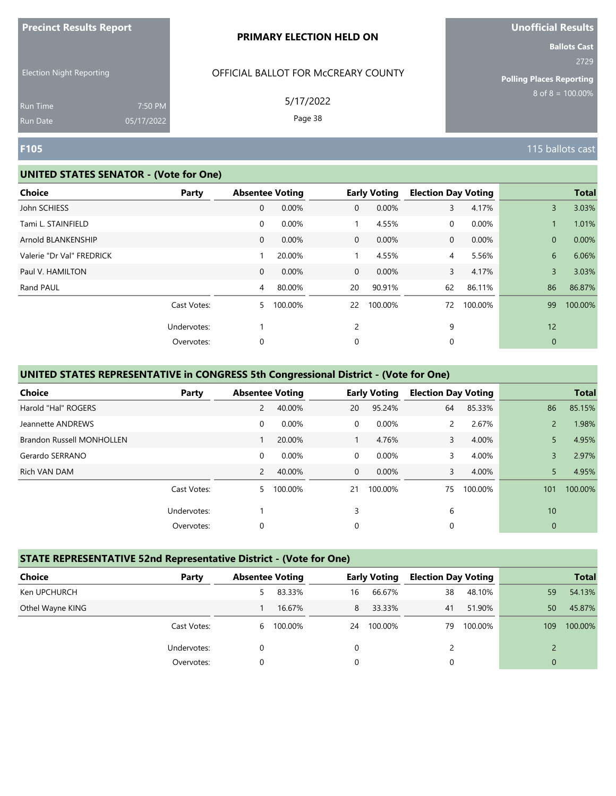| <b>Precinct Results Report</b> |  |  |
|--------------------------------|--|--|
|--------------------------------|--|--|

Election Night Reporting

# OFFICIAL BALLOT FOR McCREARY COUNTY

5/17/2022

Page 38

**Ballots Cast** 2729

**Polling Places Reporting**  $8$  of  $8 = 100.00\%$ 

Run Time Run Date

#### **UNITED STATES SENATOR - (Vote for One)**

7:50 PM 05/17/2022

| <b>Choice</b><br>Party    |              | <b>Absentee Voting</b> |                | <b>Early Voting</b> | <b>Election Day Voting</b> |         |                | <b>Total</b> |
|---------------------------|--------------|------------------------|----------------|---------------------|----------------------------|---------|----------------|--------------|
| John SCHIESS              | 0            | 0.00%                  | $\mathbf{0}$   | 0.00%               | 3                          | 4.17%   | $\overline{3}$ | 3.03%        |
| Tami L. STAINFIELD        | 0            | 0.00%                  |                | 4.55%               | 0                          | 0.00%   |                | 1.01%        |
| Arnold BLANKENSHIP        | 0            | 0.00%                  | $\overline{0}$ | 0.00%               | 0                          | 0.00%   | $\overline{0}$ | 0.00%        |
| Valerie "Dr Val" FREDRICK |              | 20.00%                 |                | 4.55%               | 4                          | 5.56%   | 6              | 6.06%        |
| Paul V. HAMILTON          | $\mathbf{0}$ | 0.00%                  | $\overline{0}$ | 0.00%               | 3                          | 4.17%   | 3              | 3.03%        |
| Rand PAUL                 | 4            | 80.00%                 | 20             | 90.91%              | 62                         | 86.11%  | 86             | 86.87%       |
| Cast Votes:               | 5            | 100.00%                | 22             | 100.00%             | 72                         | 100.00% | 99             | 100.00%      |
| Undervotes:               |              |                        | $\overline{2}$ |                     | 9                          |         | 12             |              |
| Overvotes:                | 0            |                        | 0              |                     | 0                          |         | $\mathbf{0}$   |              |

#### **UNITED STATES REPRESENTATIVE in CONGRESS 5th Congressional District - (Vote for One)**

| Choice                           | Party       | <b>Absentee Voting</b> |         |                | <b>Early Voting</b> | <b>Election Day Voting</b> |         |                 | <b>Total</b> |
|----------------------------------|-------------|------------------------|---------|----------------|---------------------|----------------------------|---------|-----------------|--------------|
| Harold "Hal" ROGERS              |             | 2                      | 40.00%  | 20             | 95.24%              | 64                         | 85.33%  | 86              | 85.15%       |
| Jeannette ANDREWS                |             | 0                      | 0.00%   | $\Omega$       | 0.00%               | 2                          | 2.67%   | $\mathcal{P}$   | 1.98%        |
| <b>Brandon Russell MONHOLLEN</b> |             |                        | 20.00%  |                | 4.76%               | 3                          | 4.00%   | 5               | 4.95%        |
| Gerardo SERRANO                  |             | $\mathbf 0$            | 0.00%   | $\overline{0}$ | 0.00%               | 3                          | 4.00%   | 3               | 2.97%        |
| Rich VAN DAM                     |             | $\overline{2}$         | 40.00%  | $\overline{0}$ | 0.00%               | 3                          | 4.00%   | 5               | 4.95%        |
|                                  | Cast Votes: | 5.                     | 100.00% | 21             | 100.00%             | 75                         | 100.00% | 101             | 100.00%      |
|                                  | Undervotes: |                        |         | 3              |                     | 6                          |         | 10 <sup>°</sup> |              |
|                                  | Overvotes:  | 0                      |         | 0              |                     | 0                          |         | $\mathbf{0}$    |              |

#### **STATE REPRESENTATIVE 52nd Representative District - (Vote for One)**

| Choice           | Party       | <b>Absentee Voting</b> |           |    | <b>Early Voting</b> | <b>Election Day Voting</b> |         |     | <b>Total</b> |
|------------------|-------------|------------------------|-----------|----|---------------------|----------------------------|---------|-----|--------------|
| Ken UPCHURCH     |             | 5.                     | 83.33%    | 16 | 66.67%              | 38                         | 48.10%  | 59  | 54.13%       |
| Othel Wayne KING |             |                        | 16.67%    | 8  | 33.33%              | 41                         | 51.90%  | 50  | 45.87%       |
|                  | Cast Votes: |                        | 6 100.00% | 24 | 100.00%             | 79                         | 100.00% | 109 | 100.00%      |
|                  | Undervotes: | $\Omega$               |           | 0  |                     |                            |         |     |              |
|                  | Overvotes:  | $\Omega$               |           | 0  |                     | 0                          |         |     |              |

**F105** 115 ballots cast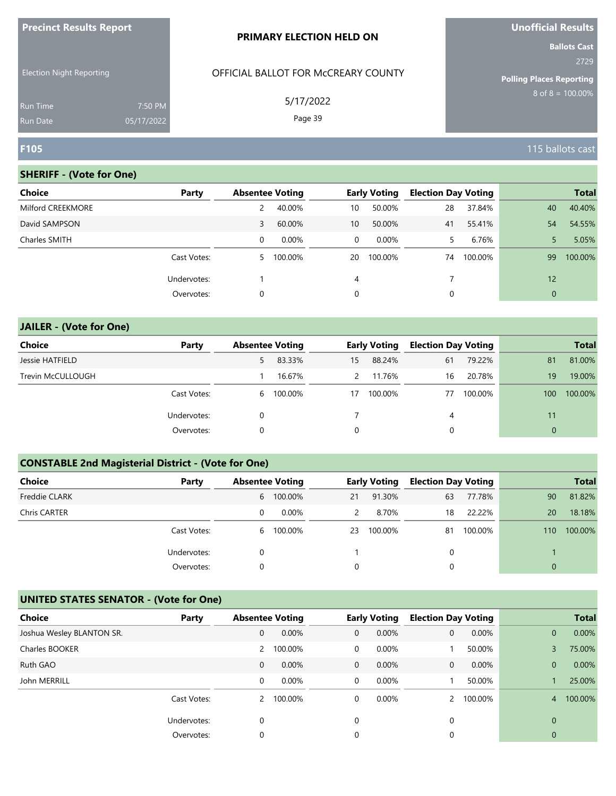| <b>Precinct Results Report</b>     |                       | <b>PRIMARY ELECTION HELD ON</b>     | <b>Unofficial Results</b>       |
|------------------------------------|-----------------------|-------------------------------------|---------------------------------|
| <b>Election Night Reporting</b>    |                       | OFFICIAL BALLOT FOR McCREARY COUNTY | <b>Ballots Cast</b><br>2729     |
|                                    |                       |                                     | <b>Polling Places Reporting</b> |
| <b>Run Time</b><br><b>Run Date</b> | 7:50 PM<br>05/17/2022 | 5/17/2022<br>Page 39                | $8$ of $8 = 100.00\%$           |
| F105                               |                       |                                     | 115 ballots cast                |

| Choice            | Party       | <b>Absentee Voting</b> |         |              | <b>Early Voting</b> | <b>Election Day Voting</b> |         |                | <b>Total</b> |
|-------------------|-------------|------------------------|---------|--------------|---------------------|----------------------------|---------|----------------|--------------|
| Milford CREEKMORE |             |                        | 40.00%  | 10           | 50.00%              | 28                         | 37.84%  | 40             | 40.40%       |
| David SAMPSON     |             | 3                      | 60.00%  | 10           | 50.00%              | 41                         | 55.41%  | 54             | 54.55%       |
| Charles SMITH     |             | 0                      | 0.00%   | $\mathbf{0}$ | $0.00\%$            | 5.                         | 6.76%   |                | 5.05%        |
|                   | Cast Votes: | 5.                     | 100.00% | 20           | 100.00%             | 74                         | 100.00% | 99             | 100.00%      |
|                   | Undervotes: |                        |         | 4            |                     |                            |         | 12             |              |
|                   | Overvotes:  | 0                      |         | 0            |                     |                            |         | $\overline{0}$ |              |

| <b>JAILER - (Vote for One)</b> |             |   |                        |               |                     |                            |         |              |              |
|--------------------------------|-------------|---|------------------------|---------------|---------------------|----------------------------|---------|--------------|--------------|
| Choice                         | Party       |   | <b>Absentee Voting</b> |               | <b>Early Voting</b> | <b>Election Day Voting</b> |         |              | <b>Total</b> |
| Jessie HATFIELD                |             | 5 | 83.33%                 | 15            | 88.24%              | 61                         | 79.22%  | 81           | 81.00%       |
| Trevin McCULLOUGH              |             |   | 16.67%                 | $\mathcal{P}$ | 11.76%              | 16                         | 20.78%  | 19           | 19.00%       |
|                                | Cast Votes: | 6 | 100.00%                | 17            | 100.00%             | 77                         | 100.00% | 100          | 100.00%      |
|                                | Undervotes: | 0 |                        |               |                     | 4                          |         | 11           |              |
|                                | Overvotes:  | 0 |                        | 0             |                     | 0                          |         | $\mathbf{0}$ |              |

# **CONSTABLE 2nd Magisterial District - (Vote for One)**

| <b>Choice</b>        | Party       |   | <b>Absentee Voting</b> |    | <b>Early Voting</b> | <b>Election Day Voting</b> |         |          | <b>Total</b> |
|----------------------|-------------|---|------------------------|----|---------------------|----------------------------|---------|----------|--------------|
| <b>Freddie CLARK</b> |             |   | 6 100.00%              | 21 | 91.30%              | 63                         | 77.78%  | 90       | 81.82%       |
| Chris CARTER         |             | 0 | $0.00\%$               | 2  | 8.70%               | 18                         | 22.22%  | 20       | 18.18%       |
|                      | Cast Votes: |   | 6 100.00%              | 23 | 100.00%             | 81                         | 100.00% | 110      | 100.00%      |
|                      | Undervotes: | 0 |                        |    |                     | 0                          |         |          |              |
|                      | Overvotes:  | 0 |                        | 0  |                     | 0                          |         | $\Omega$ |              |

| <b>Choice</b>             | Party       | <b>Absentee Voting</b> |         |              | <b>Early Voting</b> | <b>Election Day Voting</b> |         |              | <b>Total</b> |
|---------------------------|-------------|------------------------|---------|--------------|---------------------|----------------------------|---------|--------------|--------------|
| Joshua Wesley BLANTON SR. |             | 0                      | 0.00%   | $\mathbf{0}$ | 0.00%               | 0                          | 0.00%   | $\mathbf{0}$ | 0.00%        |
| Charles BOOKER            |             | 2                      | 100.00% | 0            | 0.00%               |                            | 50.00%  |              | 75.00%       |
| Ruth GAO                  |             | $\mathbf 0$            | 0.00%   | $\mathbf{0}$ | $0.00\%$            | 0                          | 0.00%   | $\Omega$     | 0.00%        |
| John MERRILL              |             | 0                      | 0.00%   | 0            | 0.00%               |                            | 50.00%  |              | 25.00%       |
|                           | Cast Votes: | $\mathbf{2}$           | 100.00% | 0            | $0.00\%$            |                            | 100.00% | 4            | 100.00%      |
|                           | Undervotes: | 0                      |         | 0            |                     | 0                          |         | $\Omega$     |              |
|                           | Overvotes:  | 0                      |         | 0            |                     | 0                          |         | 0            |              |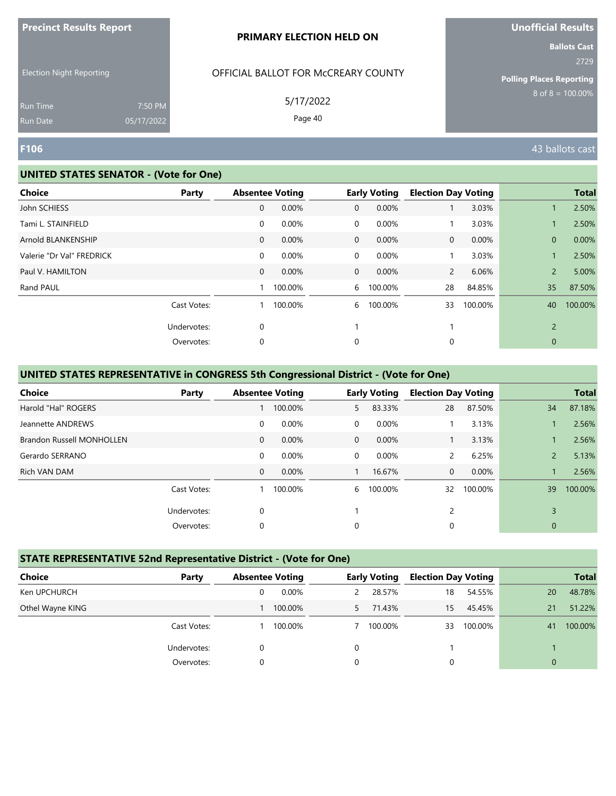| <b>Precinct Results Report</b> |  |  |
|--------------------------------|--|--|
|--------------------------------|--|--|

Election Night Reporting

## OFFICIAL BALLOT FOR McCREARY COUNTY

5/17/2022

Page 40

# **Unofficial Results**

**Ballots Cast** 2729

**Polling Places Reporting**  $8$  of  $8 = 100.00\%$ 

Run Time Run Date

#### **UNITED STATES SENATOR - (Vote for One)**

7:50 PM 05/17/2022

| Party |                                          |         |                        |         |                                            |         |                                              | <b>Total</b> |
|-------|------------------------------------------|---------|------------------------|---------|--------------------------------------------|---------|----------------------------------------------|--------------|
|       | $\mathbf 0$                              | 0.00%   | $\mathbf 0$            | 0.00%   |                                            | 3.03%   |                                              | 2.50%        |
|       | 0                                        | 0.00%   | $\overline{0}$         | 0.00%   |                                            | 3.03%   |                                              | 2.50%        |
|       | 0                                        | 0.00%   | $\overline{0}$         | 0.00%   | $\mathbf{0}$                               | 0.00%   | $\mathbf{0}$                                 | 0.00%        |
|       | 0                                        | 0.00%   | $\mathbf 0$            | 0.00%   |                                            | 3.03%   |                                              | 2.50%        |
|       | $\mathbf{0}$                             | 0.00%   |                        | 0.00%   |                                            | 6.06%   | $\overline{2}$                               | 5.00%        |
|       |                                          | 100.00% |                        | 100.00% | 28                                         | 84.85%  | 35                                           | 87.50%       |
|       |                                          | 100.00% | 6                      | 100.00% | 33                                         | 100.00% | 40                                           | 100.00%      |
|       | 0                                        |         |                        |         |                                            |         | $\overline{2}$                               |              |
|       | 0                                        |         | 0                      |         | 0                                          |         | $\mathbf{0}$                                 |              |
|       | Cast Votes:<br>Undervotes:<br>Overvotes: |         | <b>Absentee Voting</b> |         | <b>Early Voting</b><br>$\overline{0}$<br>6 |         | <b>Election Day Voting</b><br>$\overline{2}$ |              |

### **UNITED STATES REPRESENTATIVE in CONGRESS 5th Congressional District - (Vote for One)**

| Choice                           | Party       |              | <b>Absentee Voting</b> |              | <b>Early Voting</b> | <b>Election Day Voting</b> |         |                | <b>Total</b> |
|----------------------------------|-------------|--------------|------------------------|--------------|---------------------|----------------------------|---------|----------------|--------------|
| Harold "Hal" ROGERS              |             |              | 100.00%                | 5.           | 83.33%              | 28                         | 87.50%  | 34             | 87.18%       |
| Jeannette ANDREWS                |             | 0            | 0.00%                  | $\Omega$     | $0.00\%$            |                            | 3.13%   |                | 2.56%        |
| <b>Brandon Russell MONHOLLEN</b> |             | $\mathbf{0}$ | $0.00\%$               | $\mathbf{0}$ | 0.00%               |                            | 3.13%   |                | 2.56%        |
| Gerardo SERRANO                  |             | $\mathbf 0$  | $0.00\%$               | 0            | $0.00\%$            | 2                          | 6.25%   | $\overline{2}$ | 5.13%        |
| Rich VAN DAM                     |             | $\mathbf{0}$ | 0.00%                  |              | 16.67%              | 0                          | 0.00%   |                | 2.56%        |
|                                  | Cast Votes: |              | 100.00%                | 6            | 100.00%             | 32                         | 100.00% | 39             | 100.00%      |
|                                  | Undervotes: | 0            |                        |              |                     | 2                          |         | 3              |              |
|                                  | Overvotes:  | 0            |                        | $\Omega$     |                     | 0                          |         | $\mathbf{0}$   |              |

#### **STATE REPRESENTATIVE 52nd Representative District - (Vote for One)**

| Choice           | Party       | <b>Absentee Voting</b> |          |   | <b>Early Voting</b> | <b>Election Day Voting</b> |         |              | <b>Total</b> |
|------------------|-------------|------------------------|----------|---|---------------------|----------------------------|---------|--------------|--------------|
| Ken UPCHURCH     |             | 0                      | $0.00\%$ | 2 | 28.57%              | 18                         | 54.55%  | 20           | 48.78%       |
| Othel Wayne KING |             |                        | 100.00%  |   | 71.43%              | 15                         | 45.45%  | 21           | 51.22%       |
|                  | Cast Votes: |                        | 100.00%  |   | 100.00%             | 33                         | 100.00% | 41           | 100.00%      |
|                  | Undervotes: | 0                      |          | 0 |                     |                            |         |              |              |
|                  | Overvotes:  | 0                      |          | 0 |                     | 0                          |         | $\mathbf{0}$ |              |

**F106** 43 ballots cast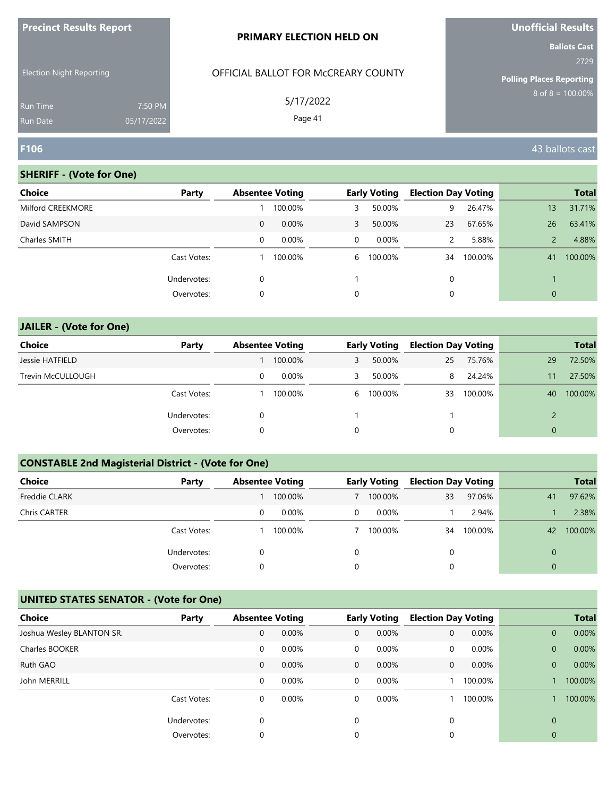| <b>Precinct Results Report</b>                              | <b>PRIMARY ELECTION HELD ON</b>     | <b>Unofficial Results</b>       |
|-------------------------------------------------------------|-------------------------------------|---------------------------------|
|                                                             |                                     | <b>Ballots Cast</b><br>2729     |
| <b>Election Night Reporting</b>                             | OFFICIAL BALLOT FOR MCCREARY COUNTY | <b>Polling Places Reporting</b> |
| 7:50 PM<br><b>Run Time</b><br>05/17/2022<br><b>Run Date</b> | 5/17/2022<br>Page 41                | $8 \text{ of } 8 = 100.00\%$    |
| F106                                                        |                                     | 43 ballots cast                 |

| <b>Choice</b>     | Party       | <b>Absentee Voting</b> |          |   | <b>Early Voting</b> | <b>Election Day Voting</b> |         |                | <b>Total</b> |
|-------------------|-------------|------------------------|----------|---|---------------------|----------------------------|---------|----------------|--------------|
| Milford CREEKMORE |             |                        | 100.00%  | 3 | 50.00%              | 9                          | 26.47%  | 13             | 31.71%       |
| David SAMPSON     |             | 0                      | 0.00%    | 3 | 50.00%              | 23                         | 67.65%  | 26             | 63.41%       |
| Charles SMITH     |             | 0                      | $0.00\%$ | 0 | $0.00\%$            | 2                          | 5.88%   |                | 4.88%        |
|                   | Cast Votes: |                        | 100.00%  | 6 | 100.00%             | 34                         | 100.00% | 41             | 100.00%      |
|                   | Undervotes: | 0                      |          |   |                     | 0                          |         |                |              |
|                   | Overvotes:  | 0                      |          | 0 |                     | $\mathbf 0$                |         | $\overline{0}$ |              |

| <b>JAILER - (Vote for One)</b> |             |   |                        |   |                     |                            |         |              |              |
|--------------------------------|-------------|---|------------------------|---|---------------------|----------------------------|---------|--------------|--------------|
| Choice                         | Party       |   | <b>Absentee Voting</b> |   | <b>Early Voting</b> | <b>Election Day Voting</b> |         |              | <b>Total</b> |
| Jessie HATFIELD                |             |   | 100.00%                | 3 | 50.00%              | 25                         | 75.76%  | 29           | 72.50%       |
| Trevin McCULLOUGH              |             | 0 | 0.00%                  | 3 | 50.00%              | 8                          | 24.24%  | 11           | 27.50%       |
|                                | Cast Votes: |   | 100.00%                | 6 | 100.00%             | 33                         | 100.00% | 40           | 100.00%      |
|                                | Undervotes: | 0 |                        |   |                     |                            |         |              |              |
|                                | Overvotes:  | 0 |                        | 0 |                     | 0                          |         | $\mathbf{0}$ |              |

# **CONSTABLE 2nd Magisterial District - (Vote for One)**

| <b>Choice</b>        | Party       | <b>Absentee Voting</b> |          |              | <b>Early Voting</b> | <b>Election Day Voting</b> |         |          | <b>Total</b> |
|----------------------|-------------|------------------------|----------|--------------|---------------------|----------------------------|---------|----------|--------------|
| <b>Freddie CLARK</b> |             |                        | 100.00%  |              | 100.00%             | 33                         | 97.06%  | 41       | 97.62%       |
| Chris CARTER         |             | 0                      | $0.00\%$ | $\mathbf{0}$ | $0.00\%$            |                            | 2.94%   |          | 2.38%        |
|                      | Cast Votes: |                        | 100.00%  |              | 100.00%             | 34                         | 100.00% | 42       | 100.00%      |
|                      | Undervotes: | 0                      |          | 0            |                     | 0                          |         |          |              |
|                      | Overvotes:  | 0                      |          | 0            |                     | 0                          |         | $\Omega$ |              |

| <b>Choice</b>             | Party       | <b>Absentee Voting</b> |       |              | <b>Early Voting</b> | <b>Election Day Voting</b> |          |              | <b>Total</b> |
|---------------------------|-------------|------------------------|-------|--------------|---------------------|----------------------------|----------|--------------|--------------|
| Joshua Wesley BLANTON SR. |             | 0                      | 0.00% | $\mathbf{0}$ | 0.00%               | $\mathbf{0}$               | 0.00%    | $\mathbf{0}$ | 0.00%        |
| Charles BOOKER            |             | 0                      | 0.00% | 0            | 0.00%               | 0                          | $0.00\%$ | $\mathbf{0}$ | 0.00%        |
| Ruth GAO                  |             | 0                      | 0.00% | $\mathbf{0}$ | $0.00\%$            | 0                          | 0.00%    | $\mathbf{0}$ | 0.00%        |
| John MERRILL              |             | 0                      | 0.00% | 0            | 0.00%               |                            | 100.00%  |              | 100.00%      |
|                           | Cast Votes: | 0                      | 0.00% | 0            | 0.00%               |                            | 100.00%  |              | 100.00%      |
|                           | Undervotes: | 0                      |       | $\Omega$     |                     | 0                          |          | $\Omega$     |              |
|                           | Overvotes:  | 0                      |       | 0            |                     |                            |          | 0            |              |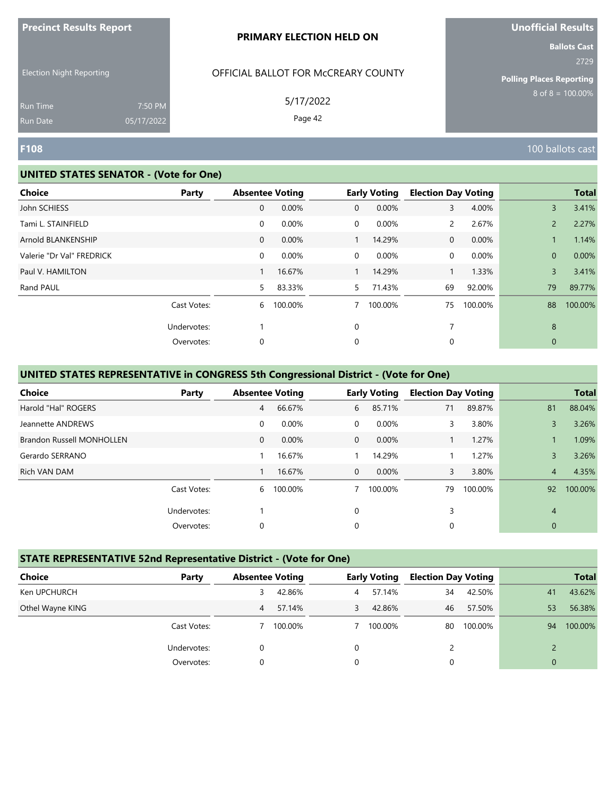| <b>Precinct Results Report</b> |  |  |
|--------------------------------|--|--|
|--------------------------------|--|--|

Election Night Reporting

# OFFICIAL BALLOT FOR McCREARY COUNTY

5/17/2022

Page 42

**Ballots Cast** 2729

**Polling Places Reporting**  $8$  of  $8 = 100.00\%$ 

Run Time Run Date

#### **UNITED STATES SENATOR - (Vote for One)**

7:50 PM 05/17/2022

| <b>Choice</b><br>Party    |             | <b>Absentee Voting</b> |                | <b>Early Voting</b> | <b>Election Day Voting</b> |         |                | <b>Total</b> |
|---------------------------|-------------|------------------------|----------------|---------------------|----------------------------|---------|----------------|--------------|
| John SCHIESS              | 0           | 0.00%                  | $\overline{0}$ | 0.00%               | 3                          | 4.00%   | $\overline{3}$ | 3.41%        |
| Tami L. STAINFIELD        | $\mathbf 0$ | 0.00%                  | $\overline{0}$ | 0.00%               | $\mathsf{2}^{\mathsf{1}}$  | 2.67%   | $\overline{2}$ | 2.27%        |
| Arnold BLANKENSHIP        | 0           | 0.00%                  |                | 14.29%              | 0                          | 0.00%   |                | 1.14%        |
| Valerie "Dr Val" FREDRICK | $\mathbf 0$ | 0.00%                  | $\overline{0}$ | 0.00%               | 0                          | 0.00%   | $\mathbf{0}$   | 0.00%        |
| Paul V. HAMILTON          | 1           | 16.67%                 |                | 14.29%              |                            | 1.33%   | $\overline{3}$ | 3.41%        |
| Rand PAUL                 | 5           | 83.33%                 | 5              | 71.43%              | 69                         | 92.00%  | 79             | 89.77%       |
| Cast Votes:               | 6           | 100.00%                | 7              | 100.00%             | 75                         | 100.00% | 88             | 100.00%      |
| Undervotes:               |             |                        | $\mathbf 0$    |                     | 7                          |         | 8              |              |
| Overvotes:                | 0           |                        | 0              |                     | 0                          |         | $\mathbf{0}$   |              |

#### **UNITED STATES REPRESENTATIVE in CONGRESS 5th Congressional District - (Vote for One)**

| <b>Choice</b>                    | Party       | <b>Absentee Voting</b> |          |          | <b>Early Voting</b> | <b>Election Day Voting</b> |         |                | <b>Total</b> |
|----------------------------------|-------------|------------------------|----------|----------|---------------------|----------------------------|---------|----------------|--------------|
| Harold "Hal" ROGERS              |             | 4                      | 66.67%   | 6        | 85.71%              | 71                         | 89.87%  | 81             | 88.04%       |
| Jeannette ANDREWS                |             | 0                      | 0.00%    | $\Omega$ | 0.00%               | 3                          | 3.80%   | 3              | 3.26%        |
| <b>Brandon Russell MONHOLLEN</b> |             | $\mathbf{0}$           | $0.00\%$ | $\Omega$ | $0.00\%$            |                            | 1.27%   |                | 1.09%        |
| Gerardo SERRANO                  |             |                        | 16.67%   |          | 14.29%              |                            | 1.27%   | 3              | 3.26%        |
| Rich VAN DAM                     |             |                        | 16.67%   | $\Omega$ | 0.00%               | 3                          | 3.80%   | $\overline{4}$ | 4.35%        |
|                                  | Cast Votes: | 6                      | 100.00%  | 7        | 100.00%             | 79                         | 100.00% | 92             | 100.00%      |
|                                  | Undervotes: |                        |          | $\Omega$ |                     | 3                          |         | $\overline{4}$ |              |
|                                  | Overvotes:  | 0                      |          | 0        |                     | 0                          |         | $\mathbf{0}$   |              |

#### **STATE REPRESENTATIVE 52nd Representative District - (Vote for One)**

| Choice           | Party       | <b>Absentee Voting</b> |         | <b>Early Voting</b> |         | <b>Election Day Voting</b> |         |              | <b>Total</b> |
|------------------|-------------|------------------------|---------|---------------------|---------|----------------------------|---------|--------------|--------------|
| Ken UPCHURCH     |             | 3                      | 42.86%  | 4                   | 57.14%  | 34                         | 42.50%  | 41           | 43.62%       |
| Othel Wayne KING |             | 4                      | 57.14%  | 3                   | 42.86%  | 46                         | 57.50%  | 53           | 56.38%       |
|                  | Cast Votes: |                        | 100.00% |                     | 100.00% | 80                         | 100.00% | 94           | 100.00%      |
|                  | Undervotes: | 0                      |         | 0                   |         |                            |         |              |              |
|                  | Overvotes:  | 0                      |         | 0                   |         | 0                          |         | $\mathbf{0}$ |              |

**F108** 100 ballots cast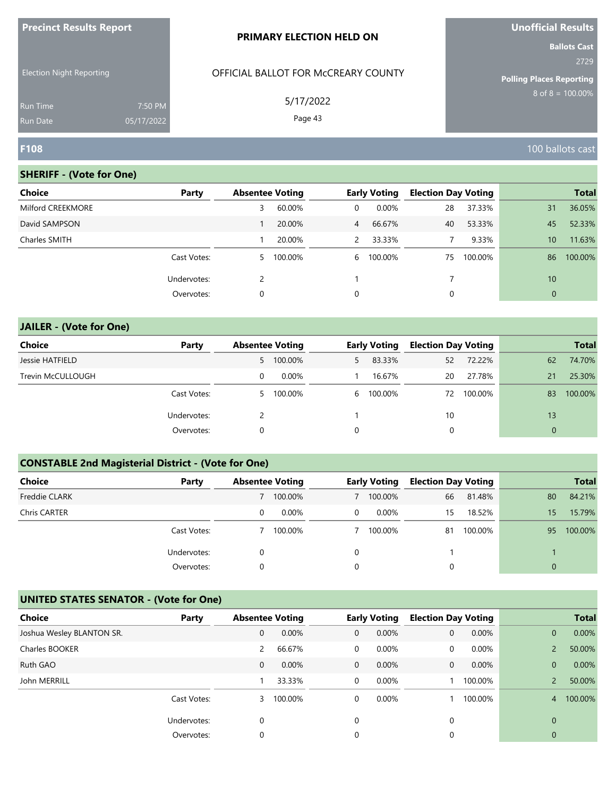| <b>Precinct Results Report</b>     |                       | <b>PRIMARY ELECTION HELD ON</b>     | <b>Unofficial Results</b>       |
|------------------------------------|-----------------------|-------------------------------------|---------------------------------|
| <b>Election Night Reporting</b>    |                       | OFFICIAL BALLOT FOR MCCREARY COUNTY | <b>Ballots Cast</b><br>2729     |
|                                    |                       |                                     | <b>Polling Places Reporting</b> |
| <b>Run Time</b><br><b>Run Date</b> | 7:50 PM<br>05/17/2022 | 5/17/2022<br>Page 43                | $8$ of $8 = 100.00\%$           |
| <b>F108</b>                        |                       |                                     | 100 ballots cast                |

**Unofficial Results**

# **SHERIFF - (Vote for One)**

| Choice            | Party       | <b>Absentee Voting</b> |         |                | <b>Early Voting</b> | <b>Election Day Voting</b> |         |                 | <b>Total</b> |
|-------------------|-------------|------------------------|---------|----------------|---------------------|----------------------------|---------|-----------------|--------------|
| Milford CREEKMORE |             | 3                      | 60.00%  | 0              | $0.00\%$            | 28                         | 37.33%  | 31              | 36.05%       |
| David SAMPSON     |             |                        | 20.00%  | $\overline{4}$ | 66.67%              | 40                         | 53.33%  | 45              | 52.33%       |
| Charles SMITH     |             |                        | 20.00%  | $\mathcal{P}$  | 33.33%              |                            | 9.33%   | 10 <sup>1</sup> | 11.63%       |
|                   | Cast Votes: | 5                      | 100.00% | 6              | 100.00%             | 75                         | 100.00% | 86              | 100.00%      |
|                   | Undervotes: |                        |         |                |                     |                            |         | 10              |              |
|                   | Overvotes:  | 0                      |         | 0              |                     | 0                          |         | $\overline{0}$  |              |

| <b>JAILER - (Vote for One)</b> |             |    |                        |    |                     |                            |         |              |              |
|--------------------------------|-------------|----|------------------------|----|---------------------|----------------------------|---------|--------------|--------------|
| Choice                         | Party       |    | <b>Absentee Voting</b> |    | <b>Early Voting</b> | <b>Election Day Voting</b> |         |              | <b>Total</b> |
| Jessie HATFIELD                |             |    | 5 100.00%              | 5. | 83.33%              | 52                         | 72.22%  | 62           | 74.70%       |
| Trevin McCULLOUGH              |             | 0  | $0.00\%$               |    | 16.67%              | 20                         | 27.78%  | 21           | 25.30%       |
|                                | Cast Votes: | 5. | 100.00%                | 6  | 100.00%             | 72                         | 100.00% | 83           | 100.00%      |
|                                | Undervotes: |    |                        |    |                     | 10                         |         | 13           |              |
|                                | Overvotes:  | 0  |                        | 0  |                     | 0                          |         | $\mathbf{0}$ |              |

# **CONSTABLE 2nd Magisterial District - (Vote for One)**

| <b>Choice</b>        | Party       | <b>Absentee Voting</b> |          |          | <b>Early Voting</b> | <b>Election Day Voting</b> |         |          | <b>Total</b> |
|----------------------|-------------|------------------------|----------|----------|---------------------|----------------------------|---------|----------|--------------|
| <b>Freddie CLARK</b> |             |                        | 100.00%  |          | 100.00%             | 66                         | 81.48%  | 80       | 84.21%       |
| Chris CARTER         |             | 0                      | $0.00\%$ | 0        | $0.00\%$            | 15                         | 18.52%  | 15       | 15.79%       |
|                      | Cast Votes: |                        | 100.00%  |          | 100.00%             | 81                         | 100.00% | 95       | 100.00%      |
|                      | Undervotes: | 0                      |          | $\Omega$ |                     |                            |         |          |              |
|                      | Overvotes:  | 0                      |          | $\Omega$ |                     | 0                          |         | $\Omega$ |              |

| <b>Choice</b>             | Party       | <b>Absentee Voting</b> |         |              | <b>Early Voting</b> | <b>Election Day Voting</b> |         |                | <b>Total</b> |
|---------------------------|-------------|------------------------|---------|--------------|---------------------|----------------------------|---------|----------------|--------------|
| Joshua Wesley BLANTON SR. |             | 0                      | 0.00%   | $\mathbf{0}$ | 0.00%               | $\mathbf{0}$               | 0.00%   | $\overline{0}$ | 0.00%        |
| Charles BOOKER            |             | 2                      | 66.67%  | 0            | $0.00\%$            | 0                          | 0.00%   |                | 50.00%       |
| Ruth GAO                  |             | 0                      | 0.00%   | $\mathbf{0}$ | $0.00\%$            | 0                          | 0.00%   | $\Omega$       | 0.00%        |
| John MERRILL              |             |                        | 33.33%  | 0            | 0.00%               |                            | 100.00% |                | 50.00%       |
|                           | Cast Votes: | 3                      | 100.00% | 0            | 0.00%               |                            | 100.00% | 4              | 100.00%      |
|                           | Undervotes: | $\Omega$               |         | 0            |                     | 0                          |         | $\Omega$       |              |
|                           | Overvotes:  | 0                      |         | 0            |                     |                            |         | 0              |              |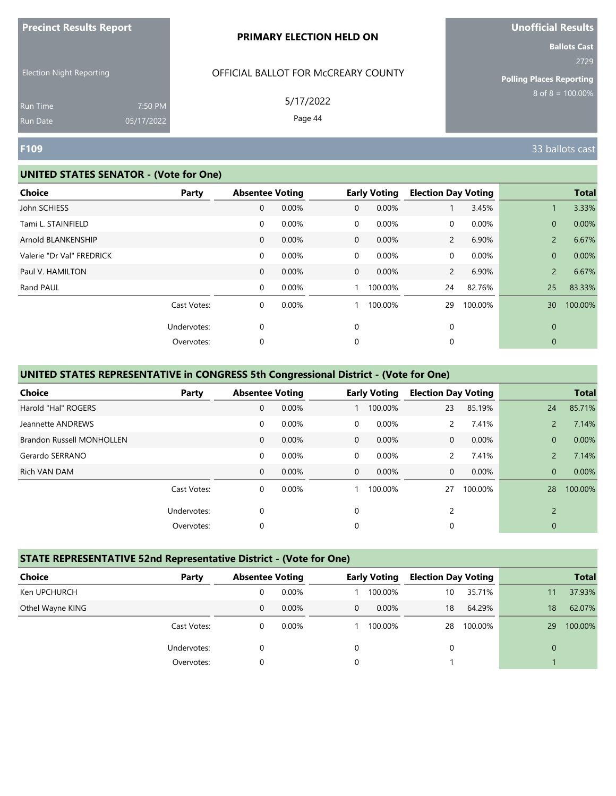| <b>Precinct Results Report</b> |  |  |
|--------------------------------|--|--|
|--------------------------------|--|--|

Election Night Reporting

## OFFICIAL BALLOT FOR McCREARY COUNTY

5/17/2022

Page 44

**Unofficial Results**

**Ballots Cast** 2729

**Polling Places Reporting**  $8$  of  $8 = 100.00\%$ 

Run Time Run Date

#### **UNITED STATES SENATOR - (Vote for One)**

7:50 PM 05/17/2022

| <b>Choice</b>             | Party       | <b>Absentee Voting</b> |       |                | <b>Early Voting</b> | <b>Election Day Voting</b> |         |                 | <b>Total</b> |
|---------------------------|-------------|------------------------|-------|----------------|---------------------|----------------------------|---------|-----------------|--------------|
| John SCHIESS              |             | $\mathbf 0$            | 0.00% | $\mathbf{0}$   | 0.00%               |                            | 3.45%   |                 | 3.33%        |
| Tami L. STAINFIELD        |             | 0                      | 0.00% | $\mathbf 0$    | 0.00%               | 0                          | 0.00%   | $\mathbf{0}$    | 0.00%        |
| Arnold BLANKENSHIP        |             | 0                      | 0.00% | $\overline{0}$ | 0.00%               | $\mathbf{2}$               | 6.90%   | $\overline{2}$  | 6.67%        |
| Valerie "Dr Val" FREDRICK |             | 0                      | 0.00% | $\mathbf 0$    | 0.00%               | 0                          | 0.00%   | $\mathbf{0}$    | 0.00%        |
| Paul V. HAMILTON          |             | 0                      | 0.00% | $\overline{0}$ | 0.00%               | $\overline{2}$             | 6.90%   | $\overline{2}$  | 6.67%        |
| Rand PAUL                 |             | 0                      | 0.00% |                | 100.00%             | 24                         | 82.76%  | 25              | 83.33%       |
|                           | Cast Votes: | 0                      | 0.00% |                | 100.00%             | 29                         | 100.00% | 30 <sup>°</sup> | 100.00%      |
|                           | Undervotes: | 0                      |       | 0              |                     | 0                          |         | $\mathbf{0}$    |              |
|                           | Overvotes:  | 0                      |       | 0              |                     | 0                          |         | $\mathbf{0}$    |              |

#### **UNITED STATES REPRESENTATIVE in CONGRESS 5th Congressional District - (Vote for One)**

| Choice                           | Party       | <b>Absentee Voting</b> |          |                | <b>Early Voting</b> | <b>Election Day Voting</b> |         |                | <b>Total</b> |
|----------------------------------|-------------|------------------------|----------|----------------|---------------------|----------------------------|---------|----------------|--------------|
| Harold "Hal" ROGERS              |             | $\mathbf{0}$           | 0.00%    |                | 100.00%             | 23                         | 85.19%  | 24             | 85.71%       |
| Jeannette ANDREWS                |             | 0                      | 0.00%    | $\Omega$       | 0.00%               | 2                          | 7.41%   | $\mathcal{P}$  | 7.14%        |
| <b>Brandon Russell MONHOLLEN</b> |             | $\mathbf{0}$           | $0.00\%$ | $\Omega$       | 0.00%               | $\Omega$                   | 0.00%   | $\overline{0}$ | 0.00%        |
| Gerardo SERRANO                  |             | $\mathbf 0$            | 0.00%    | $\overline{0}$ | 0.00%               | 2                          | 7.41%   | $\overline{2}$ | 7.14%        |
| Rich VAN DAM                     |             | $\mathbf{0}$           | 0.00%    | $\overline{0}$ | 0.00%               | 0                          | 0.00%   | $\overline{0}$ | 0.00%        |
|                                  | Cast Votes: | $\mathbf 0$            | 0.00%    |                | 100.00%             | 27                         | 100.00% | 28             | 100.00%      |
|                                  | Undervotes: | 0                      |          | $\Omega$       |                     | 2                          |         | $\overline{2}$ |              |
|                                  | Overvotes:  | 0                      |          | 0              |                     | 0                          |         | $\mathbf{0}$   |              |

#### **STATE REPRESENTATIVE 52nd Representative District - (Vote for One)**

| <b>Choice</b><br>Party |          | <b>Absentee Voting</b> |          | <b>Early Voting</b> |         | <b>Election Day Voting</b> |         |          | <b>Total</b> |
|------------------------|----------|------------------------|----------|---------------------|---------|----------------------------|---------|----------|--------------|
| Ken UPCHURCH           | 0        |                        | 0.00%    |                     | 100.00% | 10                         | 35.71%  | 11       | 37.93%       |
| Othel Wayne KING       | 0        |                        | $0.00\%$ | $\mathbf{0}$        | 0.00%   | 18                         | 64.29%  | 18       | 62.07%       |
| Cast Votes:            | 0        |                        | $0.00\%$ |                     | 100.00% | 28                         | 100.00% | 29       | 100.00%      |
| Undervotes:            |          |                        |          | $\Omega$            |         | 0                          |         | $\Omega$ |              |
| Overvotes:             | $\Omega$ |                        |          | 0                   |         |                            |         |          |              |

**F109** 33 ballots cast